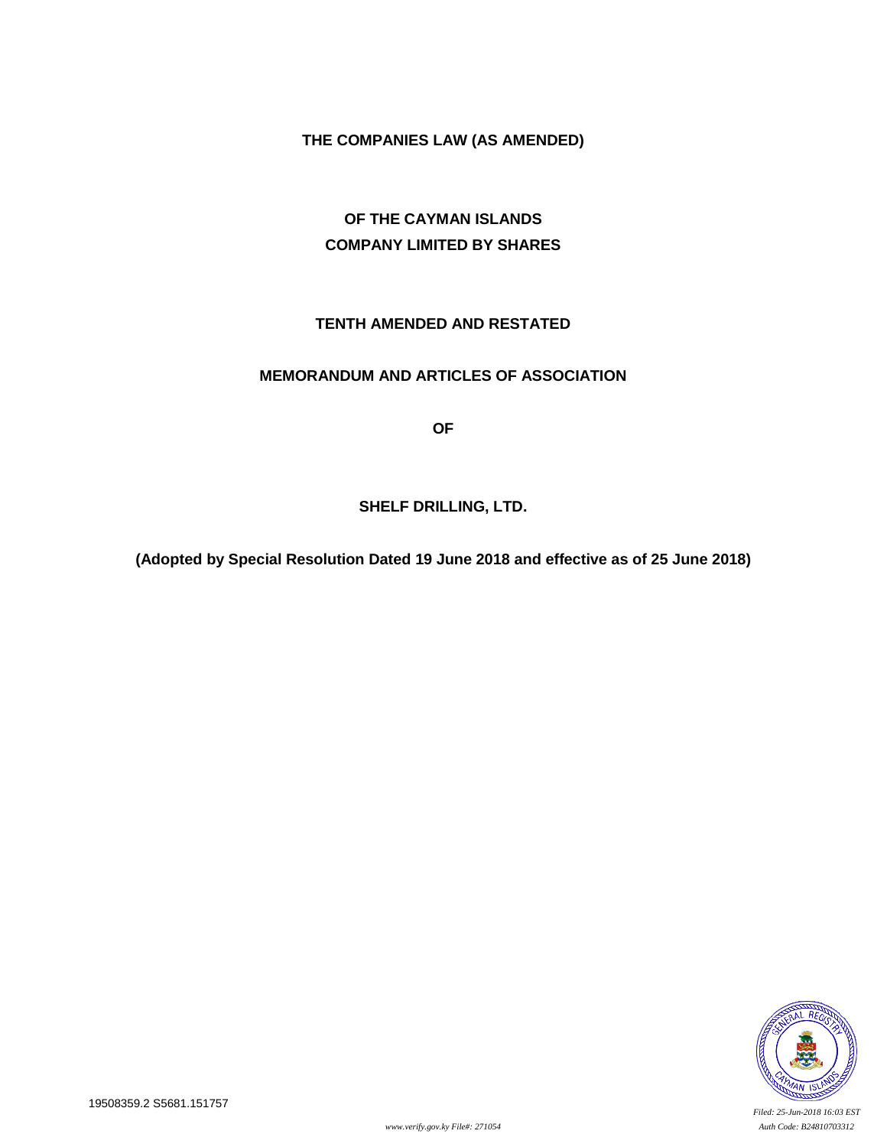# **THE COMPANIES LAW (AS AMENDED)**

# **OF THE CAYMAN ISLANDS COMPANY LIMITED BY SHARES**

# **TENTH AMENDED AND RESTATED**

## **MEMORANDUM AND ARTICLES OF ASSOCIATION**

**OF**

### **SHELF DRILLING, LTD.**

**(Adopted by Special Resolution Dated 19 June 2018 and effective as of 25 June 2018)**

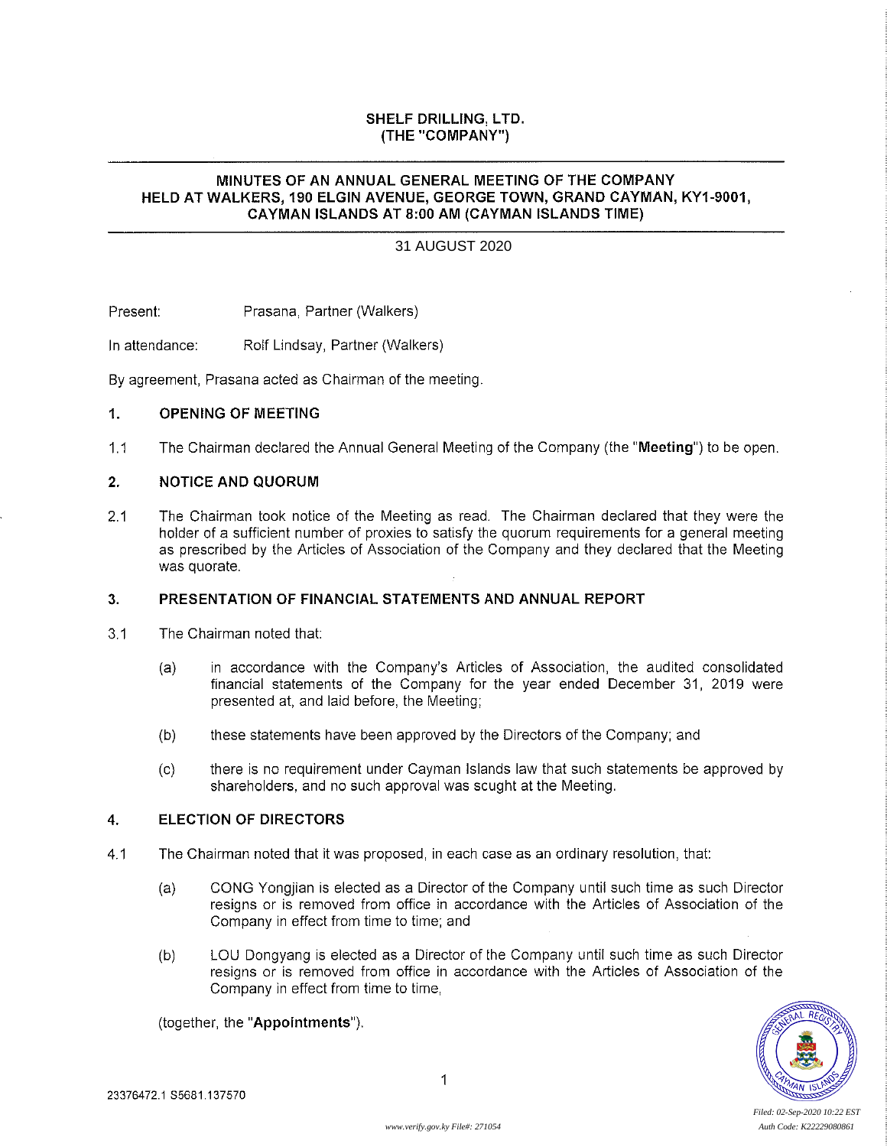### SHELF DRILLING, LTD. (THE"COMPANY")

#### MINUTES OF AN ANNUAL GENERAL MEETING OF THE COMPANY HELD AT WALKERS, 190 ELGIN AVENUE, GEORGE TOWN, GRAND CAYMAN, KY1-9001, CAYMAN ISLANDS AT 8:00 AM (CAYMAN ISLANDS TIME)

#### 31 AUGUST 2020

Present: Prasana, Partner (Walkers)

In attendance: Rolf Lindsay, Partner (Walkers)

By agreement, Prasana acted as Chairman of the meeting.

#### 1. OPENING OF MEETING

1.1 The Chairman declared the Annual General Meeting of the Company (the "Meeting") to be open.

#### 2. NOTICE AND QUORUM

2.1 The Chairman took notice of the Meeting as read. The Chairman declared that they were the holder of a sufficient number of proxies to satisfy the quorum requirements for a general meeting as prescribed by the Articies of Association of the Company and they declared that the Meeting was quorate.

#### 3. PRESENTATION OF FINANCIAL STATEMENTS AND ANNUAL REPORT

- 3,1 The Chairman noted that:
	- (a) in accordance with the Company's Articles of Association, the audited consolidated financial statements of the Company for the year ended December 31, 2019 were presented at, and laid before, the Meeting;
	- (b) these statements have been approved by the Directors of the Company; and
	- (c) there is no requirement under Cayman Islands law that such statements be approved by shareholders, and no such approval was sought at the Meeting.

### 4. ELECTION OF DIRECTORS

- 4.1 The Chairman noted that It was proposed, in each case as an ordinary resolution, that:
	- (a) CONG Yongjian is elected as a Director of the Company until such time as such Director resigns or is removed from office in accordance with the Articles of Association of the Company in effect from time to time; and
	- (b) LOU Dongyang is elected as a Director of the Company until such time as such Director resigns or is removed from office in accordance with the Articles of Association of the Company in effect from time to time,

(together, the "Appointments").

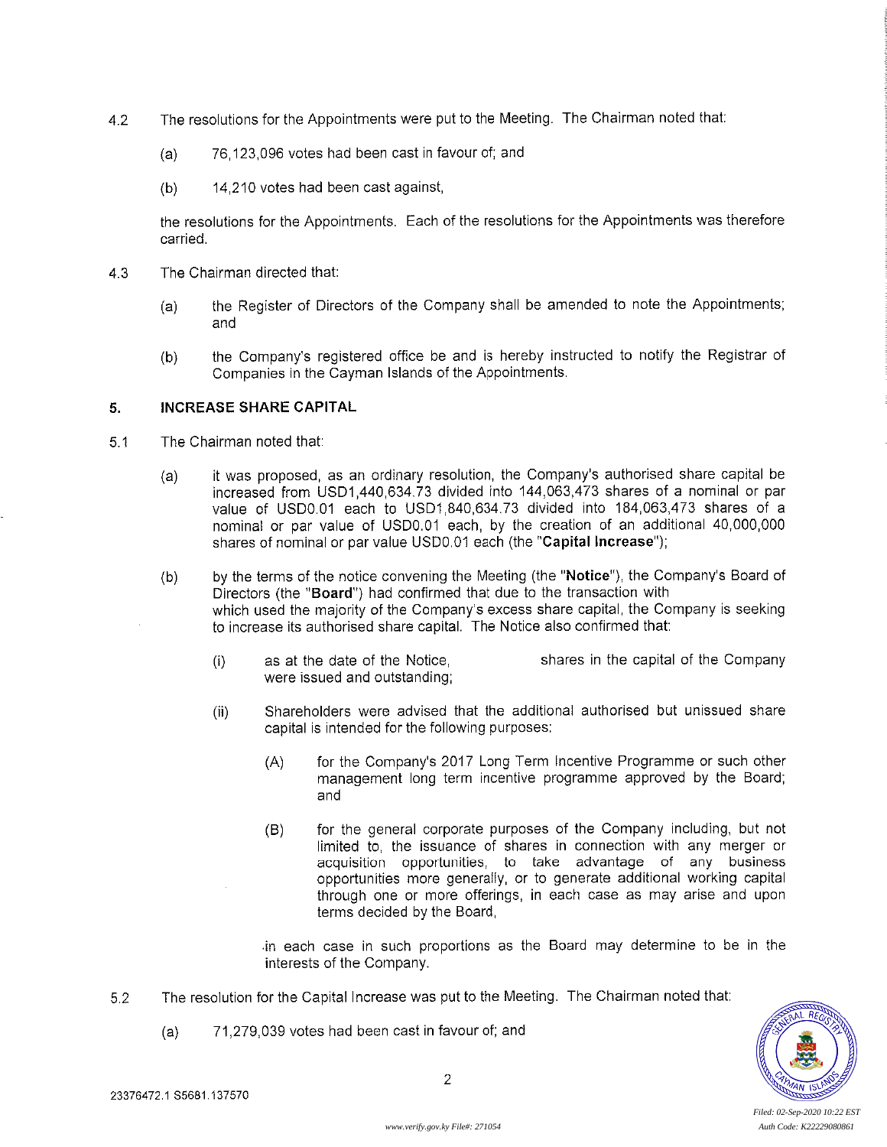- 4.2 The resolutions for the Appointments were put to the Meeting. The Chairman noted that:
	- (a) 76,123,096 votes had been cast in favour of; and
	- (b) 14,210 votes had been cast against,

the resolutions for the Appointments. Each of the resolutions for the Appointments was therefore carried,

- 4.3 The Chairman directed that:
	- (a) the Register of Directors of the Company shall be amended to note the Appointments; and
	- (b) the Company's registered office be and is hereby instructed to notify the Registrar of Companies in the Cayman Islands of the Appointments.

#### 5. INCREASE SHARE CAPITAL

- 5.1 The Chairman noted that:
	- (a) it was proposed, as an ordinary resolution, the Company's authorised share capital be increased from USD1,440,634,73 divided into 144,063,473 shares of a nominal or par value of USD0.01 each to USD1,840,634.73 divided into 184,063,473 shares of a nominal or par value of USD0.01 each, by the creation of an additional 40,000,000 shares of nominal or par value USD0.01 each (the "Capital Increase");
	- (b) by the terms of the notice convening the Meeting (the "Notice"), the Company's Board of Directors (the "Board") had confirmed that due to the transaction with which used the majority of the Company's excess share capital, the Company is seeking to increase its authorised share capital. The Notice also confirmed that:
		- (i) as at the date of the Notice, 136,182,177 shares in the capital of the Company were issued and outstanding;
		- (ii) Shareholders were advised that the additional authorised but unissued share capital is intended for the following purposes:
			- (A) for the Company's 2017 Long Term Incentive Programme or such other management long term incentive programme approved by the Board; and
			- (B) for the general corporate purposes of the Company including, but not limited to, the issuance of shares in connection with any merger or acquisition opportunities, to take advantage of any business opportunities more generaiiy, or to generate additional working capital through one or more offerings, in each case as may arise and upon terms decided by the Board,

in each case in such proportions as the Board may determine to be in the interests of the Company.

- 5.2 The resolution for the Capital Increase was put to the Meeting. The Chairman noted that:
	- (a) 71,279,039 votes had been cast in favour of; and



*Filed: 02-Sep-2020 10:22 EST*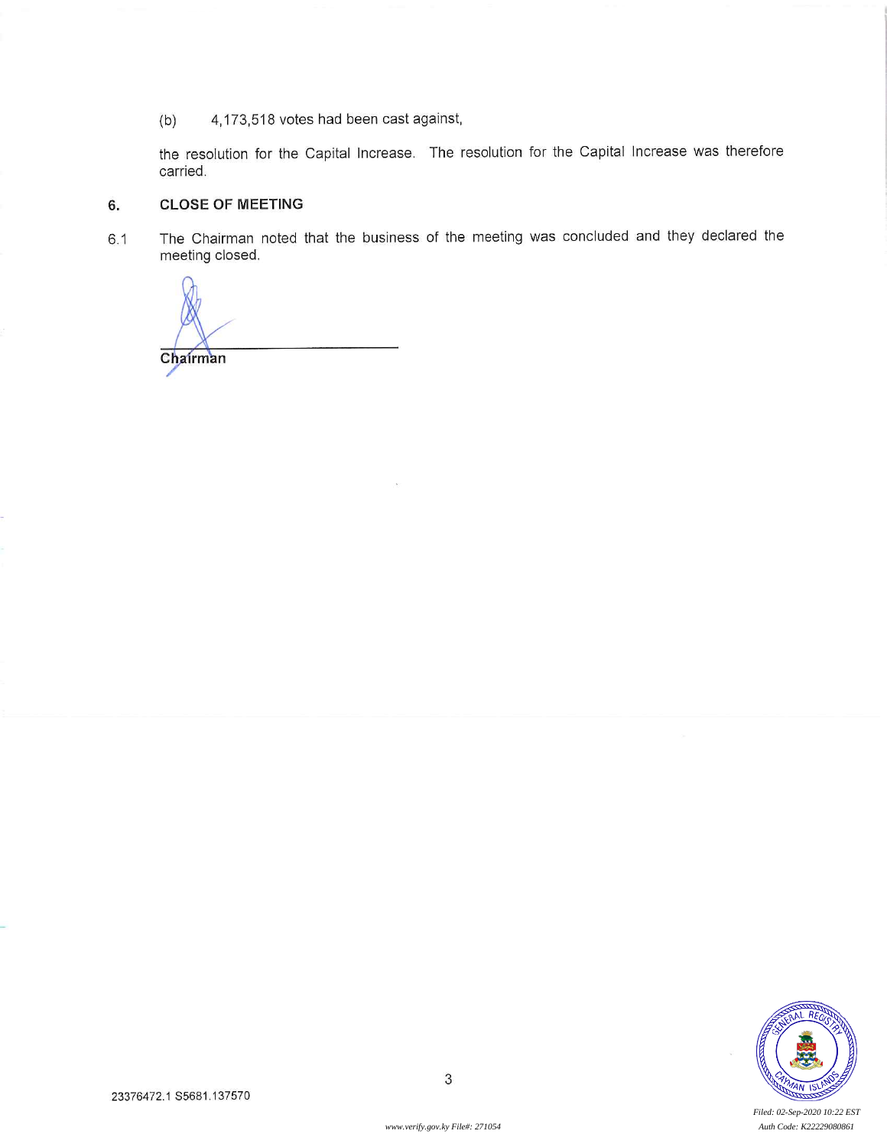(b) 4,173,518 votes had been cast against,

the resolution for the Capital Increase. The resolution for the Capital Increase was therefore carried.

#### 6. CLOSE OF MEETING

6.1 The Chairman noted that the business of the meeting was concluded and they declared the meeting closed.

**Chairman** 



*Filed: 02-Sep-2020 10:22 EST*

*www.verify.gov.ky File#: 271054 Auth Code: K22229080861*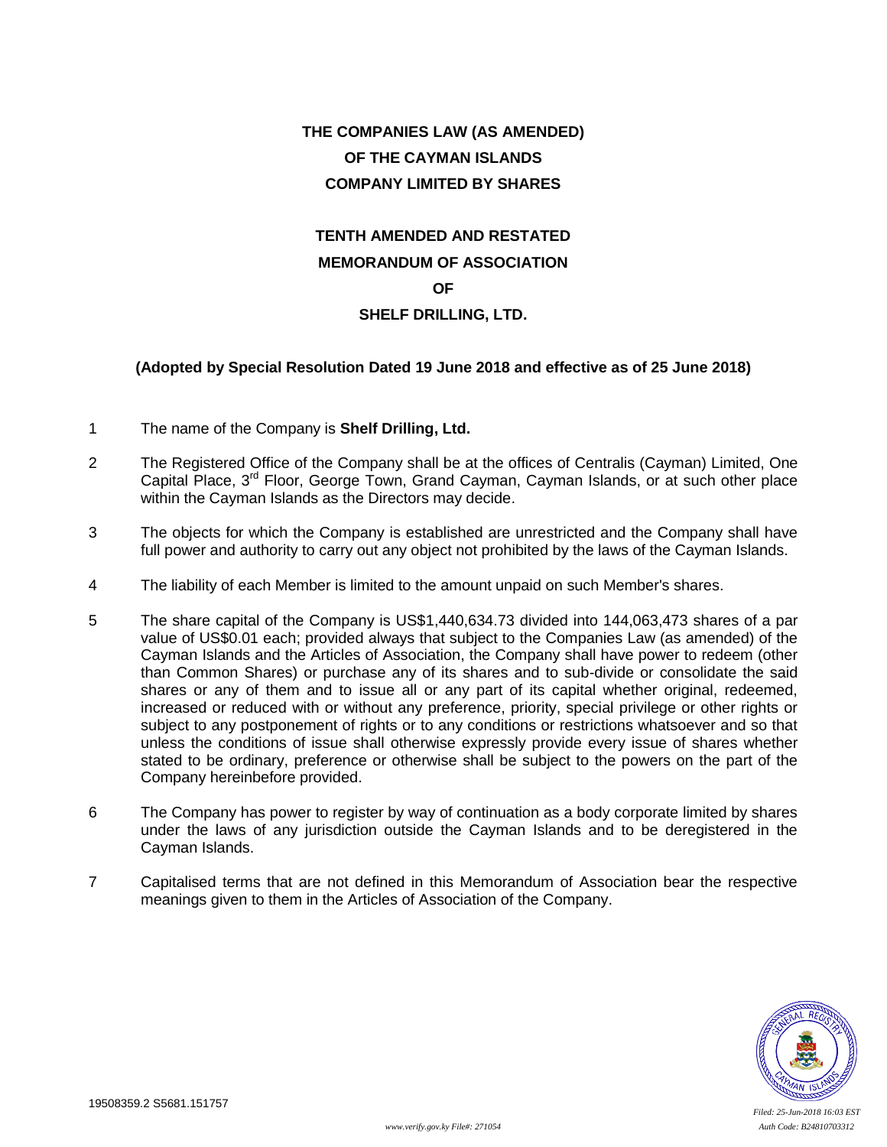# **THE COMPANIES LAW (AS AMENDED) OF THE CAYMAN ISLANDS COMPANY LIMITED BY SHARES**

# **TENTH AMENDED AND RESTATED MEMORANDUM OF ASSOCIATION OF**

# **SHELF DRILLING, LTD.**

## **(Adopted by Special Resolution Dated 19 June 2018 and effective as of 25 June 2018)**

- 1 The name of the Company is **Shelf Drilling, Ltd.**
- 2 The Registered Office of the Company shall be at the offices of Centralis (Cayman) Limited, One Capital Place, 3<sup>rd</sup> Floor, George Town, Grand Cayman, Cayman Islands, or at such other place within the Cayman Islands as the Directors may decide.
- 3 The objects for which the Company is established are unrestricted and the Company shall have full power and authority to carry out any object not prohibited by the laws of the Cayman Islands.
- 4 The liability of each Member is limited to the amount unpaid on such Member's shares.
- 5 The share capital of the Company is US\$1,440,634.73 divided into 144,063,473 shares of a par value of US\$0.01 each; provided always that subject to the Companies Law (as amended) of the Cayman Islands and the Articles of Association, the Company shall have power to redeem (other than Common Shares) or purchase any of its shares and to sub-divide or consolidate the said shares or any of them and to issue all or any part of its capital whether original, redeemed, increased or reduced with or without any preference, priority, special privilege or other rights or subject to any postponement of rights or to any conditions or restrictions whatsoever and so that unless the conditions of issue shall otherwise expressly provide every issue of shares whether stated to be ordinary, preference or otherwise shall be subject to the powers on the part of the Company hereinbefore provided.
- 6 The Company has power to register by way of continuation as a body corporate limited by shares under the laws of any jurisdiction outside the Cayman Islands and to be deregistered in the Cayman Islands.
- 7 Capitalised terms that are not defined in this Memorandum of Association bear the respective meanings given to them in the Articles of Association of the Company.

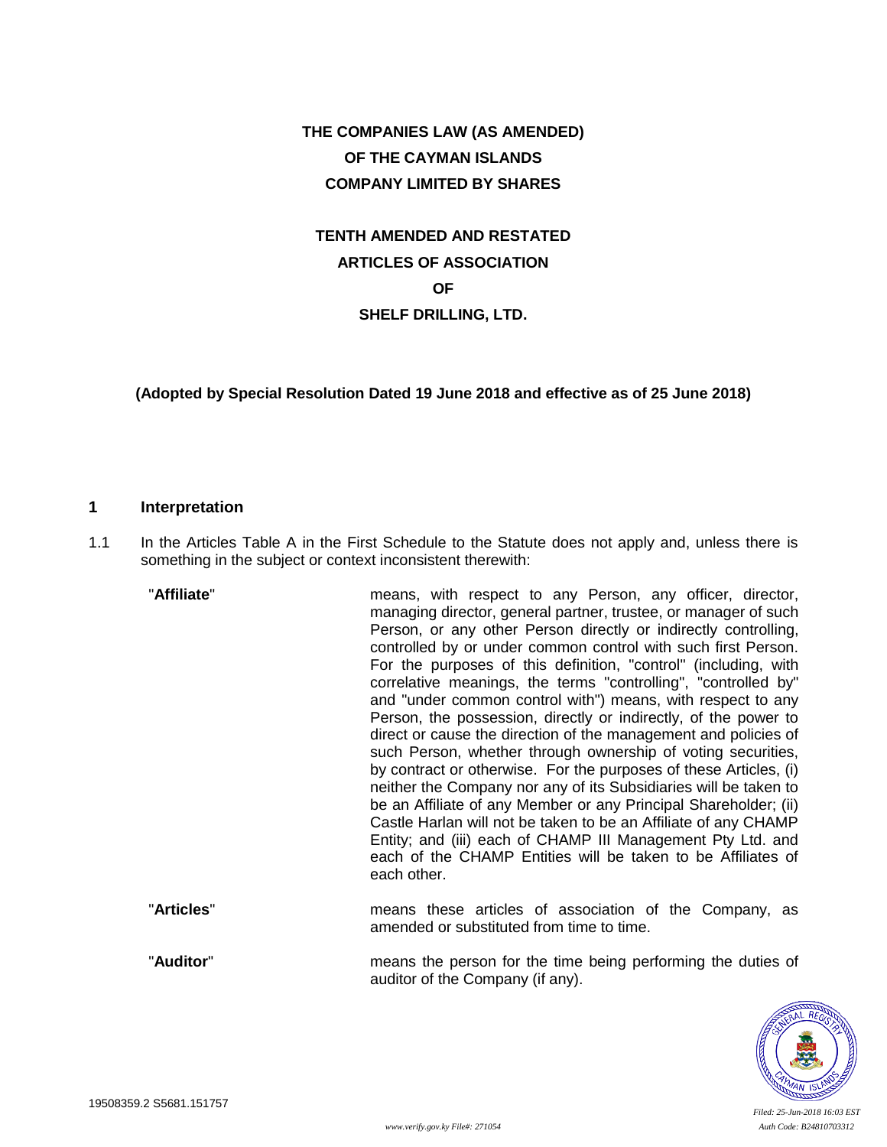# **THE COMPANIES LAW (AS AMENDED) OF THE CAYMAN ISLANDS COMPANY LIMITED BY SHARES**

# **TENTH AMENDED AND RESTATED ARTICLES OF ASSOCIATION OF SHELF DRILLING, LTD.**

**(Adopted by Special Resolution Dated 19 June 2018 and effective as of 25 June 2018)**

### **1 Interpretation**

1.1 In the Articles Table A in the First Schedule to the Statute does not apply and, unless there is something in the subject or context inconsistent therewith:

| "Affiliate" | means, with respect to any Person, any officer, director,<br>managing director, general partner, trustee, or manager of such<br>Person, or any other Person directly or indirectly controlling,<br>controlled by or under common control with such first Person.<br>For the purposes of this definition, "control" (including, with<br>correlative meanings, the terms "controlling", "controlled by"<br>and "under common control with") means, with respect to any<br>Person, the possession, directly or indirectly, of the power to<br>direct or cause the direction of the management and policies of<br>such Person, whether through ownership of voting securities,<br>by contract or otherwise. For the purposes of these Articles, (i)<br>neither the Company nor any of its Subsidiaries will be taken to<br>be an Affiliate of any Member or any Principal Shareholder; (ii)<br>Castle Harlan will not be taken to be an Affiliate of any CHAMP<br>Entity; and (iii) each of CHAMP III Management Pty Ltd. and<br>each of the CHAMP Entities will be taken to be Affiliates of<br>each other. |
|-------------|----------------------------------------------------------------------------------------------------------------------------------------------------------------------------------------------------------------------------------------------------------------------------------------------------------------------------------------------------------------------------------------------------------------------------------------------------------------------------------------------------------------------------------------------------------------------------------------------------------------------------------------------------------------------------------------------------------------------------------------------------------------------------------------------------------------------------------------------------------------------------------------------------------------------------------------------------------------------------------------------------------------------------------------------------------------------------------------------------------|
| "Articles"  | means these articles of association of the Company, as                                                                                                                                                                                                                                                                                                                                                                                                                                                                                                                                                                                                                                                                                                                                                                                                                                                                                                                                                                                                                                                   |

"**Auditor**" means the person for the time being performing the duties of auditor of the Company (if any).

amended or substituted from time to time.

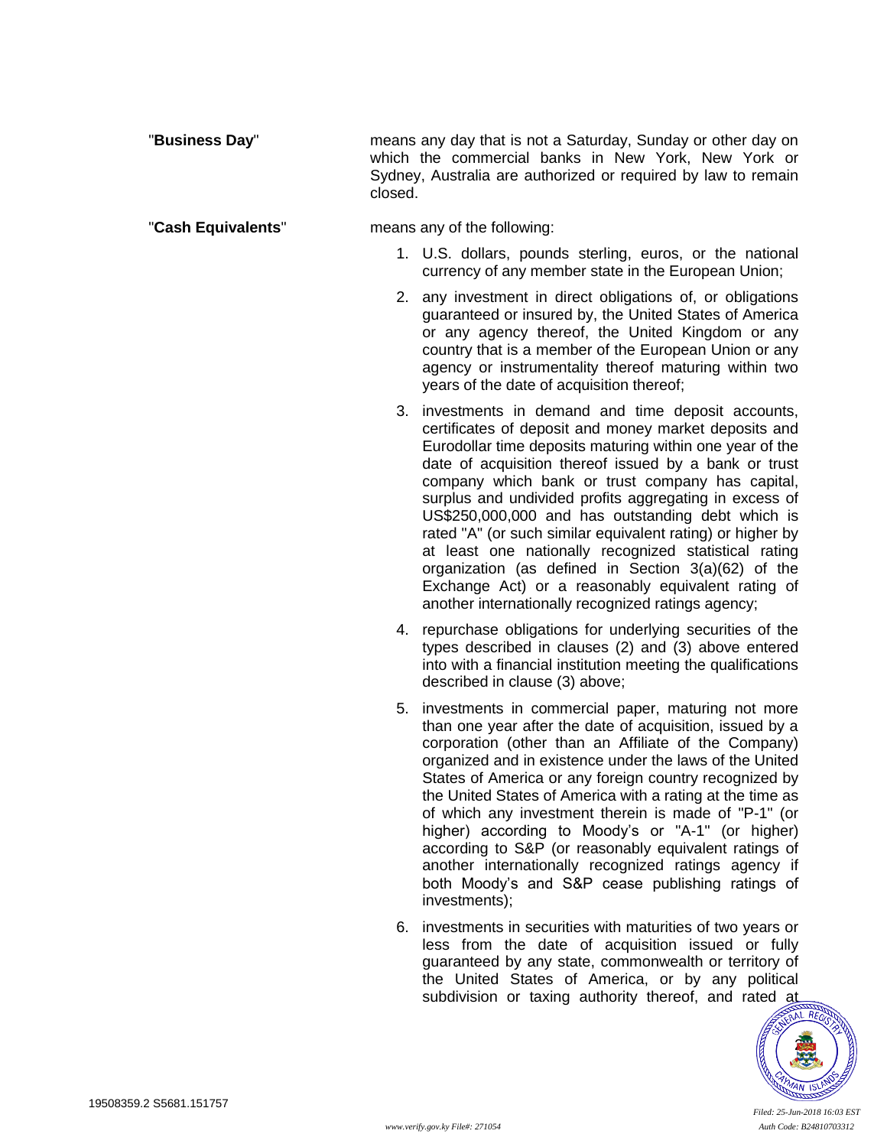"**Business Day**" means any day that is not a Saturday, Sunday or other day on which the commercial banks in New York, New York or Sydney, Australia are authorized or required by law to remain closed.

#### "**Cash Equivalents**" means any of the following:

- 1. U.S. dollars, pounds sterling, euros, or the national currency of any member state in the European Union;
- 2. any investment in direct obligations of, or obligations guaranteed or insured by, the United States of America or any agency thereof, the United Kingdom or any country that is a member of the European Union or any agency or instrumentality thereof maturing within two years of the date of acquisition thereof;
- 3. investments in demand and time deposit accounts, certificates of deposit and money market deposits and Eurodollar time deposits maturing within one year of the date of acquisition thereof issued by a bank or trust company which bank or trust company has capital, surplus and undivided profits aggregating in excess of US\$250,000,000 and has outstanding debt which is rated "A" (or such similar equivalent rating) or higher by at least one nationally recognized statistical rating organization (as defined in Section 3(a)(62) of the Exchange Act) or a reasonably equivalent rating of another internationally recognized ratings agency;
- 4. repurchase obligations for underlying securities of the types described in clauses (2) and (3) above entered into with a financial institution meeting the qualifications described in clause (3) above;
- 5. investments in commercial paper, maturing not more than one year after the date of acquisition, issued by a corporation (other than an Affiliate of the Company) organized and in existence under the laws of the United States of America or any foreign country recognized by the United States of America with a rating at the time as of which any investment therein is made of "P-1" (or higher) according to Moody's or "A-1" (or higher) according to S&P (or reasonably equivalent ratings of another internationally recognized ratings agency if both Moody's and S&P cease publishing ratings of investments);
- 6. investments in securities with maturities of two years or less from the date of acquisition issued or fully guaranteed by any state, commonwealth or territory of the United States of America, or by any political subdivision or taxing authority thereof, and rated at

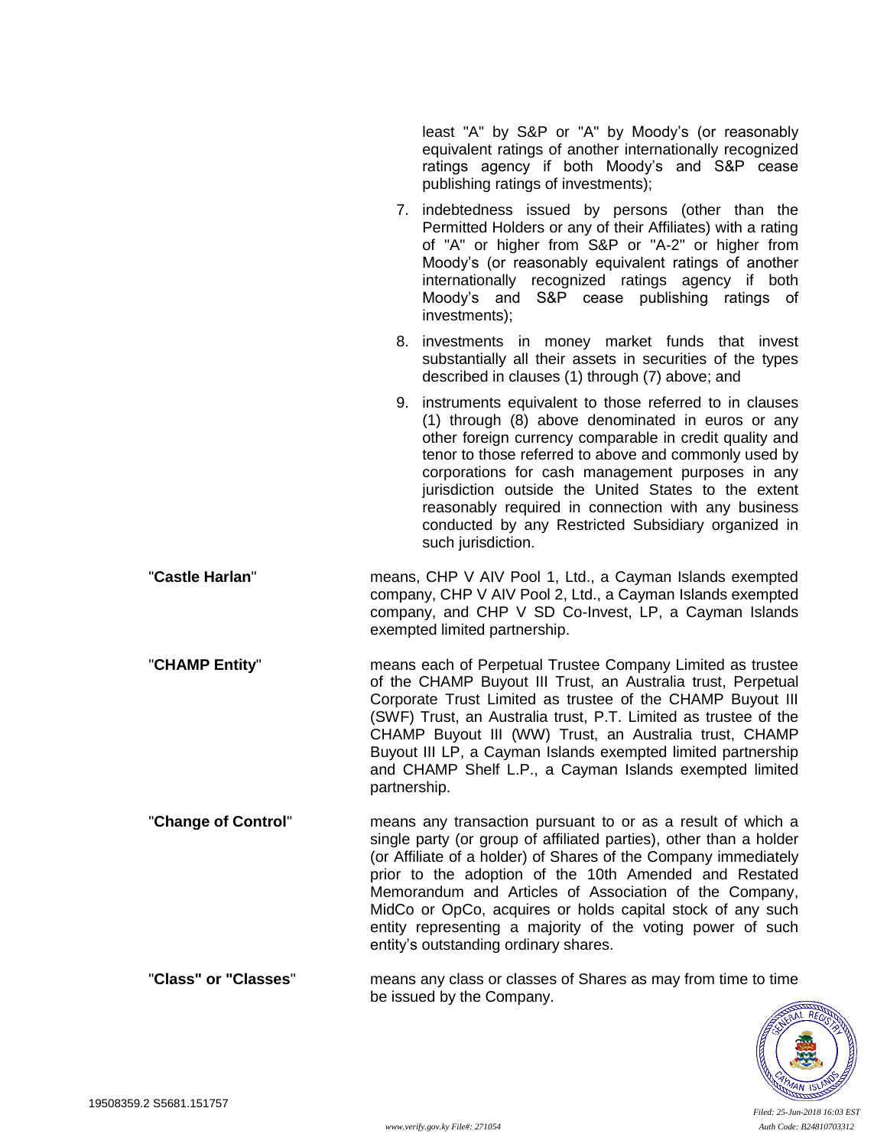least "A" by S&P or "A" by Moody's (or reasonably equivalent ratings of another internationally recognized ratings agency if both Moody's and S&P cease publishing ratings of investments);

- 7. indebtedness issued by persons (other than the Permitted Holders or any of their Affiliates) with a rating of "A" or higher from S&P or "A-2" or higher from Moody's (or reasonably equivalent ratings of another internationally recognized ratings agency if both Moody's and S&P cease publishing ratings of investments);
- 8. investments in money market funds that invest substantially all their assets in securities of the types described in clauses (1) through (7) above; and
- 9. instruments equivalent to those referred to in clauses (1) through (8) above denominated in euros or any other foreign currency comparable in credit quality and tenor to those referred to above and commonly used by corporations for cash management purposes in any jurisdiction outside the United States to the extent reasonably required in connection with any business conducted by any Restricted Subsidiary organized in such jurisdiction.
- "**Castle Harlan**" means, CHP V AIV Pool 1, Ltd., a Cayman Islands exempted company, CHP V AIV Pool 2, Ltd., a Cayman Islands exempted company, and CHP V SD Co-Invest, LP, a Cayman Islands exempted limited partnership.
- "**CHAMP Entity**" means each of Perpetual Trustee Company Limited as trustee of the CHAMP Buyout III Trust, an Australia trust, Perpetual Corporate Trust Limited as trustee of the CHAMP Buyout III (SWF) Trust, an Australia trust, P.T. Limited as trustee of the CHAMP Buyout III (WW) Trust, an Australia trust, CHAMP Buyout III LP, a Cayman Islands exempted limited partnership and CHAMP Shelf L.P., a Cayman Islands exempted limited partnership.
- "**Change of Control**" means any transaction pursuant to or as a result of which a single party (or group of affiliated parties), other than a holder (or Affiliate of a holder) of Shares of the Company immediately prior to the adoption of the 10th Amended and Restated Memorandum and Articles of Association of the Company, MidCo or OpCo, acquires or holds capital stock of any such entity representing a majority of the voting power of such entity's outstanding ordinary shares.

"**Class" or "Classes**" means any class or classes of Shares as may from time to time be issued by the Company.

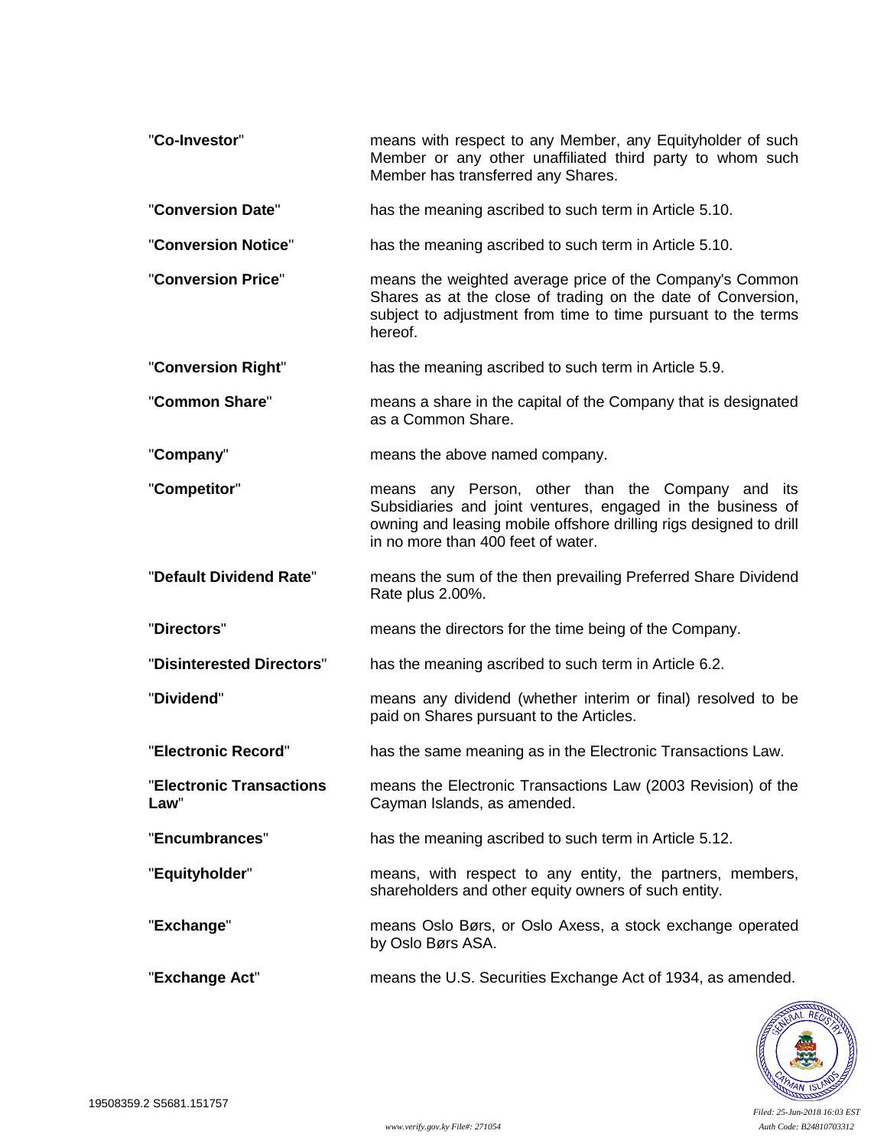| "Co-Investor"                    | means with respect to any Member, any Equityholder of such<br>Member or any other unaffiliated third party to whom such<br>Member has transferred any Shares.                                                               |
|----------------------------------|-----------------------------------------------------------------------------------------------------------------------------------------------------------------------------------------------------------------------------|
| "Conversion Date"                | has the meaning ascribed to such term in Article 5.10.                                                                                                                                                                      |
| "Conversion Notice"              | has the meaning ascribed to such term in Article 5.10.                                                                                                                                                                      |
| "Conversion Price"               | means the weighted average price of the Company's Common<br>Shares as at the close of trading on the date of Conversion,<br>subject to adjustment from time to time pursuant to the terms<br>hereof.                        |
| "Conversion Right"               | has the meaning ascribed to such term in Article 5.9.                                                                                                                                                                       |
| "Common Share"                   | means a share in the capital of the Company that is designated<br>as a Common Share.                                                                                                                                        |
| "Company"                        | means the above named company.                                                                                                                                                                                              |
| "Competitor"                     | means any Person, other than the Company and its<br>Subsidiaries and joint ventures, engaged in the business of<br>owning and leasing mobile offshore drilling rigs designed to drill<br>in no more than 400 feet of water. |
| "Default Dividend Rate"          | means the sum of the then prevailing Preferred Share Dividend<br>Rate plus 2.00%.                                                                                                                                           |
| "Directors"                      | means the directors for the time being of the Company.                                                                                                                                                                      |
| "Disinterested Directors"        | has the meaning ascribed to such term in Article 6.2.                                                                                                                                                                       |
| "Dividend"                       | means any dividend (whether interim or final) resolved to be<br>paid on Shares pursuant to the Articles.                                                                                                                    |
| "Electronic Record"              | has the same meaning as in the Electronic Transactions Law.                                                                                                                                                                 |
| "Electronic Transactions<br>Law" | means the Electronic Transactions Law (2003 Revision) of the<br>Cayman Islands, as amended.                                                                                                                                 |
| "Encumbrances"                   | has the meaning ascribed to such term in Article 5.12.                                                                                                                                                                      |
| "Equityholder"                   | means, with respect to any entity, the partners, members,<br>shareholders and other equity owners of such entity.                                                                                                           |
| "Exchange"                       | means Oslo Børs, or Oslo Axess, a stock exchange operated<br>by Oslo Børs ASA.                                                                                                                                              |
| "Exchange Act"                   | means the U.S. Securities Exchange Act of 1934, as amended.                                                                                                                                                                 |

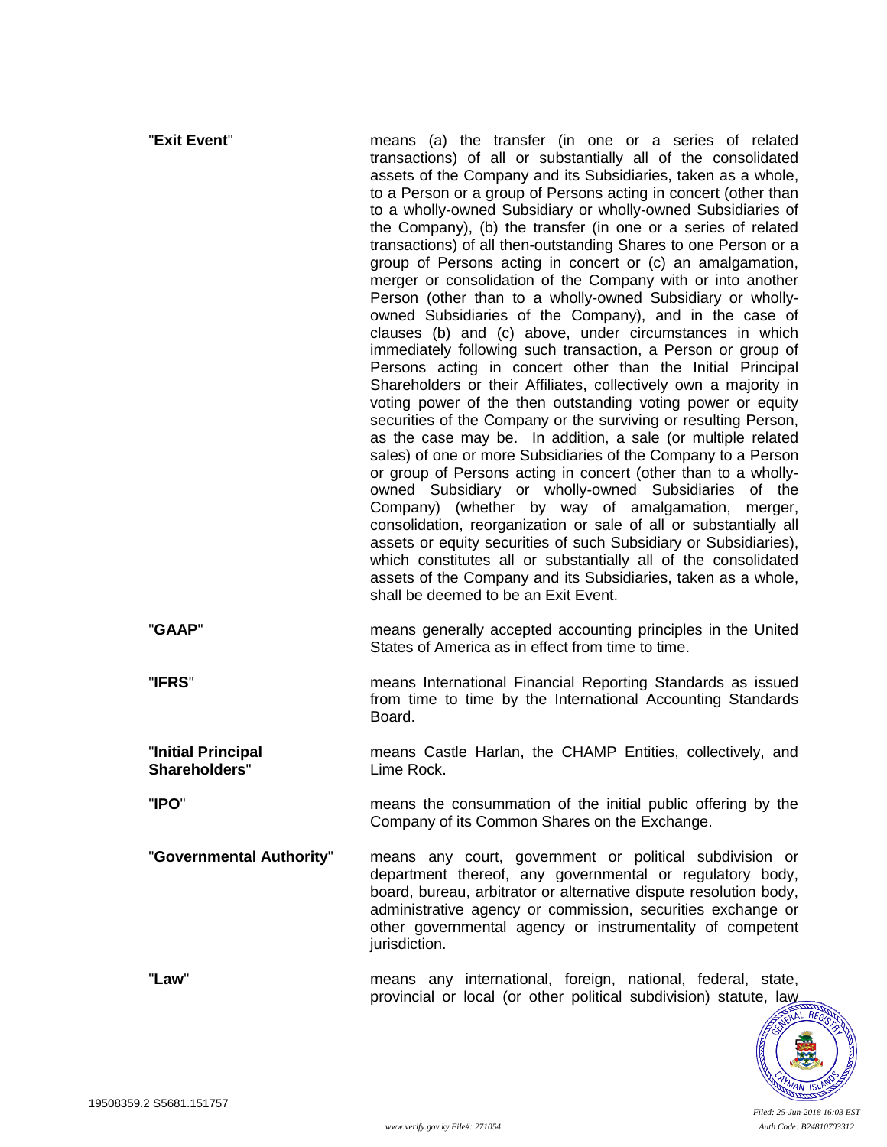| "Exit Event"                        | means (a) the transfer (in one or a series of related<br>transactions) of all or substantially all of the consolidated<br>assets of the Company and its Subsidiaries, taken as a whole,<br>to a Person or a group of Persons acting in concert (other than<br>to a wholly-owned Subsidiary or wholly-owned Subsidiaries of<br>the Company), (b) the transfer (in one or a series of related<br>transactions) of all then-outstanding Shares to one Person or a<br>group of Persons acting in concert or (c) an amalgamation,<br>merger or consolidation of the Company with or into another<br>Person (other than to a wholly-owned Subsidiary or wholly-<br>owned Subsidiaries of the Company), and in the case of<br>clauses (b) and (c) above, under circumstances in which<br>immediately following such transaction, a Person or group of<br>Persons acting in concert other than the Initial Principal<br>Shareholders or their Affiliates, collectively own a majority in<br>voting power of the then outstanding voting power or equity<br>securities of the Company or the surviving or resulting Person,<br>as the case may be. In addition, a sale (or multiple related<br>sales) of one or more Subsidiaries of the Company to a Person<br>or group of Persons acting in concert (other than to a wholly-<br>owned Subsidiary or wholly-owned Subsidiaries of the<br>Company) (whether by way of amalgamation, merger,<br>consolidation, reorganization or sale of all or substantially all<br>assets or equity securities of such Subsidiary or Subsidiaries),<br>which constitutes all or substantially all of the consolidated<br>assets of the Company and its Subsidiaries, taken as a whole,<br>shall be deemed to be an Exit Event. |
|-------------------------------------|--------------------------------------------------------------------------------------------------------------------------------------------------------------------------------------------------------------------------------------------------------------------------------------------------------------------------------------------------------------------------------------------------------------------------------------------------------------------------------------------------------------------------------------------------------------------------------------------------------------------------------------------------------------------------------------------------------------------------------------------------------------------------------------------------------------------------------------------------------------------------------------------------------------------------------------------------------------------------------------------------------------------------------------------------------------------------------------------------------------------------------------------------------------------------------------------------------------------------------------------------------------------------------------------------------------------------------------------------------------------------------------------------------------------------------------------------------------------------------------------------------------------------------------------------------------------------------------------------------------------------------------------------------------------------------------------------------------------------------------------------------|
| "GAAP"                              | means generally accepted accounting principles in the United<br>States of America as in effect from time to time.                                                                                                                                                                                                                                                                                                                                                                                                                                                                                                                                                                                                                                                                                                                                                                                                                                                                                                                                                                                                                                                                                                                                                                                                                                                                                                                                                                                                                                                                                                                                                                                                                                      |
| "IFRS"                              | means International Financial Reporting Standards as issued<br>from time to time by the International Accounting Standards<br>Board.                                                                                                                                                                                                                                                                                                                                                                                                                                                                                                                                                                                                                                                                                                                                                                                                                                                                                                                                                                                                                                                                                                                                                                                                                                                                                                                                                                                                                                                                                                                                                                                                                   |
| "Initial Principal<br>Shareholders" | means Castle Harlan, the CHAMP Entities, collectively, and<br>Lime Rock.                                                                                                                                                                                                                                                                                                                                                                                                                                                                                                                                                                                                                                                                                                                                                                                                                                                                                                                                                                                                                                                                                                                                                                                                                                                                                                                                                                                                                                                                                                                                                                                                                                                                               |
| "IPO"                               | means the consummation of the initial public offering by the<br>Company of its Common Shares on the Exchange.                                                                                                                                                                                                                                                                                                                                                                                                                                                                                                                                                                                                                                                                                                                                                                                                                                                                                                                                                                                                                                                                                                                                                                                                                                                                                                                                                                                                                                                                                                                                                                                                                                          |
| "Governmental Authority"            | means any court, government or political subdivision or<br>department thereof, any governmental or regulatory body,<br>board, bureau, arbitrator or alternative dispute resolution body,<br>administrative agency or commission, securities exchange or<br>other governmental agency or instrumentality of competent<br>jurisdiction.                                                                                                                                                                                                                                                                                                                                                                                                                                                                                                                                                                                                                                                                                                                                                                                                                                                                                                                                                                                                                                                                                                                                                                                                                                                                                                                                                                                                                  |
| "Law"                               | means any international, foreign, national, federal, state,<br>provincial or local (or other political subdivision) statute, law                                                                                                                                                                                                                                                                                                                                                                                                                                                                                                                                                                                                                                                                                                                                                                                                                                                                                                                                                                                                                                                                                                                                                                                                                                                                                                                                                                                                                                                                                                                                                                                                                       |

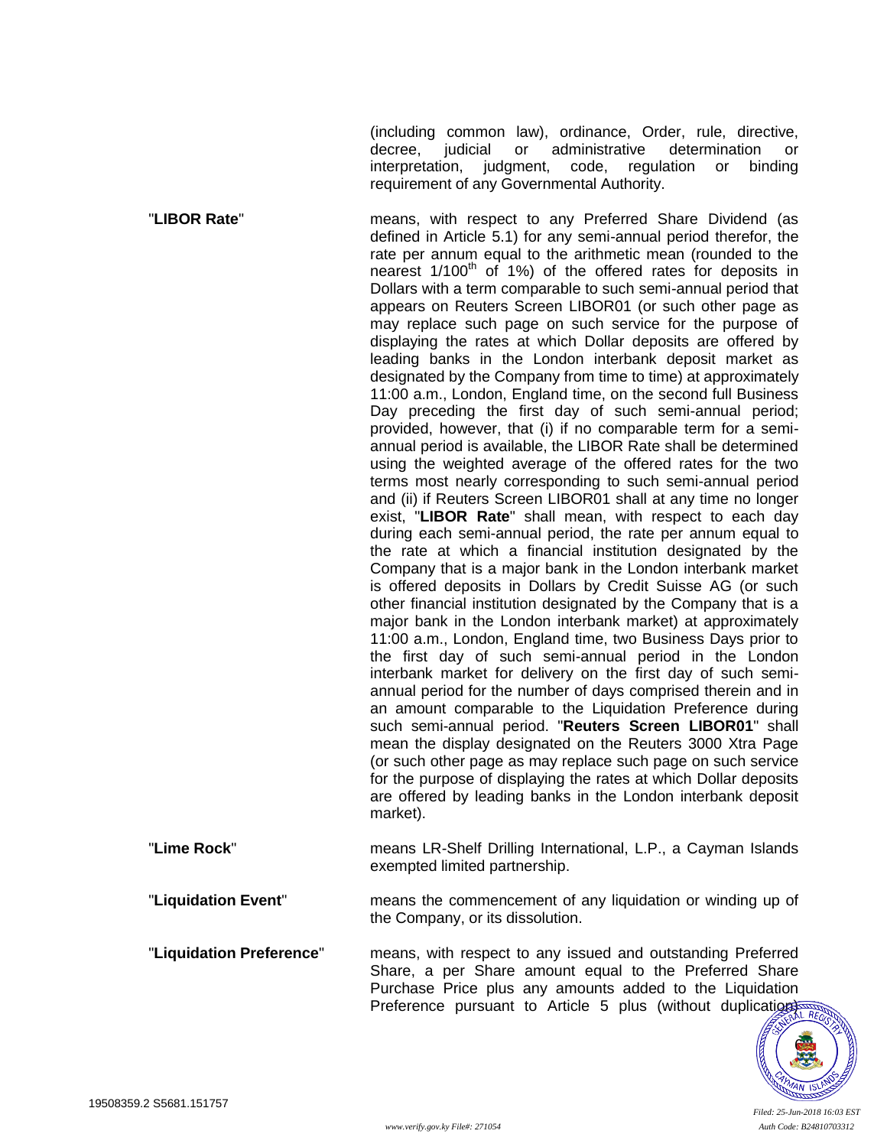(including common law), ordinance, Order, rule, directive, decree, judicial or administrative determination or interpretation, judgment, code, regulation or binding requirement of any Governmental Authority.

"**LIBOR Rate**" means, with respect to any Preferred Share Dividend (as defined in Article 5.1) for any semi-annual period therefor, the rate per annum equal to the arithmetic mean (rounded to the nearest  $1/100<sup>th</sup>$  of 1%) of the offered rates for deposits in Dollars with a term comparable to such semi-annual period that appears on Reuters Screen LIBOR01 (or such other page as may replace such page on such service for the purpose of displaying the rates at which Dollar deposits are offered by leading banks in the London interbank deposit market as designated by the Company from time to time) at approximately 11:00 a.m., London, England time, on the second full Business Day preceding the first day of such semi-annual period; provided, however, that (i) if no comparable term for a semiannual period is available, the LIBOR Rate shall be determined using the weighted average of the offered rates for the two terms most nearly corresponding to such semi-annual period and (ii) if Reuters Screen LIBOR01 shall at any time no longer exist, "**LIBOR Rate**" shall mean, with respect to each day during each semi-annual period, the rate per annum equal to the rate at which a financial institution designated by the Company that is a major bank in the London interbank market is offered deposits in Dollars by Credit Suisse AG (or such other financial institution designated by the Company that is a major bank in the London interbank market) at approximately 11:00 a.m., London, England time, two Business Days prior to the first day of such semi-annual period in the London interbank market for delivery on the first day of such semiannual period for the number of days comprised therein and in an amount comparable to the Liquidation Preference during such semi-annual period. "**Reuters Screen LIBOR01**" shall mean the display designated on the Reuters 3000 Xtra Page (or such other page as may replace such page on such service for the purpose of displaying the rates at which Dollar deposits are offered by leading banks in the London interbank deposit market).

- "**Lime Rock**" means LR-Shelf Drilling International, L.P., a Cayman Islands exempted limited partnership.
- "**Liquidation Event**" means the commencement of any liquidation or winding up of the Company, or its dissolution.
- "**Liquidation Preference**" means, with respect to any issued and outstanding Preferred Share, a per Share amount equal to the Preferred Share Purchase Price plus any amounts added to the Liquidation Preference pursuant to Article [5](#page-16-0) plus (without duplication)

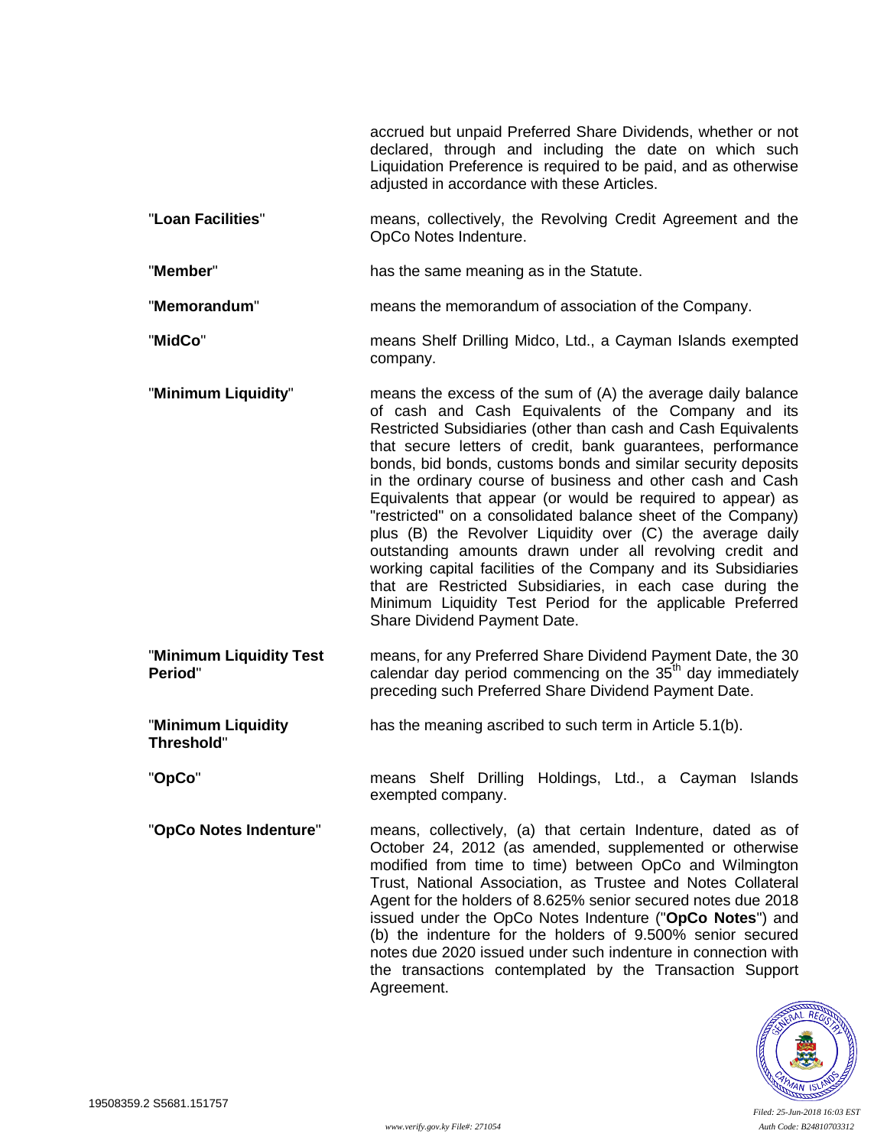accrued but unpaid Preferred Share Dividends, whether or not declared, through and including the date on which such Liquidation Preference is required to be paid, and as otherwise adjusted in accordance with these Articles.

- "**Loan Facilities**" means, collectively, the Revolving Credit Agreement and the OpCo Notes Indenture.
- "**Member**" has the same meaning as in the Statute.
- "**Memorandum**" means the memorandum of association of the Company.
- "**MidCo**" means Shelf Drilling Midco, Ltd., a Cayman Islands exempted company.
- "**Minimum Liquidity**" means the excess of the sum of (A) the average daily balance of cash and Cash Equivalents of the Company and its Restricted Subsidiaries (other than cash and Cash Equivalents that secure letters of credit, bank guarantees, performance bonds, bid bonds, customs bonds and similar security deposits in the ordinary course of business and other cash and Cash Equivalents that appear (or would be required to appear) as "restricted" on a consolidated balance sheet of the Company) plus (B) the Revolver Liquidity over (C) the average daily outstanding amounts drawn under all revolving credit and working capital facilities of the Company and its Subsidiaries that are Restricted Subsidiaries, in each case during the Minimum Liquidity Test Period for the applicable Preferred Share Dividend Payment Date.
- "**Minimum Liquidity Test Period**" means, for any Preferred Share Dividend Payment Date, the 30 calendar day period commencing on the  $35<sup>th</sup>$  day immediately preceding such Preferred Share Dividend Payment Date.
- "**Minimum Liquidity Threshold**" has the meaning ascribed to such term in Article [5.1\(b\).](#page-17-0)
- "**OpCo**" means Shelf Drilling Holdings, Ltd., a Cayman Islands exempted company.
- "**OpCo Notes Indenture**" means, collectively, (a) that certain Indenture, dated as of October 24, 2012 (as amended, supplemented or otherwise modified from time to time) between OpCo and Wilmington Trust, National Association, as Trustee and Notes Collateral Agent for the holders of 8.625% senior secured notes due 2018 issued under the OpCo Notes Indenture ("**OpCo Notes**") and (b) the indenture for the holders of 9.500% senior secured notes due 2020 issued under such indenture in connection with the transactions contemplated by the Transaction Support Agreement.

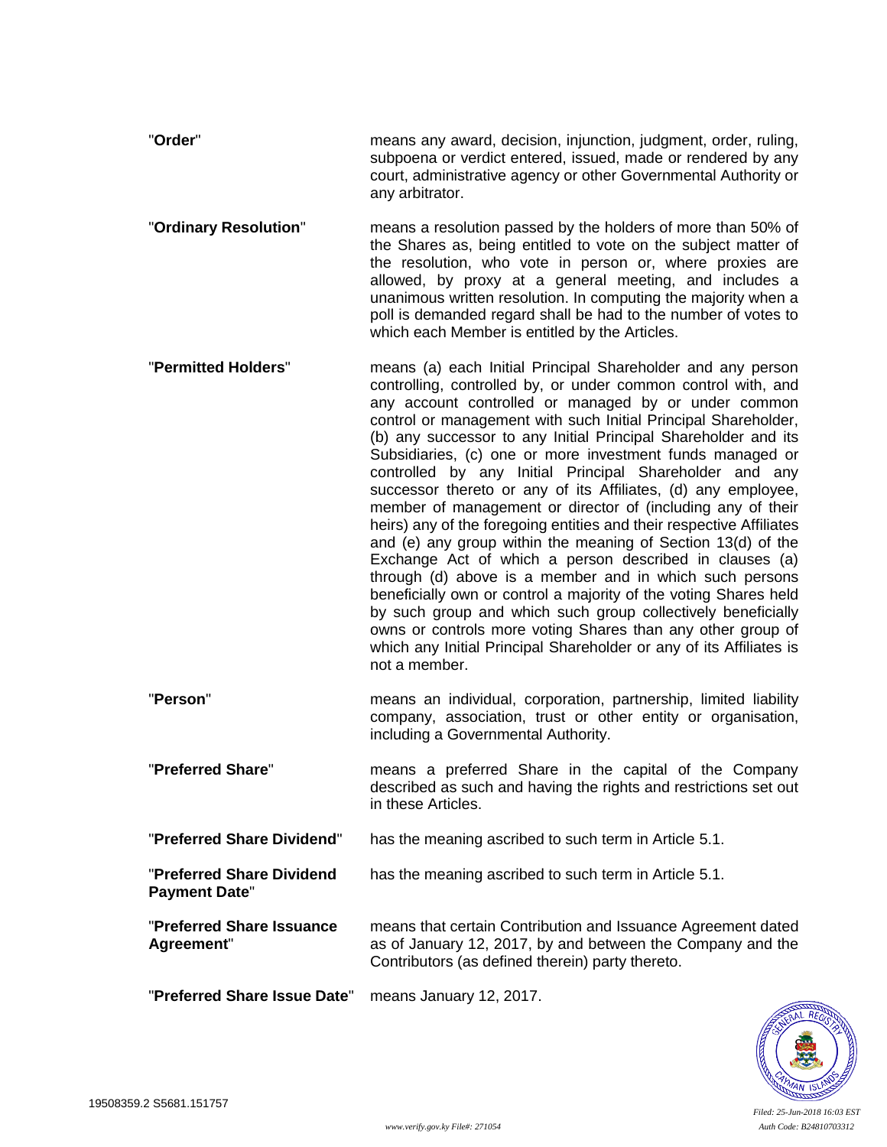- "**Order**" means any award, decision, injunction, judgment, order, ruling, subpoena or verdict entered, issued, made or rendered by any court, administrative agency or other Governmental Authority or any arbitrator.
- "**Ordinary Resolution**" means a resolution passed by the holders of more than 50% of the Shares as, being entitled to vote on the subject matter of the resolution, who vote in person or, where proxies are allowed, by proxy at a general meeting, and includes a unanimous written resolution. In computing the majority when a poll is demanded regard shall be had to the number of votes to which each Member is entitled by the Articles.
- "**Permitted Holders**" means (a) each Initial Principal Shareholder and any person controlling, controlled by, or under common control with, and any account controlled or managed by or under common control or management with such Initial Principal Shareholder, (b) any successor to any Initial Principal Shareholder and its Subsidiaries, (c) one or more investment funds managed or controlled by any Initial Principal Shareholder and any successor thereto or any of its Affiliates, (d) any employee, member of management or director of (including any of their heirs) any of the foregoing entities and their respective Affiliates and (e) any group within the meaning of Section 13(d) of the Exchange Act of which a person described in clauses (a) through (d) above is a member and in which such persons beneficially own or control a majority of the voting Shares held by such group and which such group collectively beneficially owns or controls more voting Shares than any other group of which any Initial Principal Shareholder or any of its Affiliates is not a member.
- "**Person**" means an individual, corporation, partnership, limited liability company, association, trust or other entity or organisation, including a Governmental Authority.
- "**Preferred Share**" means a preferred Share in the capital of the Company described as such and having the rights and restrictions set out in these Articles.
- "**Preferred Share Dividend**" has the meaning ascribed to such term in Article [5.1.](#page-16-1)
- "**Preferred Share Dividend Payment Date**" has the meaning ascribed to such term in Article [5.1.](#page-16-1)
- "**Preferred Share Issuance Agreement**" means that certain Contribution and Issuance Agreement dated as of January 12, 2017, by and between the Company and the Contributors (as defined therein) party thereto.

"**Preferred Share Issue Date**" means January 12, 2017.

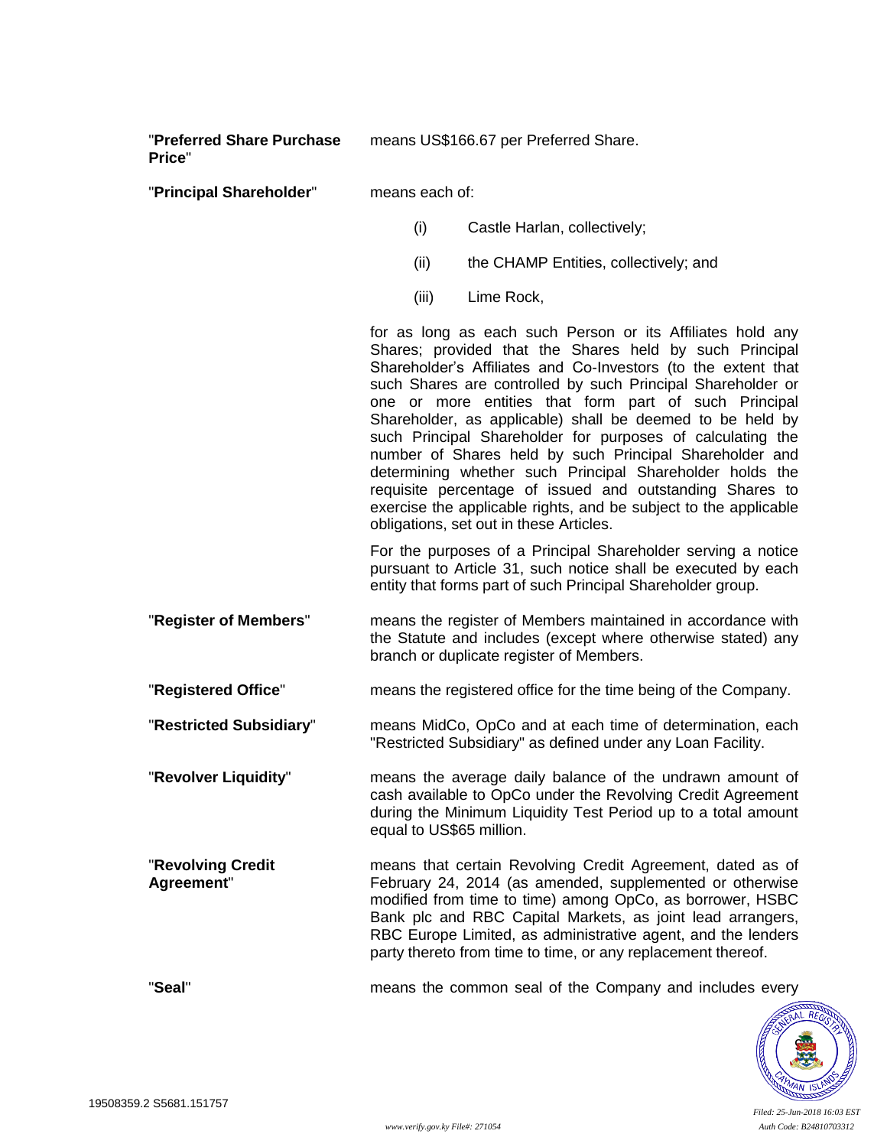"**Preferred Share Purchase Price**" means US\$166.67 per Preferred Share.

"**Principal Shareholder**" means each of:

- (i) Castle Harlan, collectively;
- (ii) the CHAMP Entities, collectively; and
- (iii) Lime Rock,

for as long as each such Person or its Affiliates hold any Shares; provided that the Shares held by such Principal Shareholder's Affiliates and Co-Investors (to the extent that such Shares are controlled by such Principal Shareholder or one or more entities that form part of such Principal Shareholder, as applicable) shall be deemed to be held by such Principal Shareholder for purposes of calculating the number of Shares held by such Principal Shareholder and determining whether such Principal Shareholder holds the requisite percentage of issued and outstanding Shares to exercise the applicable rights, and be subject to the applicable obligations, set out in these Articles.

For the purposes of a Principal Shareholder serving a notice pursuant to Article [31,](#page-37-0) such notice shall be executed by each entity that forms part of such Principal Shareholder group.

"**Register of Members**" means the register of Members maintained in accordance with the Statute and includes (except where otherwise stated) any branch or duplicate register of Members.

"**Registered Office**" means the registered office for the time being of the Company.

"**Restricted Subsidiary**" means MidCo, OpCo and at each time of determination, each "Restricted Subsidiary" as defined under any Loan Facility.

"**Revolver Liquidity**" means the average daily balance of the undrawn amount of cash available to OpCo under the Revolving Credit Agreement during the Minimum Liquidity Test Period up to a total amount equal to US\$65 million.

"**Revolving Credit Agreement**" means that certain Revolving Credit Agreement, dated as of February 24, 2014 (as amended, supplemented or otherwise modified from time to time) among OpCo, as borrower, HSBC Bank plc and RBC Capital Markets, as joint lead arrangers, RBC Europe Limited, as administrative agent, and the lenders party thereto from time to time, or any replacement thereof.

"**Seal**" means the common seal of the Company and includes every

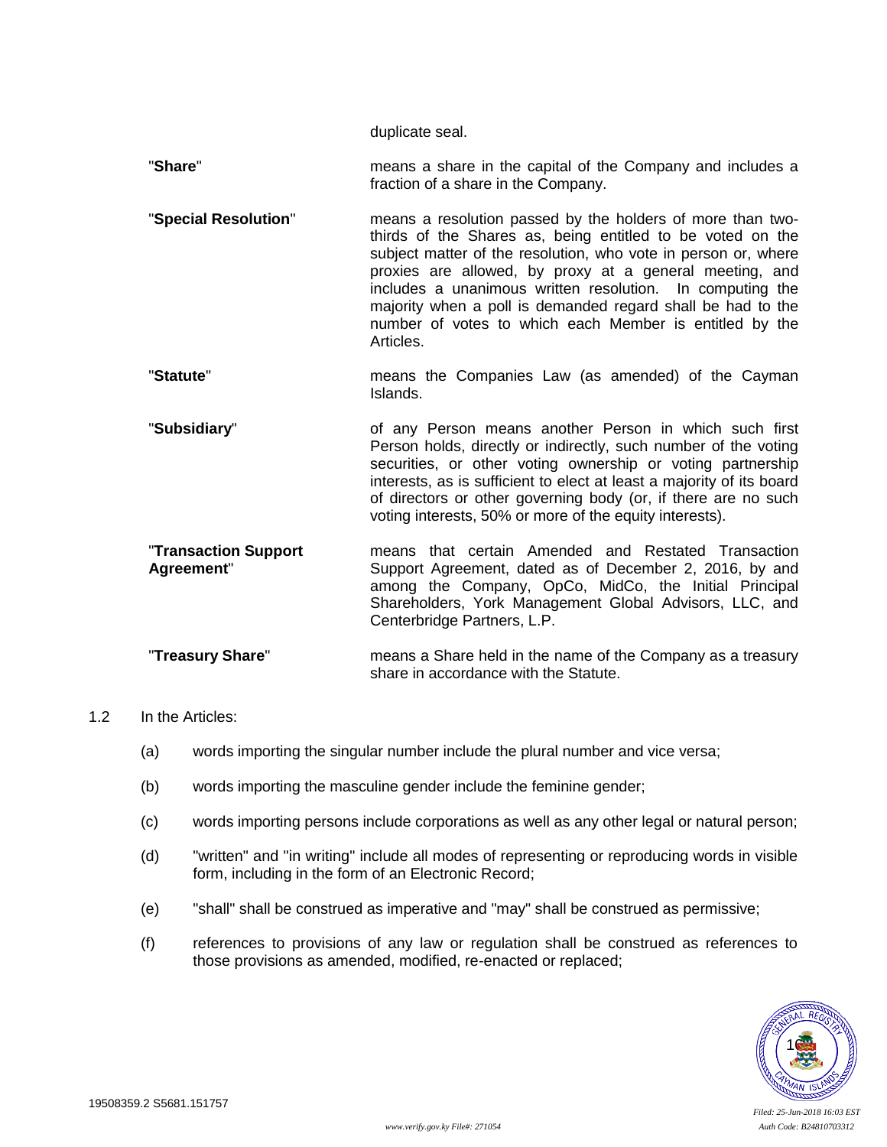duplicate seal.

"**Share**" means a share in the capital of the Company and includes a fraction of a share in the Company.

- "**Special Resolution**" means a resolution passed by the holders of more than twothirds of the Shares as, being entitled to be voted on the subject matter of the resolution, who vote in person or, where proxies are allowed, by proxy at a general meeting, and includes a unanimous written resolution. In computing the majority when a poll is demanded regard shall be had to the number of votes to which each Member is entitled by the Articles.
- "**Statute**" means the Companies Law (as amended) of the Cayman Islands.
- "**Subsidiary**" of any Person means another Person in which such first Person holds, directly or indirectly, such number of the voting securities, or other voting ownership or voting partnership interests, as is sufficient to elect at least a majority of its board of directors or other governing body (or, if there are no such voting interests, 50% or more of the equity interests).
- "**Transaction Support Agreement**" means that certain Amended and Restated Transaction Support Agreement, dated as of December 2, 2016, by and among the Company, OpCo, MidCo, the Initial Principal Shareholders, York Management Global Advisors, LLC, and Centerbridge Partners, L.P.
- "**Treasury Share**" means a Share held in the name of the Company as a treasury share in accordance with the Statute.

### 1.2 In the Articles:

- (a) words importing the singular number include the plural number and vice versa;
- (b) words importing the masculine gender include the feminine gender;
- (c) words importing persons include corporations as well as any other legal or natural person;
- (d) "written" and "in writing" include all modes of representing or reproducing words in visible form, including in the form of an Electronic Record;
- (e) "shall" shall be construed as imperative and "may" shall be construed as permissive;
- (f) references to provisions of any law or regulation shall be construed as references to those provisions as amended, modified, re-enacted or replaced;

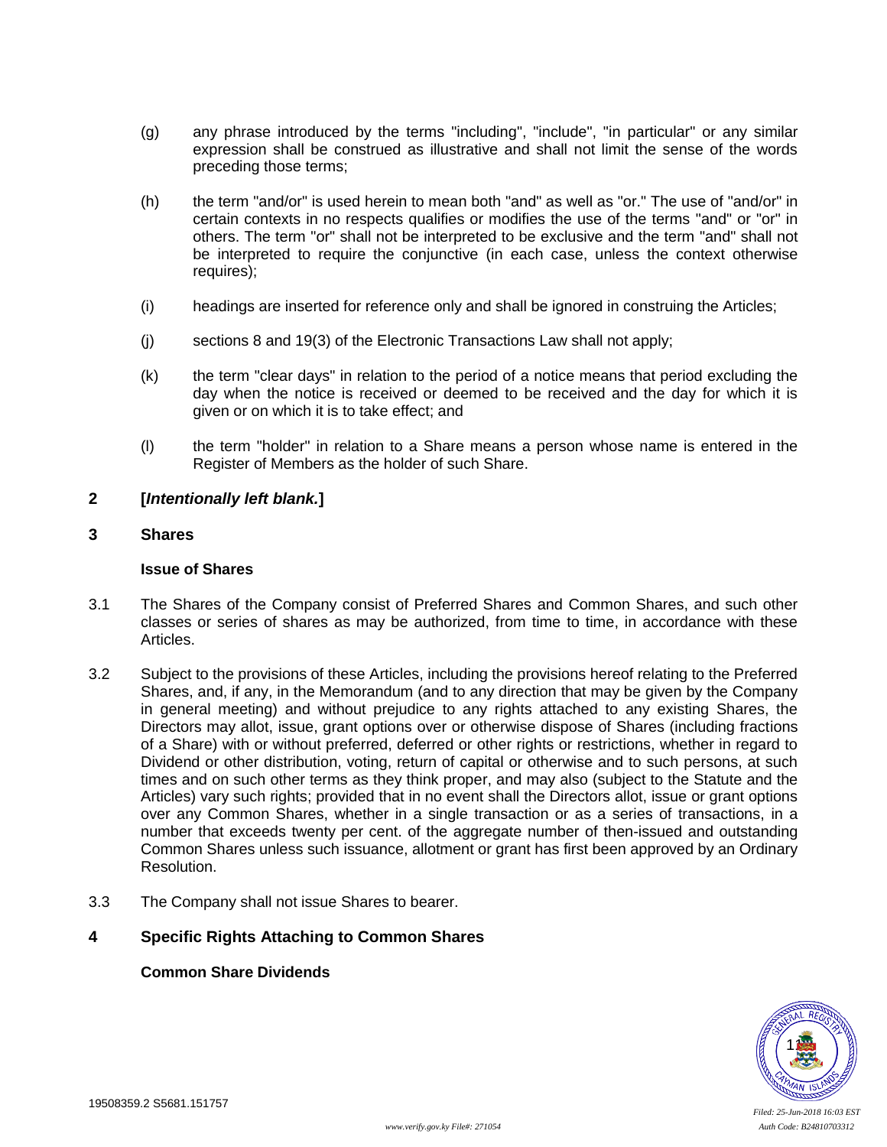- (g) any phrase introduced by the terms "including", "include", "in particular" or any similar expression shall be construed as illustrative and shall not limit the sense of the words preceding those terms;
- (h) the term "and/or" is used herein to mean both "and" as well as "or." The use of "and/or" in certain contexts in no respects qualifies or modifies the use of the terms "and" or "or" in others. The term "or" shall not be interpreted to be exclusive and the term "and" shall not be interpreted to require the conjunctive (in each case, unless the context otherwise requires);
- (i) headings are inserted for reference only and shall be ignored in construing the Articles;
- (j) sections 8 and 19(3) of the Electronic Transactions Law shall not apply;
- (k) the term "clear days" in relation to the period of a notice means that period excluding the day when the notice is received or deemed to be received and the day for which it is given or on which it is to take effect; and
- (l) the term "holder" in relation to a Share means a person whose name is entered in the Register of Members as the holder of such Share.

### **2 [***Intentionally left blank.***]**

# <span id="page-15-0"></span>**3 Shares**

#### **Issue of Shares**

- 3.1 The Shares of the Company consist of Preferred Shares and Common Shares, and such other classes or series of shares as may be authorized, from time to time, in accordance with these Articles.
- 3.2 Subject to the provisions of these Articles, including the provisions hereof relating to the Preferred Shares, and, if any, in the Memorandum (and to any direction that may be given by the Company in general meeting) and without prejudice to any rights attached to any existing Shares, the Directors may allot, issue, grant options over or otherwise dispose of Shares (including fractions of a Share) with or without preferred, deferred or other rights or restrictions, whether in regard to Dividend or other distribution, voting, return of capital or otherwise and to such persons, at such times and on such other terms as they think proper, and may also (subject to the Statute and the Articles) vary such rights; provided that in no event shall the Directors allot, issue or grant options over any Common Shares, whether in a single transaction or as a series of transactions, in a number that exceeds twenty per cent. of the aggregate number of then-issued and outstanding Common Shares unless such issuance, allotment or grant has first been approved by an Ordinary Resolution.
- 3.3 The Company shall not issue Shares to bearer.

### **4 Specific Rights Attaching to Common Shares**

### **Common Share Dividends**

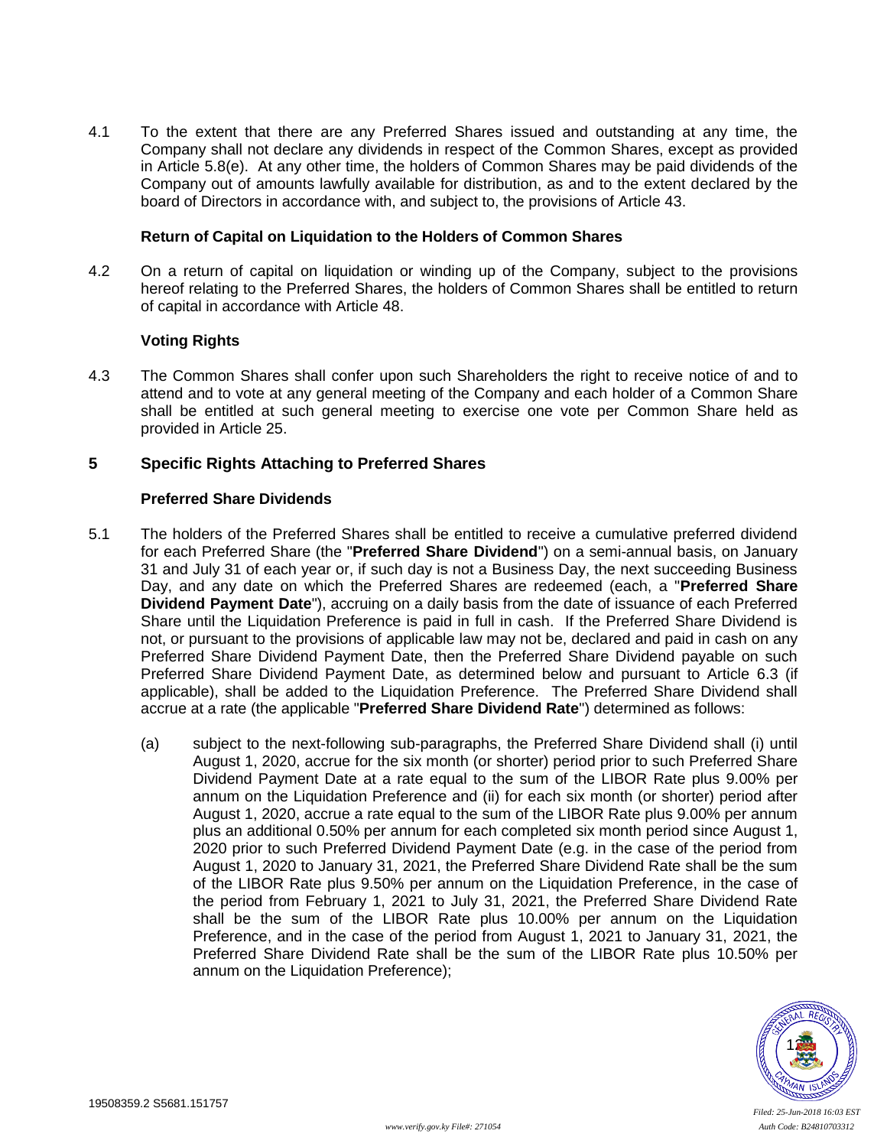4.1 To the extent that there are any Preferred Shares issued and outstanding at any time, the Company shall not declare any dividends in respect of the Common Shares, except as provided in Article [5.8\(e\).](#page-20-2) At any other time, the holders of Common Shares may be paid dividends of the Company out of amounts lawfully available for distribution, as and to the extent declared by the board of Directors in accordance with, and subject to, the provisions of Article [43.](#page-43-0)

#### **Return of Capital on Liquidation to the Holders of Common Shares**

4.2 On a return of capital on liquidation or winding up of the Company, subject to the provisions hereof relating to the Preferred Shares, the holders of Common Shares shall be entitled to return of capital in accordance with Article [48.](#page-46-0)

#### **Voting Rights**

4.3 The Common Shares shall confer upon such Shareholders the right to receive notice of and to attend and to vote at any general meeting of the Company and each holder of a Common Share shall be entitled at such general meeting to exercise one vote per Common Share held as provided in Article [25.](#page-34-0)

## <span id="page-16-0"></span>**5 Specific Rights Attaching to Preferred Shares**

### **Preferred Share Dividends**

- <span id="page-16-2"></span><span id="page-16-1"></span>5.1 The holders of the Preferred Shares shall be entitled to receive a cumulative preferred dividend for each Preferred Share (the "**Preferred Share Dividend**") on a semi-annual basis, on January 31 and July 31 of each year or, if such day is not a Business Day, the next succeeding Business Day, and any date on which the Preferred Shares are redeemed (each, a "**Preferred Share Dividend Payment Date**"), accruing on a daily basis from the date of issuance of each Preferred Share until the Liquidation Preference is paid in full in cash. If the Preferred Share Dividend is not, or pursuant to the provisions of applicable law may not be, declared and paid in cash on any Preferred Share Dividend Payment Date, then the Preferred Share Dividend payable on such Preferred Share Dividend Payment Date, as determined below and pursuant to Article [6.3](#page-24-1) (if applicable), shall be added to the Liquidation Preference. The Preferred Share Dividend shall accrue at a rate (the applicable "**Preferred Share Dividend Rate**") determined as follows:
	- (a) subject to the next-following sub-paragraphs, the Preferred Share Dividend shall (i) until August 1, 2020, accrue for the six month (or shorter) period prior to such Preferred Share Dividend Payment Date at a rate equal to the sum of the LIBOR Rate plus 9.00% per annum on the Liquidation Preference and (ii) for each six month (or shorter) period after August 1, 2020, accrue a rate equal to the sum of the LIBOR Rate plus 9.00% per annum plus an additional 0.50% per annum for each completed six month period since August 1, 2020 prior to such Preferred Dividend Payment Date (e.g. in the case of the period from August 1, 2020 to January 31, 2021, the Preferred Share Dividend Rate shall be the sum of the LIBOR Rate plus 9.50% per annum on the Liquidation Preference, in the case of the period from February 1, 2021 to July 31, 2021, the Preferred Share Dividend Rate shall be the sum of the LIBOR Rate plus 10.00% per annum on the Liquidation Preference, and in the case of the period from August 1, 2021 to January 31, 2021, the Preferred Share Dividend Rate shall be the sum of the LIBOR Rate plus 10.50% per annum on the Liquidation Preference);

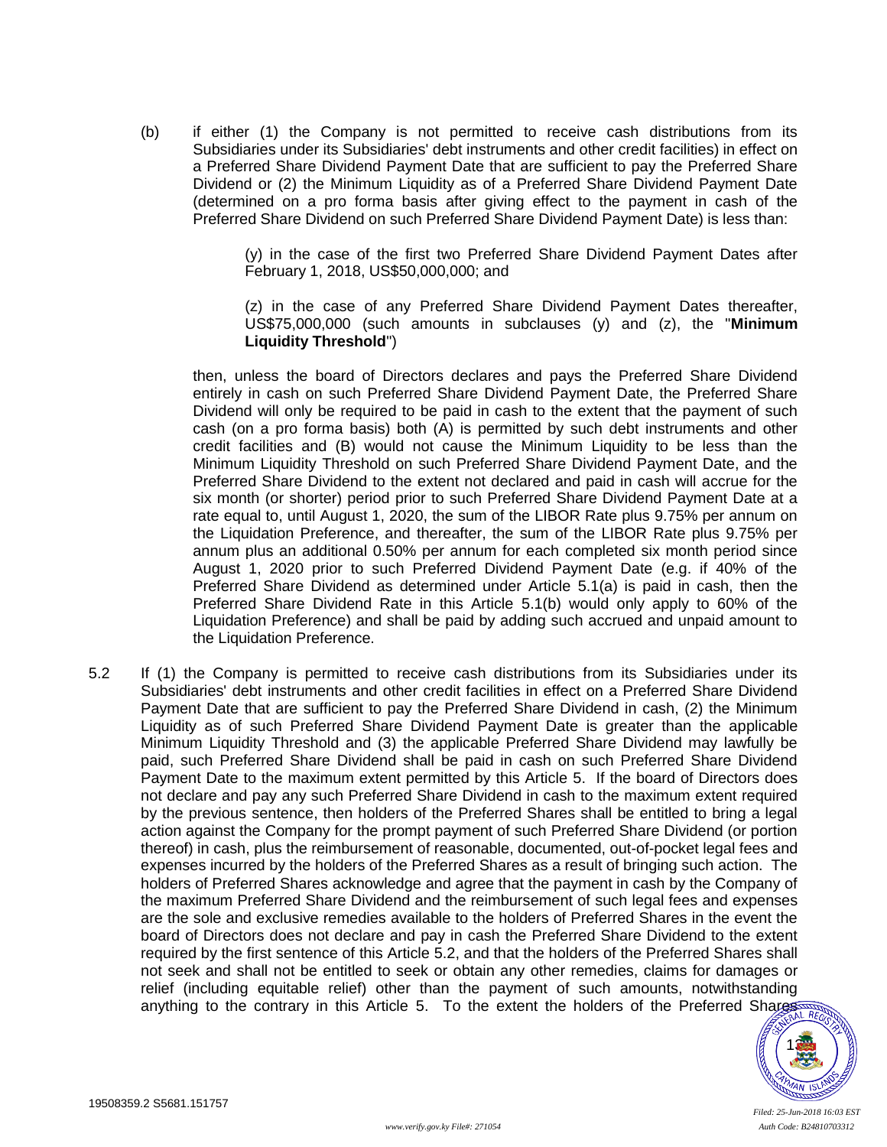<span id="page-17-0"></span>(b) if either (1) the Company is not permitted to receive cash distributions from its Subsidiaries under its Subsidiaries' debt instruments and other credit facilities) in effect on a Preferred Share Dividend Payment Date that are sufficient to pay the Preferred Share Dividend or (2) the Minimum Liquidity as of a Preferred Share Dividend Payment Date (determined on a pro forma basis after giving effect to the payment in cash of the Preferred Share Dividend on such Preferred Share Dividend Payment Date) is less than:

> (y) in the case of the first two Preferred Share Dividend Payment Dates after February 1, 2018, US\$50,000,000; and

> (z) in the case of any Preferred Share Dividend Payment Dates thereafter, US\$75,000,000 (such amounts in subclauses (y) and (z), the "**Minimum Liquidity Threshold**")

then, unless the board of Directors declares and pays the Preferred Share Dividend entirely in cash on such Preferred Share Dividend Payment Date, the Preferred Share Dividend will only be required to be paid in cash to the extent that the payment of such cash (on a pro forma basis) both (A) is permitted by such debt instruments and other credit facilities and (B) would not cause the Minimum Liquidity to be less than the Minimum Liquidity Threshold on such Preferred Share Dividend Payment Date, and the Preferred Share Dividend to the extent not declared and paid in cash will accrue for the six month (or shorter) period prior to such Preferred Share Dividend Payment Date at a rate equal to, until August 1, 2020, the sum of the LIBOR Rate plus 9.75% per annum on the Liquidation Preference, and thereafter, the sum of the LIBOR Rate plus 9.75% per annum plus an additional 0.50% per annum for each completed six month period since August 1, 2020 prior to such Preferred Dividend Payment Date (e.g. if 40% of the Preferred Share Dividend as determined under Article [5.1\(a\)](#page-16-2) is paid in cash, then the Preferred Share Dividend Rate in this Article [5.1\(b\)](#page-17-0) would only apply to 60% of the Liquidation Preference) and shall be paid by adding such accrued and unpaid amount to the Liquidation Preference.

<span id="page-17-1"></span>5.2 If (1) the Company is permitted to receive cash distributions from its Subsidiaries under its Subsidiaries' debt instruments and other credit facilities in effect on a Preferred Share Dividend Payment Date that are sufficient to pay the Preferred Share Dividend in cash, (2) the Minimum Liquidity as of such Preferred Share Dividend Payment Date is greater than the applicable Minimum Liquidity Threshold and (3) the applicable Preferred Share Dividend may lawfully be paid, such Preferred Share Dividend shall be paid in cash on such Preferred Share Dividend Payment Date to the maximum extent permitted by this Article [5.](#page-16-0) If the board of Directors does not declare and pay any such Preferred Share Dividend in cash to the maximum extent required by the previous sentence, then holders of the Preferred Shares shall be entitled to bring a legal action against the Company for the prompt payment of such Preferred Share Dividend (or portion thereof) in cash, plus the reimbursement of reasonable, documented, out-of-pocket legal fees and expenses incurred by the holders of the Preferred Shares as a result of bringing such action. The holders of Preferred Shares acknowledge and agree that the payment in cash by the Company of the maximum Preferred Share Dividend and the reimbursement of such legal fees and expenses are the sole and exclusive remedies available to the holders of Preferred Shares in the event the board of Directors does not declare and pay in cash the Preferred Share Dividend to the extent required by the first sentence of this Article [5.2,](#page-17-1) and that the holders of the Preferred Shares shall not seek and shall not be entitled to seek or obtain any other remedies, claims for damages or relief (including equitable relief) other than the payment of such amounts, notwithstanding anything to the contrary in this Article [5.](#page-16-0) To the extent the holders of the Preferred Shares

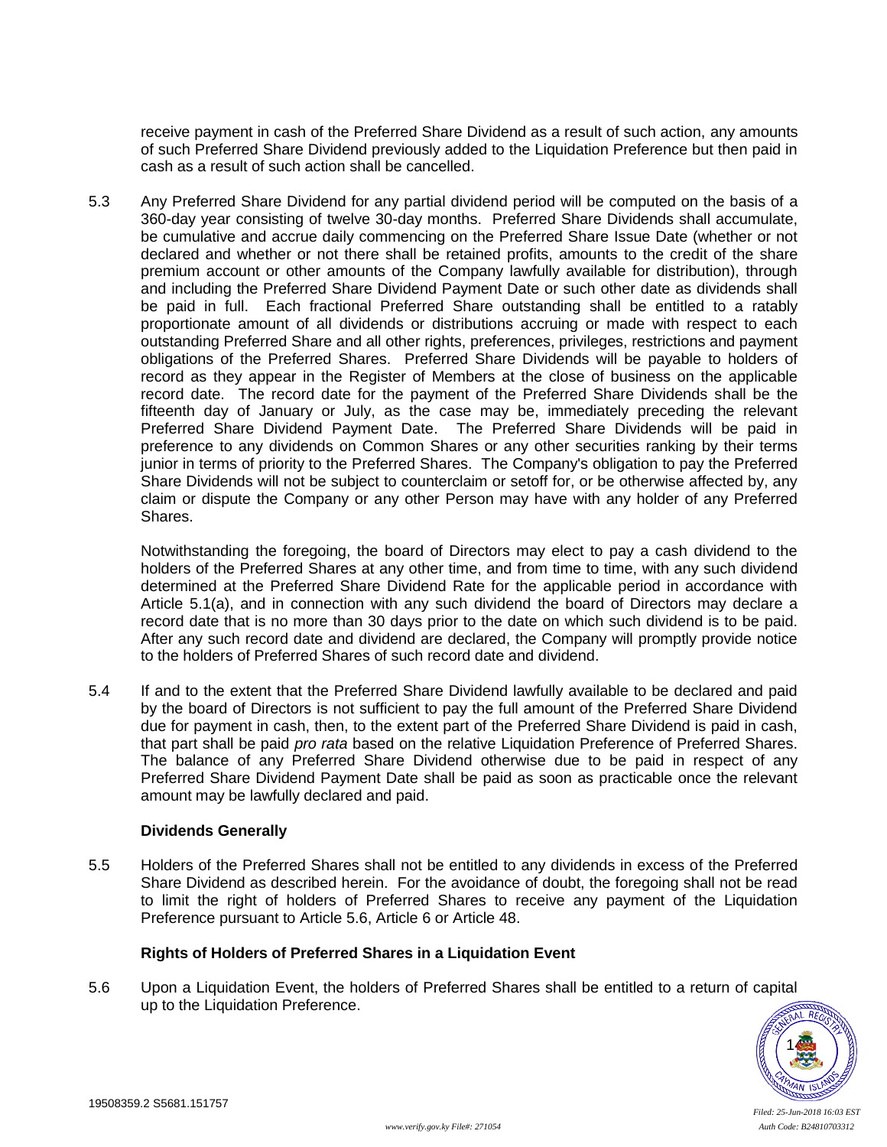receive payment in cash of the Preferred Share Dividend as a result of such action, any amounts of such Preferred Share Dividend previously added to the Liquidation Preference but then paid in cash as a result of such action shall be cancelled.

5.3 Any Preferred Share Dividend for any partial dividend period will be computed on the basis of a 360-day year consisting of twelve 30-day months. Preferred Share Dividends shall accumulate, be cumulative and accrue daily commencing on the Preferred Share Issue Date (whether or not declared and whether or not there shall be retained profits, amounts to the credit of the share premium account or other amounts of the Company lawfully available for distribution), through and including the Preferred Share Dividend Payment Date or such other date as dividends shall be paid in full. Each fractional Preferred Share outstanding shall be entitled to a ratably proportionate amount of all dividends or distributions accruing or made with respect to each outstanding Preferred Share and all other rights, preferences, privileges, restrictions and payment obligations of the Preferred Shares. Preferred Share Dividends will be payable to holders of record as they appear in the Register of Members at the close of business on the applicable record date. The record date for the payment of the Preferred Share Dividends shall be the fifteenth day of January or July, as the case may be, immediately preceding the relevant Preferred Share Dividend Payment Date. The Preferred Share Dividends will be paid in preference to any dividends on Common Shares or any other securities ranking by their terms junior in terms of priority to the Preferred Shares. The Company's obligation to pay the Preferred Share Dividends will not be subject to counterclaim or setoff for, or be otherwise affected by, any claim or dispute the Company or any other Person may have with any holder of any Preferred Shares.

Notwithstanding the foregoing, the board of Directors may elect to pay a cash dividend to the holders of the Preferred Shares at any other time, and from time to time, with any such dividend determined at the Preferred Share Dividend Rate for the applicable period in accordance with Article [5.1\(a\),](#page-16-2) and in connection with any such dividend the board of Directors may declare a record date that is no more than 30 days prior to the date on which such dividend is to be paid. After any such record date and dividend are declared, the Company will promptly provide notice to the holders of Preferred Shares of such record date and dividend.

5.4 If and to the extent that the Preferred Share Dividend lawfully available to be declared and paid by the board of Directors is not sufficient to pay the full amount of the Preferred Share Dividend due for payment in cash, then, to the extent part of the Preferred Share Dividend is paid in cash, that part shall be paid *pro rata* based on the relative Liquidation Preference of Preferred Shares. The balance of any Preferred Share Dividend otherwise due to be paid in respect of any Preferred Share Dividend Payment Date shall be paid as soon as practicable once the relevant amount may be lawfully declared and paid.

### **Dividends Generally**

5.5 Holders of the Preferred Shares shall not be entitled to any dividends in excess of the Preferred Share Dividend as described herein. For the avoidance of doubt, the foregoing shall not be read to limit the right of holders of Preferred Shares to receive any payment of the Liquidation Preference pursuant to Article [5.6,](#page-18-0) Article [6](#page-23-0) or Article [48.](#page-46-0)

### **Rights of Holders of Preferred Shares in a Liquidation Event**

<span id="page-18-0"></span>5.6 Upon a Liquidation Event, the holders of Preferred Shares shall be entitled to a return of capital up to the Liquidation Preference.

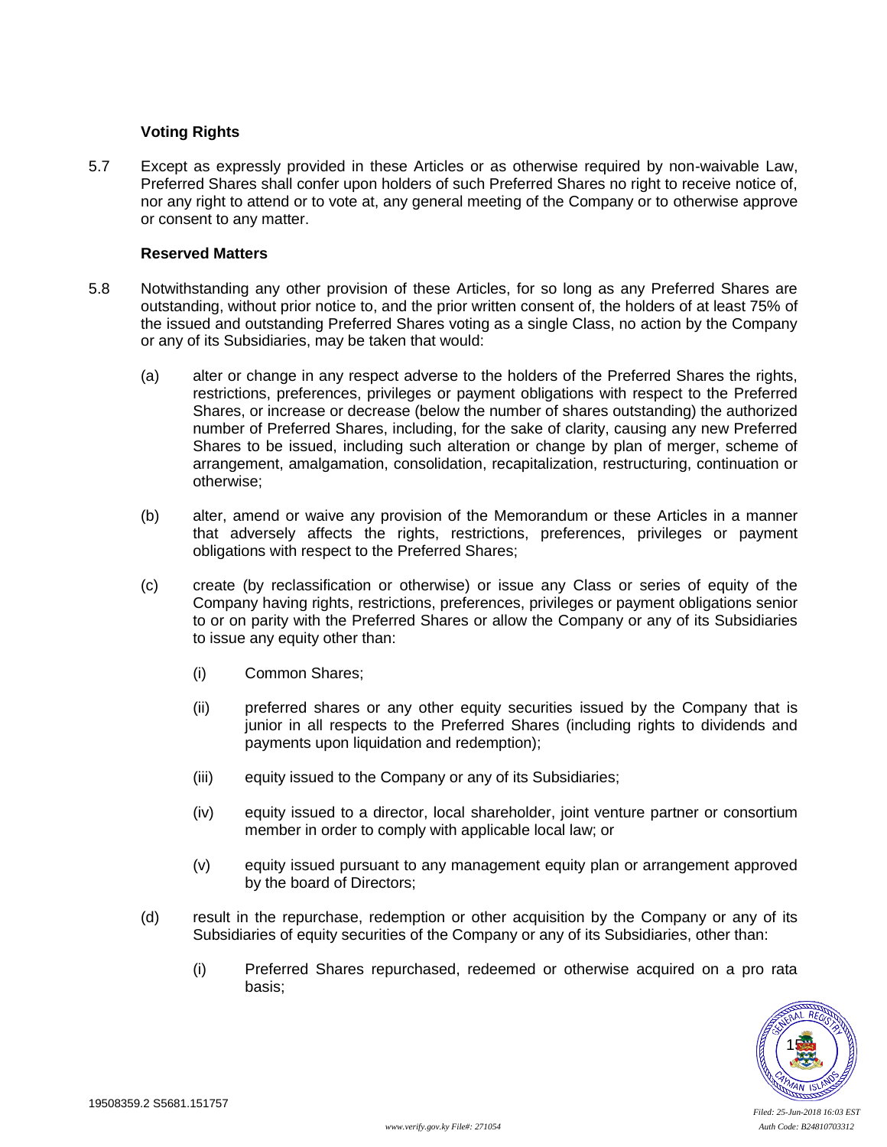## **Voting Rights**

5.7 Except as expressly provided in these Articles or as otherwise required by non-waivable Law, Preferred Shares shall confer upon holders of such Preferred Shares no right to receive notice of, nor any right to attend or to vote at, any general meeting of the Company or to otherwise approve or consent to any matter.

### **Reserved Matters**

- <span id="page-19-0"></span>5.8 Notwithstanding any other provision of these Articles, for so long as any Preferred Shares are outstanding, without prior notice to, and the prior written consent of, the holders of at least 75% of the issued and outstanding Preferred Shares voting as a single Class, no action by the Company or any of its Subsidiaries, may be taken that would:
	- (a) alter or change in any respect adverse to the holders of the Preferred Shares the rights, restrictions, preferences, privileges or payment obligations with respect to the Preferred Shares, or increase or decrease (below the number of shares outstanding) the authorized number of Preferred Shares, including, for the sake of clarity, causing any new Preferred Shares to be issued, including such alteration or change by plan of merger, scheme of arrangement, amalgamation, consolidation, recapitalization, restructuring, continuation or otherwise;
	- (b) alter, amend or waive any provision of the Memorandum or these Articles in a manner that adversely affects the rights, restrictions, preferences, privileges or payment obligations with respect to the Preferred Shares;
	- (c) create (by reclassification or otherwise) or issue any Class or series of equity of the Company having rights, restrictions, preferences, privileges or payment obligations senior to or on parity with the Preferred Shares or allow the Company or any of its Subsidiaries to issue any equity other than:
		- (i) Common Shares;
		- (ii) preferred shares or any other equity securities issued by the Company that is junior in all respects to the Preferred Shares (including rights to dividends and payments upon liquidation and redemption);
		- (iii) equity issued to the Company or any of its Subsidiaries;
		- (iv) equity issued to a director, local shareholder, joint venture partner or consortium member in order to comply with applicable local law; or
		- (v) equity issued pursuant to any management equity plan or arrangement approved by the board of Directors;
	- (d) result in the repurchase, redemption or other acquisition by the Company or any of its Subsidiaries of equity securities of the Company or any of its Subsidiaries, other than:
		- (i) Preferred Shares repurchased, redeemed or otherwise acquired on a pro rata basis;

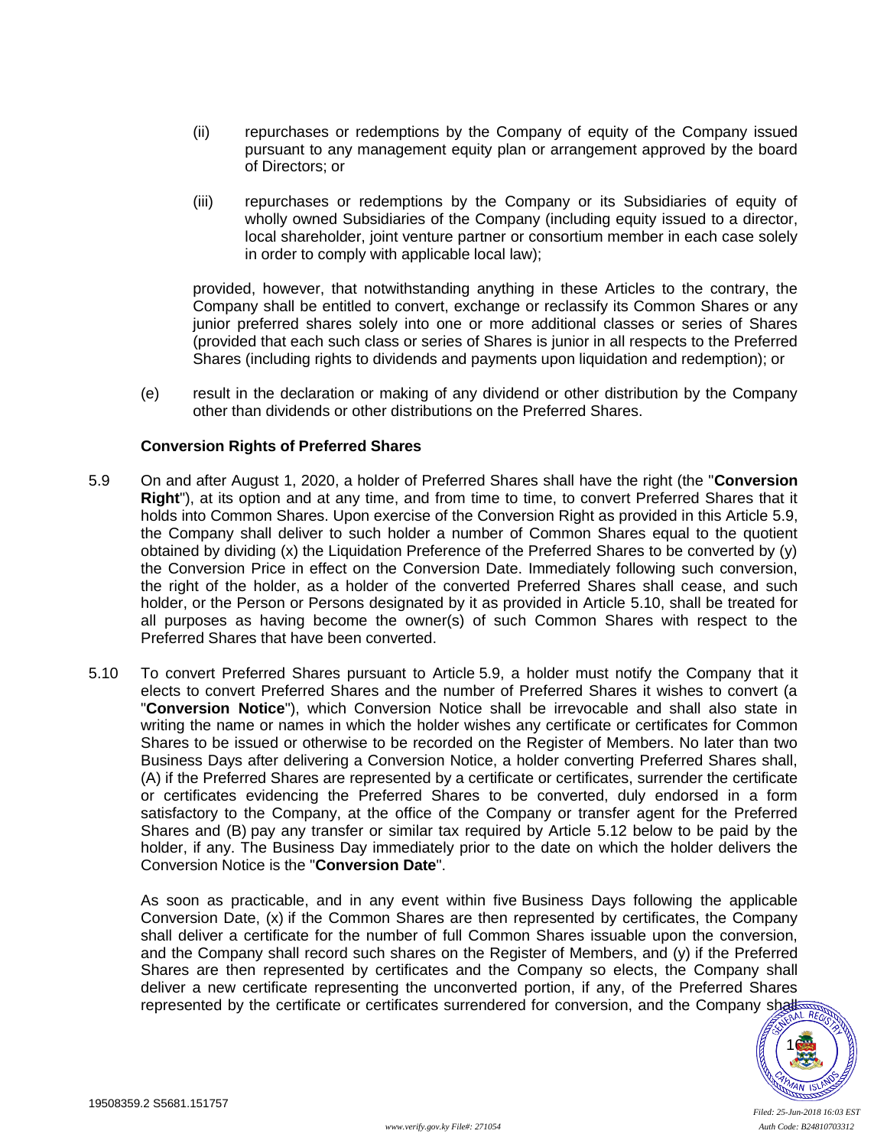- (ii) repurchases or redemptions by the Company of equity of the Company issued pursuant to any management equity plan or arrangement approved by the board of Directors; or
- (iii) repurchases or redemptions by the Company or its Subsidiaries of equity of wholly owned Subsidiaries of the Company (including equity issued to a director, local shareholder, joint venture partner or consortium member in each case solely in order to comply with applicable local law);

provided, however, that notwithstanding anything in these Articles to the contrary, the Company shall be entitled to convert, exchange or reclassify its Common Shares or any junior preferred shares solely into one or more additional classes or series of Shares (provided that each such class or series of Shares is junior in all respects to the Preferred Shares (including rights to dividends and payments upon liquidation and redemption); or

<span id="page-20-2"></span>(e) result in the declaration or making of any dividend or other distribution by the Company other than dividends or other distributions on the Preferred Shares.

## **Conversion Rights of Preferred Shares**

- <span id="page-20-1"></span>5.9 On and after August 1, 2020, a holder of Preferred Shares shall have the right (the "**Conversion Right**"), at its option and at any time, and from time to time, to convert Preferred Shares that it holds into Common Shares. Upon exercise of the Conversion Right as provided in this Article [5.9,](#page-20-1) the Company shall deliver to such holder a number of Common Shares equal to the quotient obtained by dividing (x) the Liquidation Preference of the Preferred Shares to be converted by (y) the Conversion Price in effect on the Conversion Date. Immediately following such conversion, the right of the holder, as a holder of the converted Preferred Shares shall cease, and such holder, or the Person or Persons designated by it as provided in Article [5.10,](#page-20-0) shall be treated for all purposes as having become the owner(s) of such Common Shares with respect to the Preferred Shares that have been converted.
- <span id="page-20-0"></span>5.10 To convert Preferred Shares pursuant to Article [5.9,](#page-20-1) a holder must notify the Company that it elects to convert Preferred Shares and the number of Preferred Shares it wishes to convert (a "**Conversion Notice**"), which Conversion Notice shall be irrevocable and shall also state in writing the name or names in which the holder wishes any certificate or certificates for Common Shares to be issued or otherwise to be recorded on the Register of Members. No later than two Business Days after delivering a Conversion Notice, a holder converting Preferred Shares shall, (A) if the Preferred Shares are represented by a certificate or certificates, surrender the certificate or certificates evidencing the Preferred Shares to be converted, duly endorsed in a form satisfactory to the Company, at the office of the Company or transfer agent for the Preferred Shares and (B) pay any transfer or similar tax required by Article [5.12](#page-21-0) below to be paid by the holder, if any. The Business Day immediately prior to the date on which the holder delivers the Conversion Notice is the "**Conversion Date**".

As soon as practicable, and in any event within five Business Days following the applicable Conversion Date, (x) if the Common Shares are then represented by certificates, the Company shall deliver a certificate for the number of full Common Shares issuable upon the conversion, and the Company shall record such shares on the Register of Members, and (y) if the Preferred Shares are then represented by certificates and the Company so elects, the Company shall deliver a new certificate representing the unconverted portion, if any, of the Preferred Shares represented by the certificate or certificates surrendered for conversion, and the Company shall fight fight

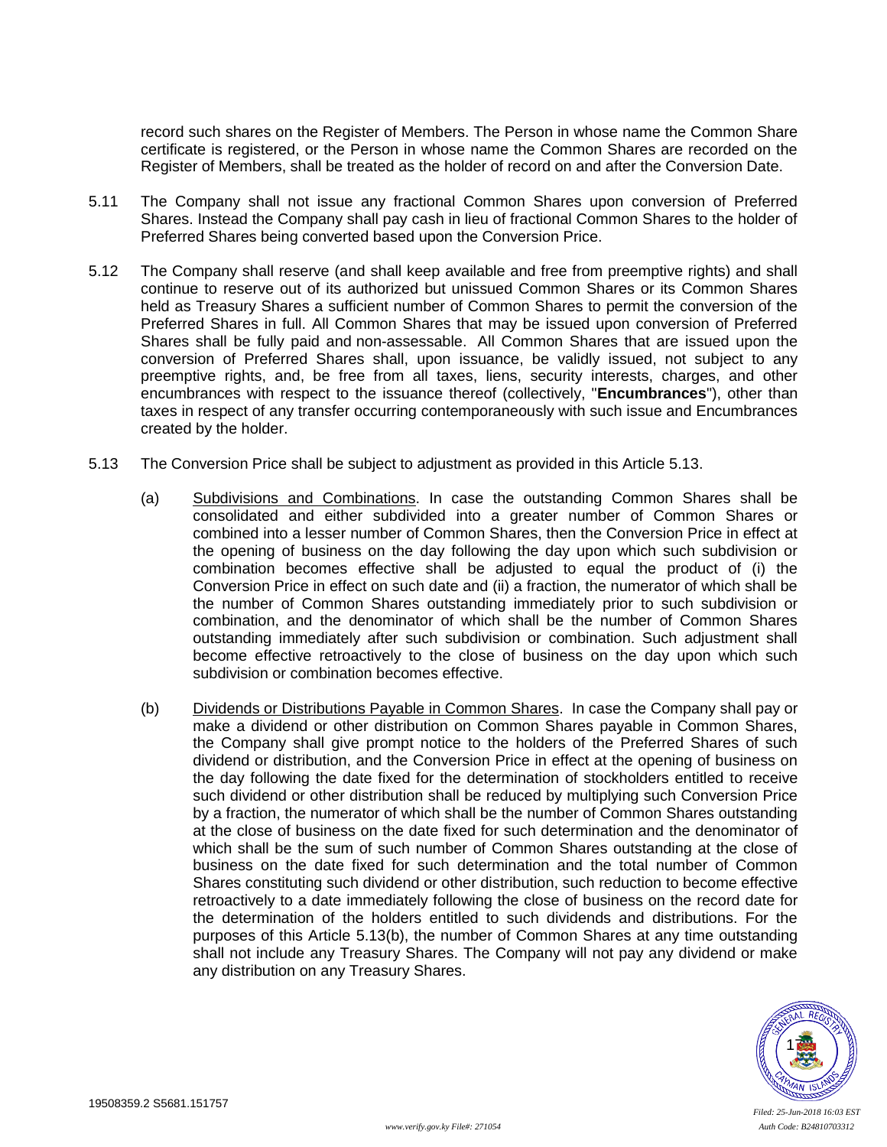record such shares on the Register of Members. The Person in whose name the Common Share certificate is registered, or the Person in whose name the Common Shares are recorded on the Register of Members, shall be treated as the holder of record on and after the Conversion Date.

- 5.11 The Company shall not issue any fractional Common Shares upon conversion of Preferred Shares. Instead the Company shall pay cash in lieu of fractional Common Shares to the holder of Preferred Shares being converted based upon the Conversion Price.
- <span id="page-21-0"></span>5.12 The Company shall reserve (and shall keep available and free from preemptive rights) and shall continue to reserve out of its authorized but unissued Common Shares or its Common Shares held as Treasury Shares a sufficient number of Common Shares to permit the conversion of the Preferred Shares in full. All Common Shares that may be issued upon conversion of Preferred Shares shall be fully paid and non-assessable. All Common Shares that are issued upon the conversion of Preferred Shares shall, upon issuance, be validly issued, not subject to any preemptive rights, and, be free from all taxes, liens, security interests, charges, and other encumbrances with respect to the issuance thereof (collectively, "**Encumbrances**"), other than taxes in respect of any transfer occurring contemporaneously with such issue and Encumbrances created by the holder.
- <span id="page-21-2"></span><span id="page-21-1"></span>5.13 The Conversion Price shall be subject to adjustment as provided in this Article [5.13.](#page-21-1)
	- (a) Subdivisions and Combinations. In case the outstanding Common Shares shall be consolidated and either subdivided into a greater number of Common Shares or combined into a lesser number of Common Shares, then the Conversion Price in effect at the opening of business on the day following the day upon which such subdivision or combination becomes effective shall be adjusted to equal the product of (i) the Conversion Price in effect on such date and (ii) a fraction, the numerator of which shall be the number of Common Shares outstanding immediately prior to such subdivision or combination, and the denominator of which shall be the number of Common Shares outstanding immediately after such subdivision or combination. Such adjustment shall become effective retroactively to the close of business on the day upon which such subdivision or combination becomes effective.
	- (b) Dividends or Distributions Payable in Common Shares. In case the Company shall pay or make a dividend or other distribution on Common Shares payable in Common Shares, the Company shall give prompt notice to the holders of the Preferred Shares of such dividend or distribution, and the Conversion Price in effect at the opening of business on the day following the date fixed for the determination of stockholders entitled to receive such dividend or other distribution shall be reduced by multiplying such Conversion Price by a fraction, the numerator of which shall be the number of Common Shares outstanding at the close of business on the date fixed for such determination and the denominator of which shall be the sum of such number of Common Shares outstanding at the close of business on the date fixed for such determination and the total number of Common Shares constituting such dividend or other distribution, such reduction to become effective retroactively to a date immediately following the close of business on the record date for the determination of the holders entitled to such dividends and distributions. For the purposes of this Article [5.13\(b\),](#page-21-2) the number of Common Shares at any time outstanding shall not include any Treasury Shares. The Company will not pay any dividend or make any distribution on any Treasury Shares.

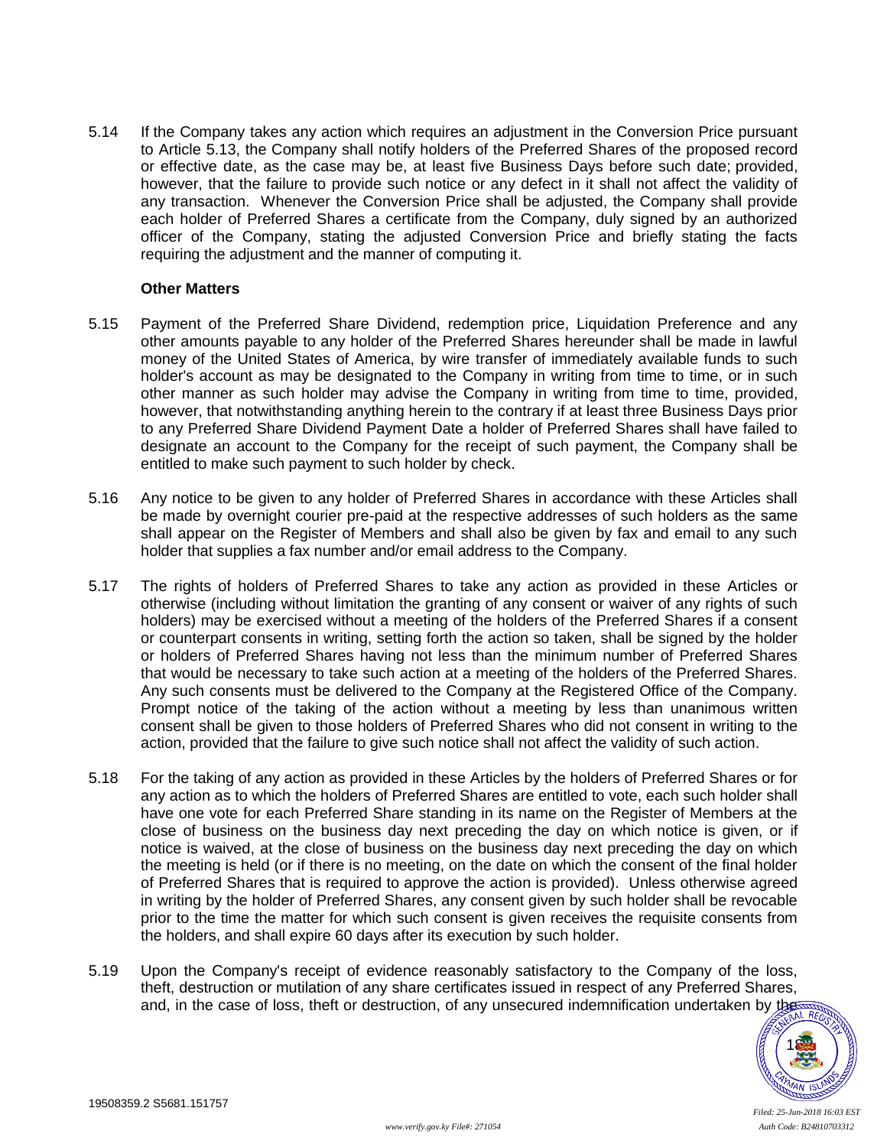5.14 If the Company takes any action which requires an adjustment in the Conversion Price pursuant to Article [5.13,](#page-21-1) the Company shall notify holders of the Preferred Shares of the proposed record or effective date, as the case may be, at least five Business Days before such date; provided, however, that the failure to provide such notice or any defect in it shall not affect the validity of any transaction. Whenever the Conversion Price shall be adjusted, the Company shall provide each holder of Preferred Shares a certificate from the Company, duly signed by an authorized officer of the Company, stating the adjusted Conversion Price and briefly stating the facts requiring the adjustment and the manner of computing it.

#### **Other Matters**

- <span id="page-22-0"></span>5.15 Payment of the Preferred Share Dividend, redemption price, Liquidation Preference and any other amounts payable to any holder of the Preferred Shares hereunder shall be made in lawful money of the United States of America, by wire transfer of immediately available funds to such holder's account as may be designated to the Company in writing from time to time, or in such other manner as such holder may advise the Company in writing from time to time, provided, however, that notwithstanding anything herein to the contrary if at least three Business Days prior to any Preferred Share Dividend Payment Date a holder of Preferred Shares shall have failed to designate an account to the Company for the receipt of such payment, the Company shall be entitled to make such payment to such holder by check.
- 5.16 Any notice to be given to any holder of Preferred Shares in accordance with these Articles shall be made by overnight courier pre-paid at the respective addresses of such holders as the same shall appear on the Register of Members and shall also be given by fax and email to any such holder that supplies a fax number and/or email address to the Company.
- 5.17 The rights of holders of Preferred Shares to take any action as provided in these Articles or otherwise (including without limitation the granting of any consent or waiver of any rights of such holders) may be exercised without a meeting of the holders of the Preferred Shares if a consent or counterpart consents in writing, setting forth the action so taken, shall be signed by the holder or holders of Preferred Shares having not less than the minimum number of Preferred Shares that would be necessary to take such action at a meeting of the holders of the Preferred Shares. Any such consents must be delivered to the Company at the Registered Office of the Company. Prompt notice of the taking of the action without a meeting by less than unanimous written consent shall be given to those holders of Preferred Shares who did not consent in writing to the action, provided that the failure to give such notice shall not affect the validity of such action.
- <span id="page-22-1"></span>5.18 For the taking of any action as provided in these Articles by the holders of Preferred Shares or for any action as to which the holders of Preferred Shares are entitled to vote, each such holder shall have one vote for each Preferred Share standing in its name on the Register of Members at the close of business on the business day next preceding the day on which notice is given, or if notice is waived, at the close of business on the business day next preceding the day on which the meeting is held (or if there is no meeting, on the date on which the consent of the final holder of Preferred Shares that is required to approve the action is provided). Unless otherwise agreed in writing by the holder of Preferred Shares, any consent given by such holder shall be revocable prior to the time the matter for which such consent is given receives the requisite consents from the holders, and shall expire 60 days after its execution by such holder.
- 5.19 Upon the Company's receipt of evidence reasonably satisfactory to the Company of the loss, theft, destruction or mutilation of any share certificates issued in respect of any Preferred Shares, and, in the case of loss, theft or destruction, of any unsecured indemnification undertaken by the

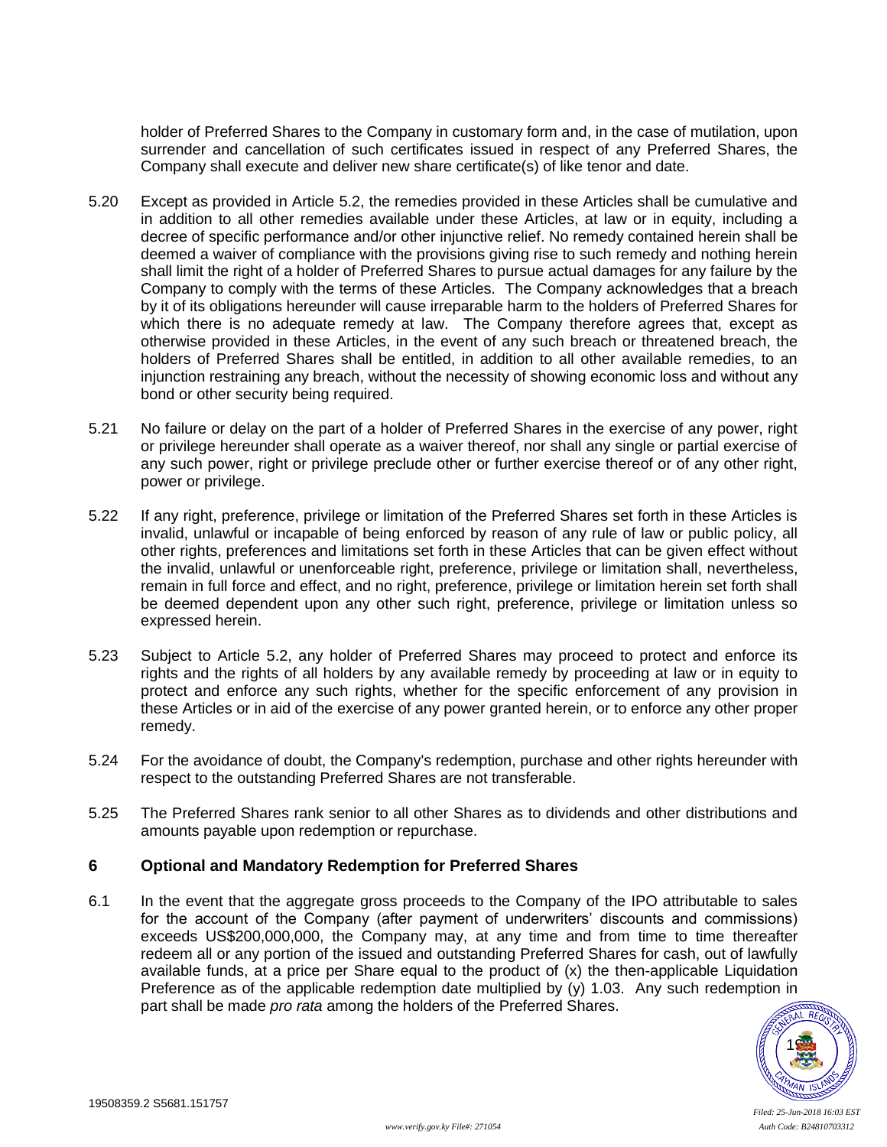holder of Preferred Shares to the Company in customary form and, in the case of mutilation, upon surrender and cancellation of such certificates issued in respect of any Preferred Shares, the Company shall execute and deliver new share certificate(s) of like tenor and date.

- 5.20 Except as provided in Article [5.2,](#page-17-1) the remedies provided in these Articles shall be cumulative and in addition to all other remedies available under these Articles, at law or in equity, including a decree of specific performance and/or other injunctive relief. No remedy contained herein shall be deemed a waiver of compliance with the provisions giving rise to such remedy and nothing herein shall limit the right of a holder of Preferred Shares to pursue actual damages for any failure by the Company to comply with the terms of these Articles. The Company acknowledges that a breach by it of its obligations hereunder will cause irreparable harm to the holders of Preferred Shares for which there is no adequate remedy at law. The Company therefore agrees that, except as otherwise provided in these Articles, in the event of any such breach or threatened breach, the holders of Preferred Shares shall be entitled, in addition to all other available remedies, to an injunction restraining any breach, without the necessity of showing economic loss and without any bond or other security being required.
- 5.21 No failure or delay on the part of a holder of Preferred Shares in the exercise of any power, right or privilege hereunder shall operate as a waiver thereof, nor shall any single or partial exercise of any such power, right or privilege preclude other or further exercise thereof or of any other right, power or privilege.
- 5.22 If any right, preference, privilege or limitation of the Preferred Shares set forth in these Articles is invalid, unlawful or incapable of being enforced by reason of any rule of law or public policy, all other rights, preferences and limitations set forth in these Articles that can be given effect without the invalid, unlawful or unenforceable right, preference, privilege or limitation shall, nevertheless, remain in full force and effect, and no right, preference, privilege or limitation herein set forth shall be deemed dependent upon any other such right, preference, privilege or limitation unless so expressed herein.
- 5.23 Subject to Article [5.2,](#page-17-1) any holder of Preferred Shares may proceed to protect and enforce its rights and the rights of all holders by any available remedy by proceeding at law or in equity to protect and enforce any such rights, whether for the specific enforcement of any provision in these Articles or in aid of the exercise of any power granted herein, or to enforce any other proper remedy.
- 5.24 For the avoidance of doubt, the Company's redemption, purchase and other rights hereunder with respect to the outstanding Preferred Shares are not transferable.
- 5.25 The Preferred Shares rank senior to all other Shares as to dividends and other distributions and amounts payable upon redemption or repurchase.

### <span id="page-23-0"></span>**6 Optional and Mandatory Redemption for Preferred Shares**

<span id="page-23-1"></span>6.1 In the event that the aggregate gross proceeds to the Company of the IPO attributable to sales for the account of the Company (after payment of underwriters' discounts and commissions) exceeds US\$200,000,000, the Company may, at any time and from time to time thereafter redeem all or any portion of the issued and outstanding Preferred Shares for cash, out of lawfully available funds, at a price per Share equal to the product of (x) the then-applicable Liquidation Preference as of the applicable redemption date multiplied by  $(y)$  1.03. Any such redemption in part shall be made *pro rata* among the holders of the Preferred Shares.

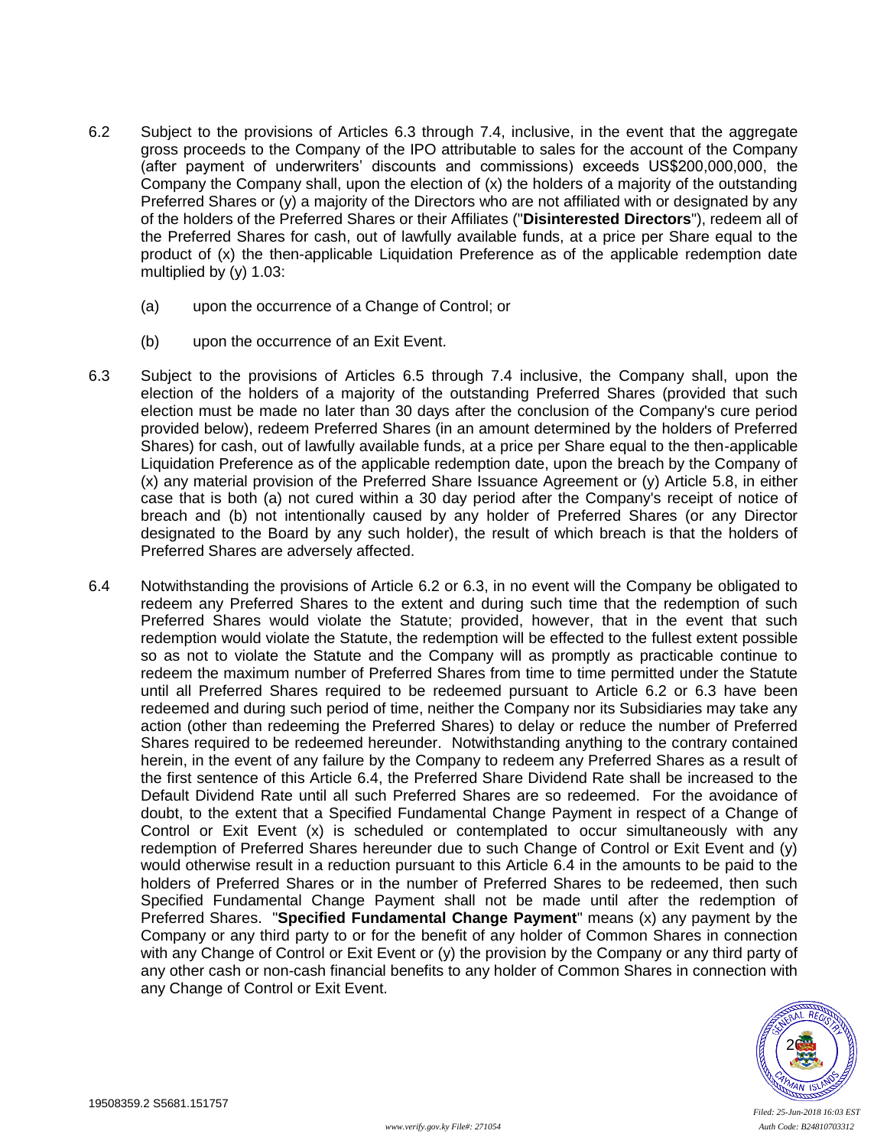- <span id="page-24-0"></span>6.2 Subject to the provisions of Articles [6.3](#page-24-2) through [7.4,](#page-25-0) inclusive, in the event that the aggregate gross proceeds to the Company of the IPO attributable to sales for the account of the Company (after payment of underwriters' discounts and commissions) exceeds US\$200,000,000, the Company the Company shall, upon the election of (x) the holders of a majority of the outstanding Preferred Shares or (y) a majority of the Directors who are not affiliated with or designated by any of the holders of the Preferred Shares or their Affiliates ("**Disinterested Directors**"), redeem all of the Preferred Shares for cash, out of lawfully available funds, at a price per Share equal to the product of (x) the then-applicable Liquidation Preference as of the applicable redemption date multiplied by (y) 1.03:
	- (a) upon the occurrence of a Change of Control; or
	- (b) upon the occurrence of an Exit Event.
- <span id="page-24-2"></span>6.3 Subject to the provisions of Articles [6.5](#page-25-1) through [7.4](#page-25-0) inclusive, the Company shall, upon the election of the holders of a majority of the outstanding Preferred Shares (provided that such election must be made no later than 30 days after the conclusion of the Company's cure period provided below), redeem Preferred Shares (in an amount determined by the holders of Preferred Shares) for cash, out of lawfully available funds, at a price per Share equal to the then-applicable Liquidation Preference as of the applicable redemption date, upon the breach by the Company of (x) any material provision of the Preferred Share Issuance Agreement or (y) Article [5.8,](#page-19-0) in either case that is both (a) not cured within a 30 day period after the Company's receipt of notice of breach and (b) not intentionally caused by any holder of Preferred Shares (or any Director designated to the Board by any such holder), the result of which breach is that the holders of Preferred Shares are adversely affected.
- <span id="page-24-3"></span><span id="page-24-1"></span>6.4 Notwithstanding the provisions of Article [6.2](#page-24-0) or [6.3,](#page-24-2) in no event will the Company be obligated to redeem any Preferred Shares to the extent and during such time that the redemption of such Preferred Shares would violate the Statute; provided, however, that in the event that such redemption would violate the Statute, the redemption will be effected to the fullest extent possible so as not to violate the Statute and the Company will as promptly as practicable continue to redeem the maximum number of Preferred Shares from time to time permitted under the Statute until all Preferred Shares required to be redeemed pursuant to Article [6.2](#page-24-0) or [6.3](#page-24-2) have been redeemed and during such period of time, neither the Company nor its Subsidiaries may take any action (other than redeeming the Preferred Shares) to delay or reduce the number of Preferred Shares required to be redeemed hereunder. Notwithstanding anything to the contrary contained herein, in the event of any failure by the Company to redeem any Preferred Shares as a result of the first sentence of this Article [6.4,](#page-24-3) the Preferred Share Dividend Rate shall be increased to the Default Dividend Rate until all such Preferred Shares are so redeemed. For the avoidance of doubt, to the extent that a Specified Fundamental Change Payment in respect of a Change of Control or Exit Event (x) is scheduled or contemplated to occur simultaneously with any redemption of Preferred Shares hereunder due to such Change of Control or Exit Event and (y) would otherwise result in a reduction pursuant to this Article [6.4](#page-24-3) in the amounts to be paid to the holders of Preferred Shares or in the number of Preferred Shares to be redeemed, then such Specified Fundamental Change Payment shall not be made until after the redemption of Preferred Shares. "**Specified Fundamental Change Payment**" means (x) any payment by the Company or any third party to or for the benefit of any holder of Common Shares in connection with any Change of Control or Exit Event or (y) the provision by the Company or any third party of any other cash or non-cash financial benefits to any holder of Common Shares in connection with any Change of Control or Exit Event.

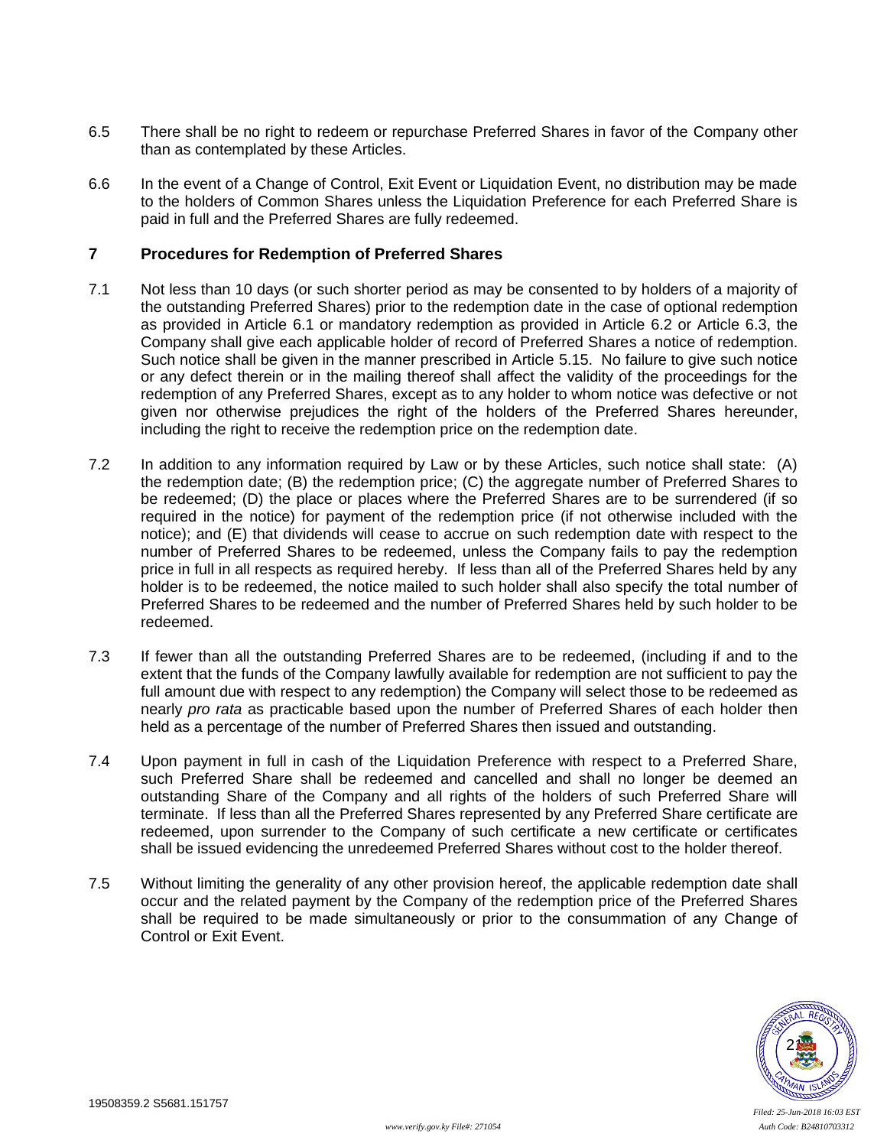- <span id="page-25-1"></span>6.5 There shall be no right to redeem or repurchase Preferred Shares in favor of the Company other than as contemplated by these Articles.
- 6.6 In the event of a Change of Control, Exit Event or Liquidation Event, no distribution may be made to the holders of Common Shares unless the Liquidation Preference for each Preferred Share is paid in full and the Preferred Shares are fully redeemed.

# **7 Procedures for Redemption of Preferred Shares**

- 7.1 Not less than 10 days (or such shorter period as may be consented to by holders of a majority of the outstanding Preferred Shares) prior to the redemption date in the case of optional redemption as provided in Article [6.1](#page-23-1) or mandatory redemption as provided in Article [6.2](#page-24-0) or Article [6.3,](#page-24-2) the Company shall give each applicable holder of record of Preferred Shares a notice of redemption. Such notice shall be given in the manner prescribed in Article [5.15.](#page-22-0) No failure to give such notice or any defect therein or in the mailing thereof shall affect the validity of the proceedings for the redemption of any Preferred Shares, except as to any holder to whom notice was defective or not given nor otherwise prejudices the right of the holders of the Preferred Shares hereunder, including the right to receive the redemption price on the redemption date.
- 7.2 In addition to any information required by Law or by these Articles, such notice shall state: (A) the redemption date; (B) the redemption price; (C) the aggregate number of Preferred Shares to be redeemed; (D) the place or places where the Preferred Shares are to be surrendered (if so required in the notice) for payment of the redemption price (if not otherwise included with the notice); and (E) that dividends will cease to accrue on such redemption date with respect to the number of Preferred Shares to be redeemed, unless the Company fails to pay the redemption price in full in all respects as required hereby. If less than all of the Preferred Shares held by any holder is to be redeemed, the notice mailed to such holder shall also specify the total number of Preferred Shares to be redeemed and the number of Preferred Shares held by such holder to be redeemed.
- 7.3 If fewer than all the outstanding Preferred Shares are to be redeemed, (including if and to the extent that the funds of the Company lawfully available for redemption are not sufficient to pay the full amount due with respect to any redemption) the Company will select those to be redeemed as nearly *pro rata* as practicable based upon the number of Preferred Shares of each holder then held as a percentage of the number of Preferred Shares then issued and outstanding.
- <span id="page-25-0"></span>7.4 Upon payment in full in cash of the Liquidation Preference with respect to a Preferred Share, such Preferred Share shall be redeemed and cancelled and shall no longer be deemed an outstanding Share of the Company and all rights of the holders of such Preferred Share will terminate. If less than all the Preferred Shares represented by any Preferred Share certificate are redeemed, upon surrender to the Company of such certificate a new certificate or certificates shall be issued evidencing the unredeemed Preferred Shares without cost to the holder thereof.
- 7.5 Without limiting the generality of any other provision hereof, the applicable redemption date shall occur and the related payment by the Company of the redemption price of the Preferred Shares shall be required to be made simultaneously or prior to the consummation of any Change of Control or Exit Event.

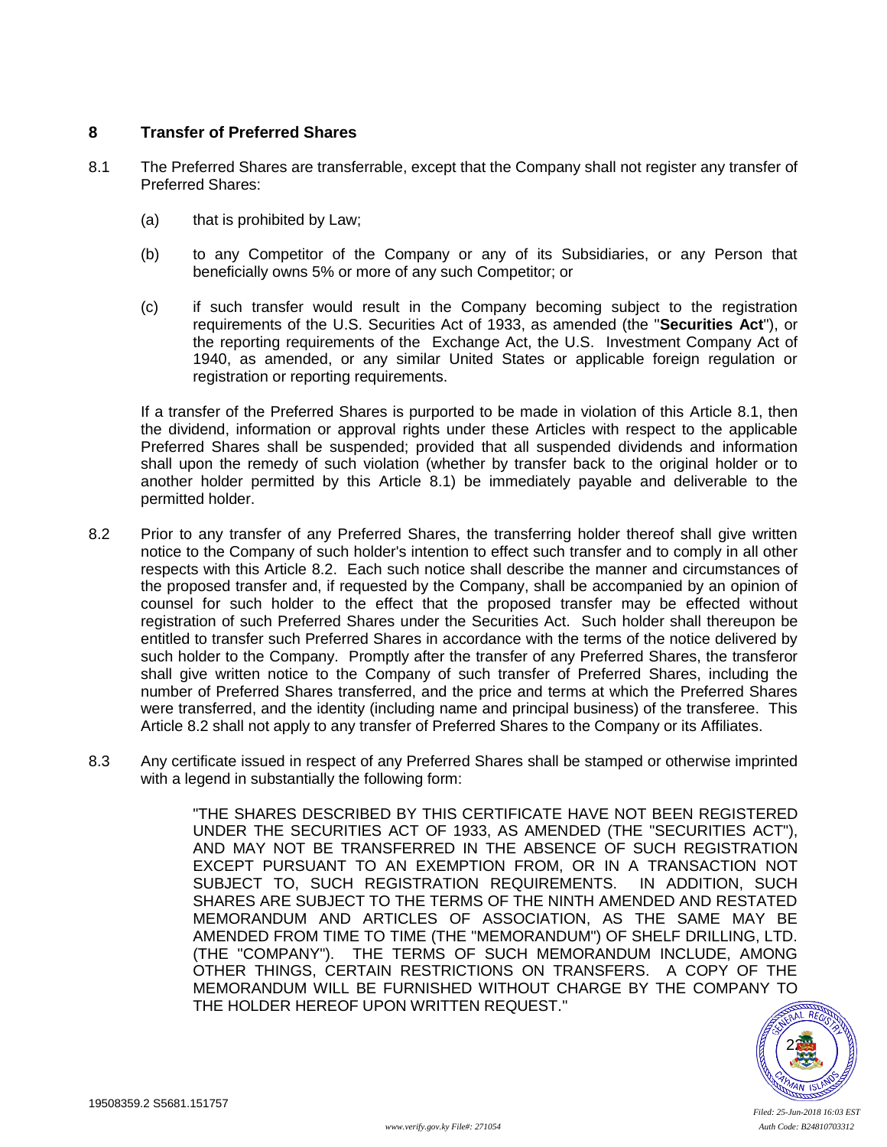## <span id="page-26-2"></span>**8 Transfer of Preferred Shares**

- <span id="page-26-0"></span>8.1 The Preferred Shares are transferrable, except that the Company shall not register any transfer of Preferred Shares:
	- (a) that is prohibited by Law;
	- (b) to any Competitor of the Company or any of its Subsidiaries, or any Person that beneficially owns 5% or more of any such Competitor; or
	- (c) if such transfer would result in the Company becoming subject to the registration requirements of the U.S. Securities Act of 1933, as amended (the "**Securities Act**"), or the reporting requirements of the Exchange Act, the U.S. Investment Company Act of 1940, as amended, or any similar United States or applicable foreign regulation or registration or reporting requirements.

If a transfer of the Preferred Shares is purported to be made in violation of this Article [8.1,](#page-26-0) then the dividend, information or approval rights under these Articles with respect to the applicable Preferred Shares shall be suspended; provided that all suspended dividends and information shall upon the remedy of such violation (whether by transfer back to the original holder or to another holder permitted by this Article [8.1\)](#page-26-0) be immediately payable and deliverable to the permitted holder.

- <span id="page-26-1"></span>8.2 Prior to any transfer of any Preferred Shares, the transferring holder thereof shall give written notice to the Company of such holder's intention to effect such transfer and to comply in all other respects with this Article [8.2.](#page-26-1) Each such notice shall describe the manner and circumstances of the proposed transfer and, if requested by the Company, shall be accompanied by an opinion of counsel for such holder to the effect that the proposed transfer may be effected without registration of such Preferred Shares under the Securities Act. Such holder shall thereupon be entitled to transfer such Preferred Shares in accordance with the terms of the notice delivered by such holder to the Company. Promptly after the transfer of any Preferred Shares, the transferor shall give written notice to the Company of such transfer of Preferred Shares, including the number of Preferred Shares transferred, and the price and terms at which the Preferred Shares were transferred, and the identity (including name and principal business) of the transferee. This Article [8.2](#page-26-1) shall not apply to any transfer of Preferred Shares to the Company or its Affiliates.
- 8.3 Any certificate issued in respect of any Preferred Shares shall be stamped or otherwise imprinted with a legend in substantially the following form:

"THE SHARES DESCRIBED BY THIS CERTIFICATE HAVE NOT BEEN REGISTERED UNDER THE SECURITIES ACT OF 1933, AS AMENDED (THE "SECURITIES ACT"), AND MAY NOT BE TRANSFERRED IN THE ABSENCE OF SUCH REGISTRATION EXCEPT PURSUANT TO AN EXEMPTION FROM, OR IN A TRANSACTION NOT SUBJECT TO, SUCH REGISTRATION REQUIREMENTS. IN ADDITION, SUCH SHARES ARE SUBJECT TO THE TERMS OF THE NINTH AMENDED AND RESTATED MEMORANDUM AND ARTICLES OF ASSOCIATION, AS THE SAME MAY BE AMENDED FROM TIME TO TIME (THE "MEMORANDUM") OF SHELF DRILLING, LTD. (THE "COMPANY"). THE TERMS OF SUCH MEMORANDUM INCLUDE, AMONG OTHER THINGS, CERTAIN RESTRICTIONS ON TRANSFERS. A COPY OF THE MEMORANDUM WILL BE FURNISHED WITHOUT CHARGE BY THE COMPANY TO THE HOLDER HEREOF UPON WRITTEN REQUEST."

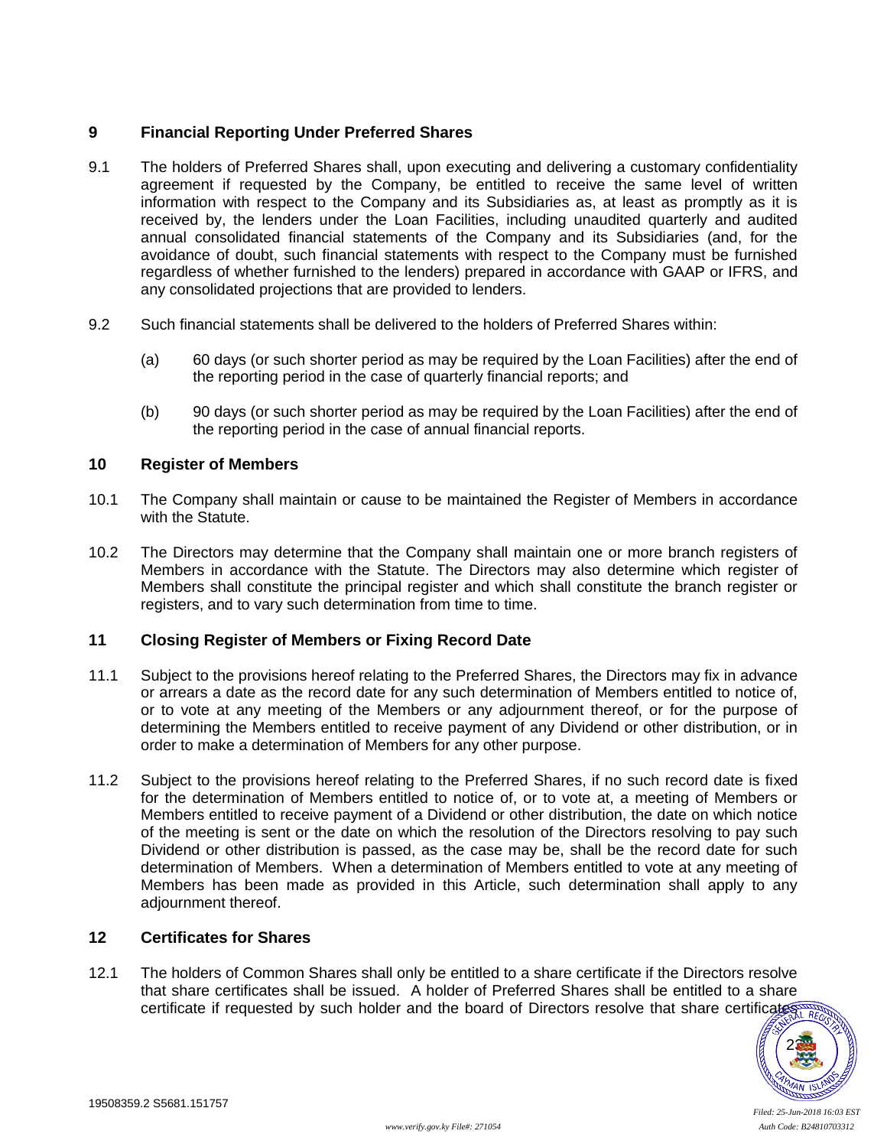# **9 Financial Reporting Under Preferred Shares**

- 9.1 The holders of Preferred Shares shall, upon executing and delivering a customary confidentiality agreement if requested by the Company, be entitled to receive the same level of written information with respect to the Company and its Subsidiaries as, at least as promptly as it is received by, the lenders under the Loan Facilities, including unaudited quarterly and audited annual consolidated financial statements of the Company and its Subsidiaries (and, for the avoidance of doubt, such financial statements with respect to the Company must be furnished regardless of whether furnished to the lenders) prepared in accordance with GAAP or IFRS, and any consolidated projections that are provided to lenders.
- 9.2 Such financial statements shall be delivered to the holders of Preferred Shares within:
	- (a) 60 days (or such shorter period as may be required by the Loan Facilities) after the end of the reporting period in the case of quarterly financial reports; and
	- (b) 90 days (or such shorter period as may be required by the Loan Facilities) after the end of the reporting period in the case of annual financial reports.

## **10 Register of Members**

- 10.1 The Company shall maintain or cause to be maintained the Register of Members in accordance with the Statute.
- 10.2 The Directors may determine that the Company shall maintain one or more branch registers of Members in accordance with the Statute. The Directors may also determine which register of Members shall constitute the principal register and which shall constitute the branch register or registers, and to vary such determination from time to time.

### **11 Closing Register of Members or Fixing Record Date**

- 11.1 Subject to the provisions hereof relating to the Preferred Shares, the Directors may fix in advance or arrears a date as the record date for any such determination of Members entitled to notice of, or to vote at any meeting of the Members or any adjournment thereof, or for the purpose of determining the Members entitled to receive payment of any Dividend or other distribution, or in order to make a determination of Members for any other purpose.
- 11.2 Subject to the provisions hereof relating to the Preferred Shares, if no such record date is fixed for the determination of Members entitled to notice of, or to vote at, a meeting of Members or Members entitled to receive payment of a Dividend or other distribution, the date on which notice of the meeting is sent or the date on which the resolution of the Directors resolving to pay such Dividend or other distribution is passed, as the case may be, shall be the record date for such determination of Members. When a determination of Members entitled to vote at any meeting of Members has been made as provided in this Article, such determination shall apply to any adjournment thereof.

### **12 Certificates for Shares**

12.1 The holders of Common Shares shall only be entitled to a share certificate if the Directors resolve that share certificates shall be issued. A holder of Preferred Shares shall be entitled to a share certificate if requested by such holder and the board of Directors resolve that share certificates at REG

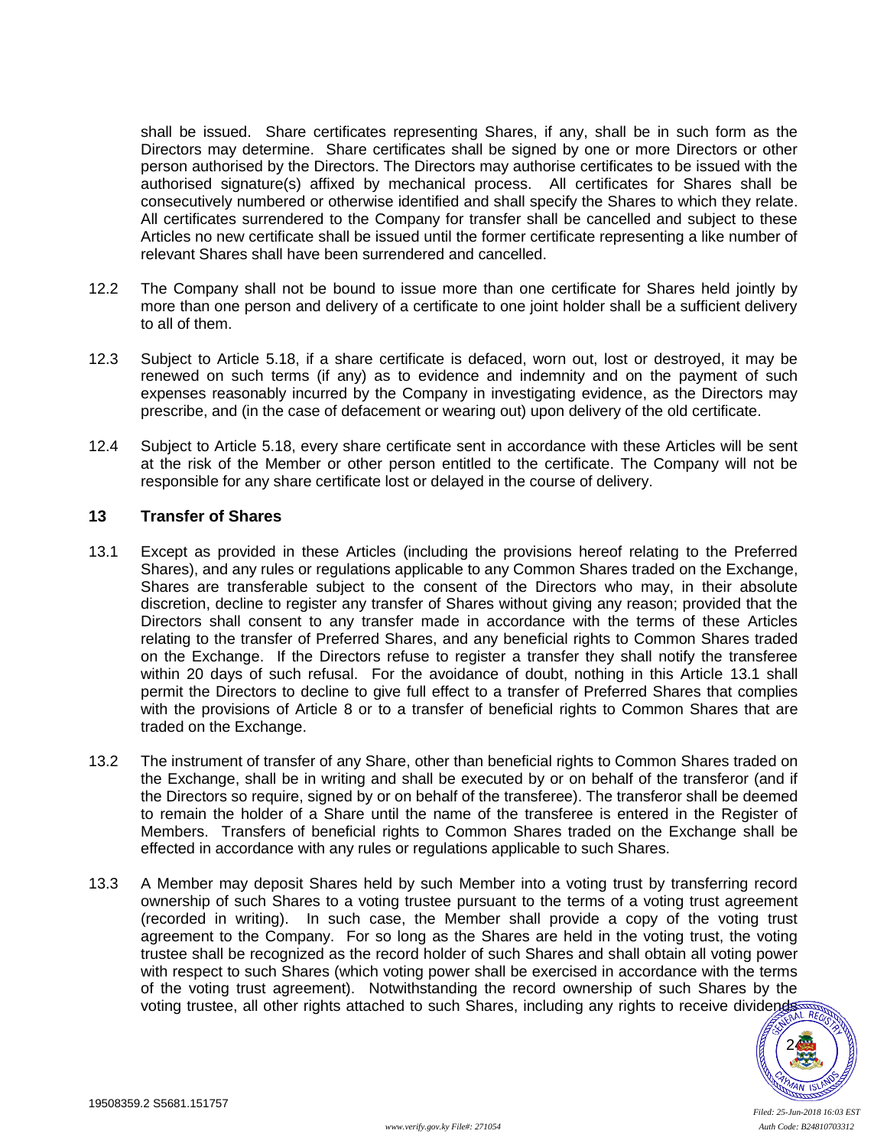shall be issued. Share certificates representing Shares, if any, shall be in such form as the Directors may determine. Share certificates shall be signed by one or more Directors or other person authorised by the Directors. The Directors may authorise certificates to be issued with the authorised signature(s) affixed by mechanical process. All certificates for Shares shall be consecutively numbered or otherwise identified and shall specify the Shares to which they relate. All certificates surrendered to the Company for transfer shall be cancelled and subject to these Articles no new certificate shall be issued until the former certificate representing a like number of relevant Shares shall have been surrendered and cancelled.

- 12.2 The Company shall not be bound to issue more than one certificate for Shares held jointly by more than one person and delivery of a certificate to one joint holder shall be a sufficient delivery to all of them.
- 12.3 Subject to Article [5.18,](#page-22-1) if a share certificate is defaced, worn out, lost or destroyed, it may be renewed on such terms (if any) as to evidence and indemnity and on the payment of such expenses reasonably incurred by the Company in investigating evidence, as the Directors may prescribe, and (in the case of defacement or wearing out) upon delivery of the old certificate.
- 12.4 Subject to Article [5.18,](#page-22-1) every share certificate sent in accordance with these Articles will be sent at the risk of the Member or other person entitled to the certificate. The Company will not be responsible for any share certificate lost or delayed in the course of delivery.

## **13 Transfer of Shares**

- <span id="page-28-0"></span>13.1 Except as provided in these Articles (including the provisions hereof relating to the Preferred Shares), and any rules or regulations applicable to any Common Shares traded on the Exchange, Shares are transferable subject to the consent of the Directors who may, in their absolute discretion, decline to register any transfer of Shares without giving any reason; provided that the Directors shall consent to any transfer made in accordance with the terms of these Articles relating to the transfer of Preferred Shares, and any beneficial rights to Common Shares traded on the Exchange. If the Directors refuse to register a transfer they shall notify the transferee within 20 days of such refusal. For the avoidance of doubt, nothing in this Article [13.1](#page-28-0) shall permit the Directors to decline to give full effect to a transfer of Preferred Shares that complies with the provisions of Article [8](#page-26-2) or to a transfer of beneficial rights to Common Shares that are traded on the Exchange.
- 13.2 The instrument of transfer of any Share, other than beneficial rights to Common Shares traded on the Exchange, shall be in writing and shall be executed by or on behalf of the transferor (and if the Directors so require, signed by or on behalf of the transferee). The transferor shall be deemed to remain the holder of a Share until the name of the transferee is entered in the Register of Members. Transfers of beneficial rights to Common Shares traded on the Exchange shall be effected in accordance with any rules or regulations applicable to such Shares.
- 13.3 A Member may deposit Shares held by such Member into a voting trust by transferring record ownership of such Shares to a voting trustee pursuant to the terms of a voting trust agreement (recorded in writing). In such case, the Member shall provide a copy of the voting trust agreement to the Company. For so long as the Shares are held in the voting trust, the voting trustee shall be recognized as the record holder of such Shares and shall obtain all voting power with respect to such Shares (which voting power shall be exercised in accordance with the terms of the voting trust agreement). Notwithstanding the record ownership of such Shares by the voting trustee, all other rights attached to such Shares, including any rights to receive dividends

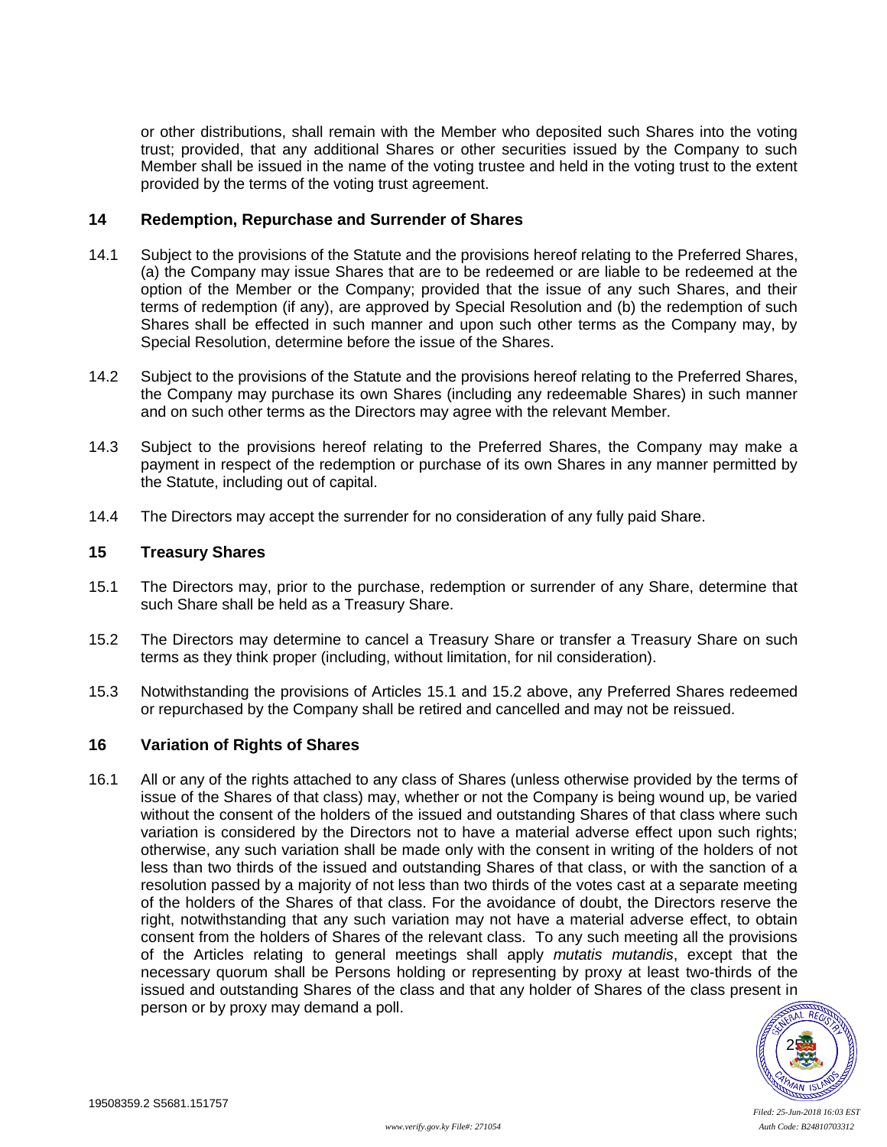or other distributions, shall remain with the Member who deposited such Shares into the voting trust; provided, that any additional Shares or other securities issued by the Company to such Member shall be issued in the name of the voting trustee and held in the voting trust to the extent provided by the terms of the voting trust agreement.

## **14 Redemption, Repurchase and Surrender of Shares**

- 14.1 Subject to the provisions of the Statute and the provisions hereof relating to the Preferred Shares, (a) the Company may issue Shares that are to be redeemed or are liable to be redeemed at the option of the Member or the Company; provided that the issue of any such Shares, and their terms of redemption (if any), are approved by Special Resolution and (b) the redemption of such Shares shall be effected in such manner and upon such other terms as the Company may, by Special Resolution, determine before the issue of the Shares.
- 14.2 Subject to the provisions of the Statute and the provisions hereof relating to the Preferred Shares, the Company may purchase its own Shares (including any redeemable Shares) in such manner and on such other terms as the Directors may agree with the relevant Member.
- 14.3 Subject to the provisions hereof relating to the Preferred Shares, the Company may make a payment in respect of the redemption or purchase of its own Shares in any manner permitted by the Statute, including out of capital.
- 14.4 The Directors may accept the surrender for no consideration of any fully paid Share.

## **15 Treasury Shares**

- <span id="page-29-0"></span>15.1 The Directors may, prior to the purchase, redemption or surrender of any Share, determine that such Share shall be held as a Treasury Share.
- <span id="page-29-1"></span>15.2 The Directors may determine to cancel a Treasury Share or transfer a Treasury Share on such terms as they think proper (including, without limitation, for nil consideration).
- 15.3 Notwithstanding the provisions of Articles [15.1](#page-29-0) and [15.2](#page-29-1) above, any Preferred Shares redeemed or repurchased by the Company shall be retired and cancelled and may not be reissued.

# <span id="page-29-3"></span>**16 Variation of Rights of Shares**

<span id="page-29-2"></span>16.1 All or any of the rights attached to any class of Shares (unless otherwise provided by the terms of issue of the Shares of that class) may, whether or not the Company is being wound up, be varied without the consent of the holders of the issued and outstanding Shares of that class where such variation is considered by the Directors not to have a material adverse effect upon such rights; otherwise, any such variation shall be made only with the consent in writing of the holders of not less than two thirds of the issued and outstanding Shares of that class, or with the sanction of a resolution passed by a majority of not less than two thirds of the votes cast at a separate meeting of the holders of the Shares of that class. For the avoidance of doubt, the Directors reserve the right, notwithstanding that any such variation may not have a material adverse effect, to obtain consent from the holders of Shares of the relevant class. To any such meeting all the provisions of the Articles relating to general meetings shall apply *mutatis mutandis*, except that the necessary quorum shall be Persons holding or representing by proxy at least two-thirds of the issued and outstanding Shares of the class and that any holder of Shares of the class present in person or by proxy may demand a poll.

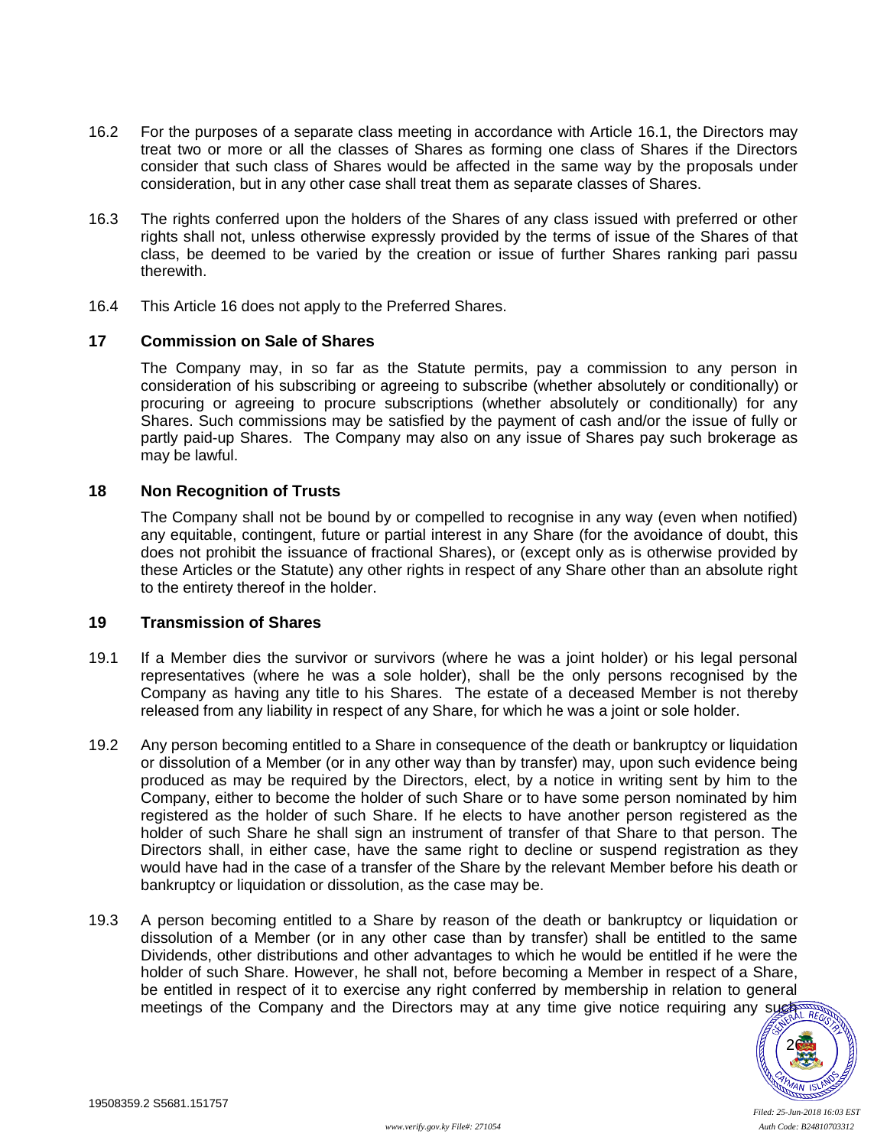- 16.2 For the purposes of a separate class meeting in accordance with Article [16.1,](#page-29-2) the Directors may treat two or more or all the classes of Shares as forming one class of Shares if the Directors consider that such class of Shares would be affected in the same way by the proposals under consideration, but in any other case shall treat them as separate classes of Shares.
- 16.3 The rights conferred upon the holders of the Shares of any class issued with preferred or other rights shall not, unless otherwise expressly provided by the terms of issue of the Shares of that class, be deemed to be varied by the creation or issue of further Shares ranking pari passu therewith.
- 16.4 This Article [16](#page-29-3) does not apply to the Preferred Shares.

### **17 Commission on Sale of Shares**

The Company may, in so far as the Statute permits, pay a commission to any person in consideration of his subscribing or agreeing to subscribe (whether absolutely or conditionally) or procuring or agreeing to procure subscriptions (whether absolutely or conditionally) for any Shares. Such commissions may be satisfied by the payment of cash and/or the issue of fully or partly paid-up Shares. The Company may also on any issue of Shares pay such brokerage as may be lawful.

## **18 Non Recognition of Trusts**

The Company shall not be bound by or compelled to recognise in any way (even when notified) any equitable, contingent, future or partial interest in any Share (for the avoidance of doubt, this does not prohibit the issuance of fractional Shares), or (except only as is otherwise provided by these Articles or the Statute) any other rights in respect of any Share other than an absolute right to the entirety thereof in the holder.

## **19 Transmission of Shares**

- 19.1 If a Member dies the survivor or survivors (where he was a joint holder) or his legal personal representatives (where he was a sole holder), shall be the only persons recognised by the Company as having any title to his Shares. The estate of a deceased Member is not thereby released from any liability in respect of any Share, for which he was a joint or sole holder.
- 19.2 Any person becoming entitled to a Share in consequence of the death or bankruptcy or liquidation or dissolution of a Member (or in any other way than by transfer) may, upon such evidence being produced as may be required by the Directors, elect, by a notice in writing sent by him to the Company, either to become the holder of such Share or to have some person nominated by him registered as the holder of such Share. If he elects to have another person registered as the holder of such Share he shall sign an instrument of transfer of that Share to that person. The Directors shall, in either case, have the same right to decline or suspend registration as they would have had in the case of a transfer of the Share by the relevant Member before his death or bankruptcy or liquidation or dissolution, as the case may be.
- 19.3 A person becoming entitled to a Share by reason of the death or bankruptcy or liquidation or dissolution of a Member (or in any other case than by transfer) shall be entitled to the same Dividends, other distributions and other advantages to which he would be entitled if he were the holder of such Share. However, he shall not, before becoming a Member in respect of a Share, be entitled in respect of it to exercise any right conferred by membership in relation to general meetings of the Company and the Directors may at any time give notice requiring any such the

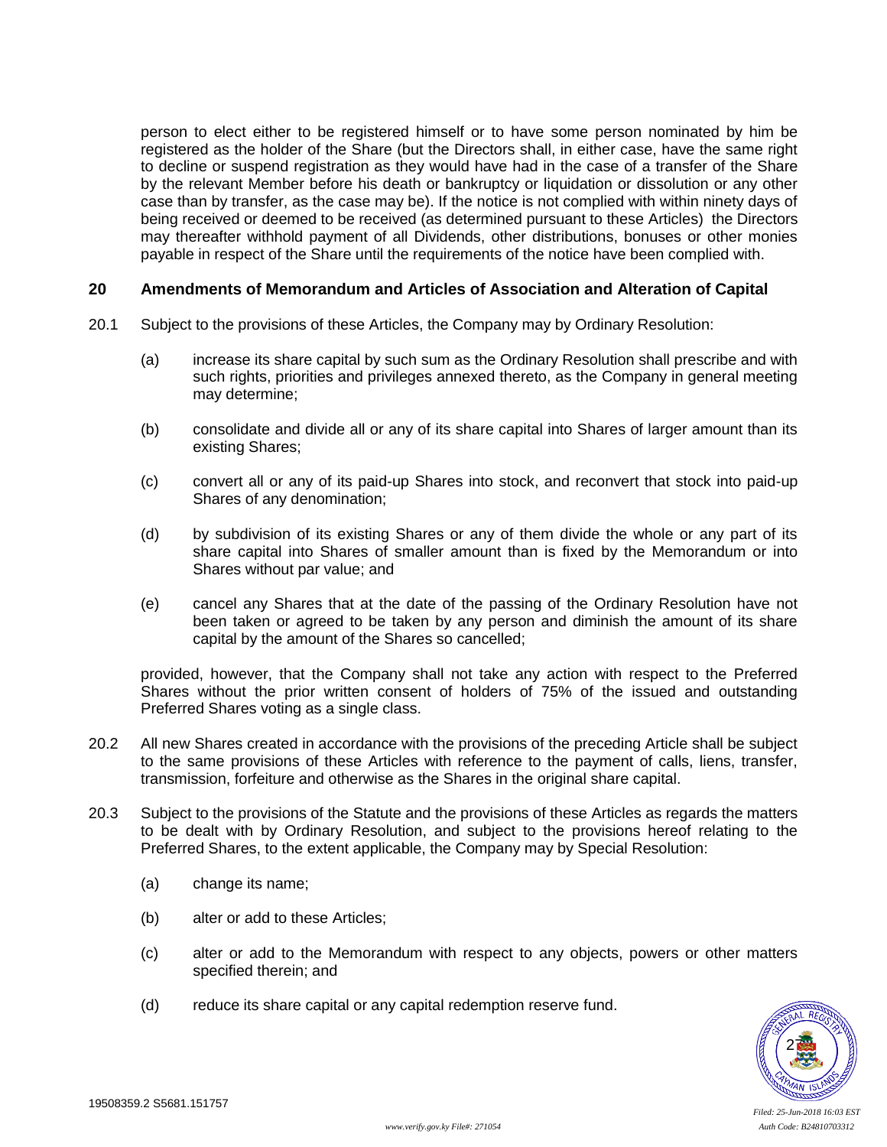person to elect either to be registered himself or to have some person nominated by him be registered as the holder of the Share (but the Directors shall, in either case, have the same right to decline or suspend registration as they would have had in the case of a transfer of the Share by the relevant Member before his death or bankruptcy or liquidation or dissolution or any other case than by transfer, as the case may be). If the notice is not complied with within ninety days of being received or deemed to be received (as determined pursuant to these Articles) the Directors may thereafter withhold payment of all Dividends, other distributions, bonuses or other monies payable in respect of the Share until the requirements of the notice have been complied with.

## **20 Amendments of Memorandum and Articles of Association and Alteration of Capital**

- 20.1 Subject to the provisions of these Articles, the Company may by Ordinary Resolution:
	- (a) increase its share capital by such sum as the Ordinary Resolution shall prescribe and with such rights, priorities and privileges annexed thereto, as the Company in general meeting may determine;
	- (b) consolidate and divide all or any of its share capital into Shares of larger amount than its existing Shares;
	- (c) convert all or any of its paid-up Shares into stock, and reconvert that stock into paid-up Shares of any denomination;
	- (d) by subdivision of its existing Shares or any of them divide the whole or any part of its share capital into Shares of smaller amount than is fixed by the Memorandum or into Shares without par value; and
	- (e) cancel any Shares that at the date of the passing of the Ordinary Resolution have not been taken or agreed to be taken by any person and diminish the amount of its share capital by the amount of the Shares so cancelled;

provided, however, that the Company shall not take any action with respect to the Preferred Shares without the prior written consent of holders of 75% of the issued and outstanding Preferred Shares voting as a single class.

- 20.2 All new Shares created in accordance with the provisions of the preceding Article shall be subject to the same provisions of these Articles with reference to the payment of calls, liens, transfer, transmission, forfeiture and otherwise as the Shares in the original share capital.
- 20.3 Subject to the provisions of the Statute and the provisions of these Articles as regards the matters to be dealt with by Ordinary Resolution, and subject to the provisions hereof relating to the Preferred Shares, to the extent applicable, the Company may by Special Resolution:
	- (a) change its name;
	- (b) alter or add to these Articles;
	- (c) alter or add to the Memorandum with respect to any objects, powers or other matters specified therein; and
	- (d) reduce its share capital or any capital redemption reserve fund.

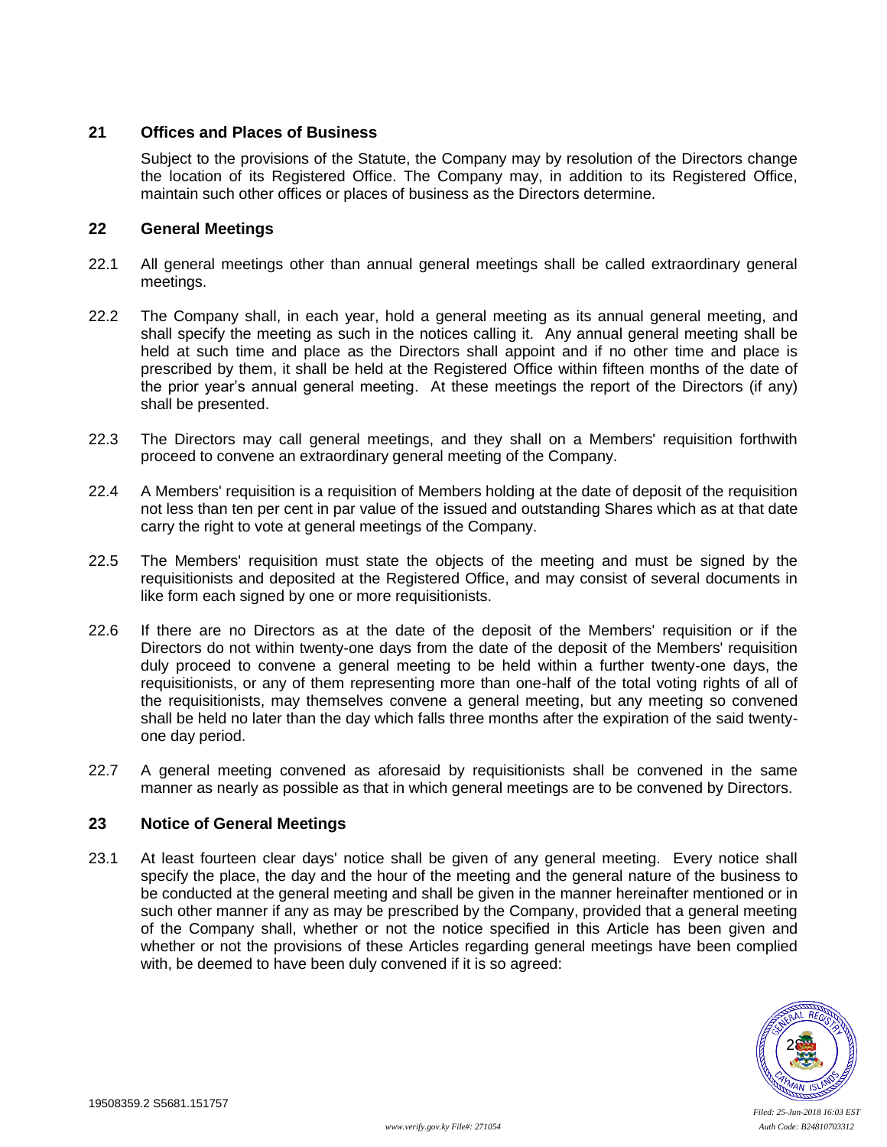## **21 Offices and Places of Business**

Subject to the provisions of the Statute, the Company may by resolution of the Directors change the location of its Registered Office. The Company may, in addition to its Registered Office, maintain such other offices or places of business as the Directors determine.

## **22 General Meetings**

- 22.1 All general meetings other than annual general meetings shall be called extraordinary general meetings.
- 22.2 The Company shall, in each year, hold a general meeting as its annual general meeting, and shall specify the meeting as such in the notices calling it. Any annual general meeting shall be held at such time and place as the Directors shall appoint and if no other time and place is prescribed by them, it shall be held at the Registered Office within fifteen months of the date of the prior year's annual general meeting. At these meetings the report of the Directors (if any) shall be presented.
- 22.3 The Directors may call general meetings, and they shall on a Members' requisition forthwith proceed to convene an extraordinary general meeting of the Company.
- 22.4 A Members' requisition is a requisition of Members holding at the date of deposit of the requisition not less than ten per cent in par value of the issued and outstanding Shares which as at that date carry the right to vote at general meetings of the Company.
- 22.5 The Members' requisition must state the objects of the meeting and must be signed by the requisitionists and deposited at the Registered Office, and may consist of several documents in like form each signed by one or more requisitionists.
- 22.6 If there are no Directors as at the date of the deposit of the Members' requisition or if the Directors do not within twenty-one days from the date of the deposit of the Members' requisition duly proceed to convene a general meeting to be held within a further twenty-one days, the requisitionists, or any of them representing more than one-half of the total voting rights of all of the requisitionists, may themselves convene a general meeting, but any meeting so convened shall be held no later than the day which falls three months after the expiration of the said twentyone day period.
- 22.7 A general meeting convened as aforesaid by requisitionists shall be convened in the same manner as nearly as possible as that in which general meetings are to be convened by Directors.

# **23 Notice of General Meetings**

23.1 At least fourteen clear days' notice shall be given of any general meeting. Every notice shall specify the place, the day and the hour of the meeting and the general nature of the business to be conducted at the general meeting and shall be given in the manner hereinafter mentioned or in such other manner if any as may be prescribed by the Company, provided that a general meeting of the Company shall, whether or not the notice specified in this Article has been given and whether or not the provisions of these Articles regarding general meetings have been complied with, be deemed to have been duly convened if it is so agreed:

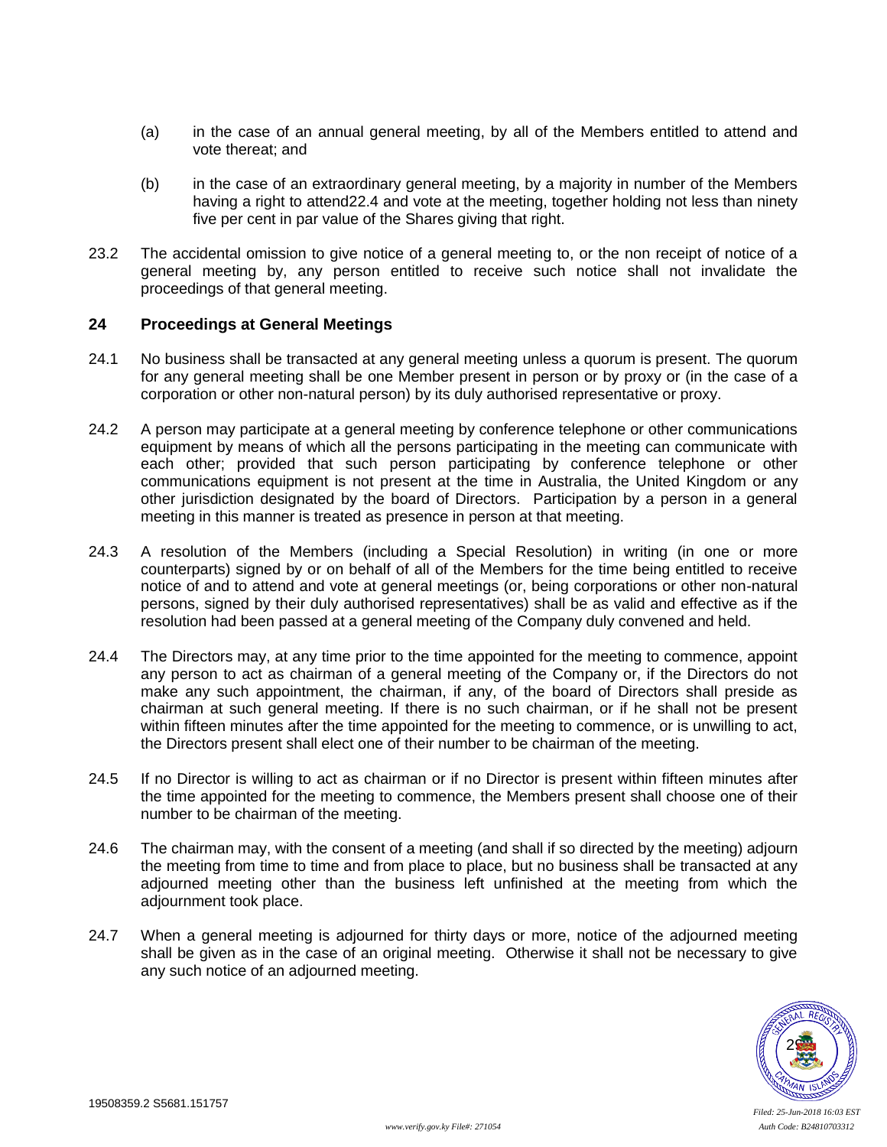- (a) in the case of an annual general meeting, by all of the Members entitled to attend and vote thereat; and
- (b) in the case of an extraordinary general meeting, by a majority in number of the Members having a right to attend22.4 and vote at the meeting, together holding not less than ninety five per cent in par value of the Shares giving that right.
- 23.2 The accidental omission to give notice of a general meeting to, or the non receipt of notice of a general meeting by, any person entitled to receive such notice shall not invalidate the proceedings of that general meeting.

#### **24 Proceedings at General Meetings**

- 24.1 No business shall be transacted at any general meeting unless a quorum is present. The quorum for any general meeting shall be one Member present in person or by proxy or (in the case of a corporation or other non-natural person) by its duly authorised representative or proxy.
- 24.2 A person may participate at a general meeting by conference telephone or other communications equipment by means of which all the persons participating in the meeting can communicate with each other; provided that such person participating by conference telephone or other communications equipment is not present at the time in Australia, the United Kingdom or any other jurisdiction designated by the board of Directors. Participation by a person in a general meeting in this manner is treated as presence in person at that meeting.
- 24.3 A resolution of the Members (including a Special Resolution) in writing (in one or more counterparts) signed by or on behalf of all of the Members for the time being entitled to receive notice of and to attend and vote at general meetings (or, being corporations or other non-natural persons, signed by their duly authorised representatives) shall be as valid and effective as if the resolution had been passed at a general meeting of the Company duly convened and held.
- 24.4 The Directors may, at any time prior to the time appointed for the meeting to commence, appoint any person to act as chairman of a general meeting of the Company or, if the Directors do not make any such appointment, the chairman, if any, of the board of Directors shall preside as chairman at such general meeting. If there is no such chairman, or if he shall not be present within fifteen minutes after the time appointed for the meeting to commence, or is unwilling to act, the Directors present shall elect one of their number to be chairman of the meeting.
- 24.5 If no Director is willing to act as chairman or if no Director is present within fifteen minutes after the time appointed for the meeting to commence, the Members present shall choose one of their number to be chairman of the meeting.
- 24.6 The chairman may, with the consent of a meeting (and shall if so directed by the meeting) adjourn the meeting from time to time and from place to place, but no business shall be transacted at any adjourned meeting other than the business left unfinished at the meeting from which the adjournment took place.
- 24.7 When a general meeting is adjourned for thirty days or more, notice of the adjourned meeting shall be given as in the case of an original meeting. Otherwise it shall not be necessary to give any such notice of an adjourned meeting.

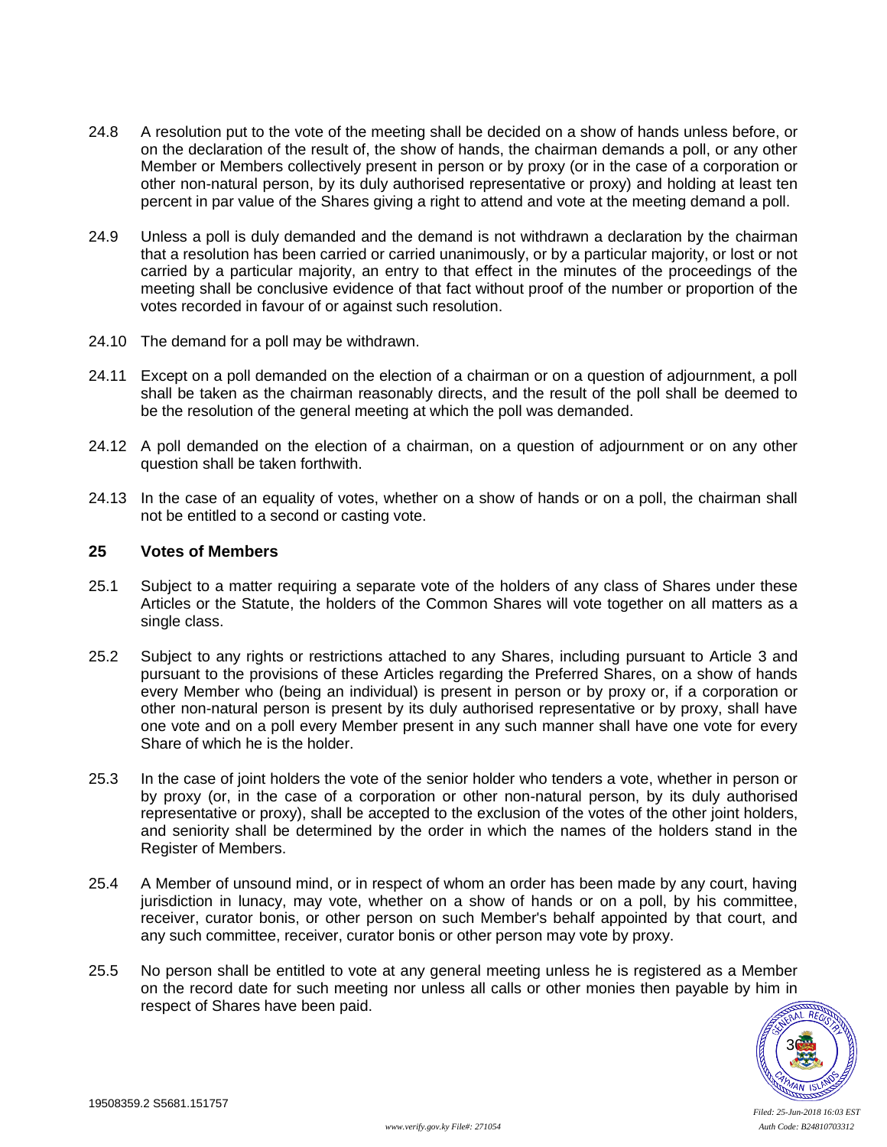- 24.8 A resolution put to the vote of the meeting shall be decided on a show of hands unless before, or on the declaration of the result of, the show of hands, the chairman demands a poll, or any other Member or Members collectively present in person or by proxy (or in the case of a corporation or other non-natural person, by its duly authorised representative or proxy) and holding at least ten percent in par value of the Shares giving a right to attend and vote at the meeting demand a poll.
- 24.9 Unless a poll is duly demanded and the demand is not withdrawn a declaration by the chairman that a resolution has been carried or carried unanimously, or by a particular majority, or lost or not carried by a particular majority, an entry to that effect in the minutes of the proceedings of the meeting shall be conclusive evidence of that fact without proof of the number or proportion of the votes recorded in favour of or against such resolution.
- 24.10 The demand for a poll may be withdrawn.
- 24.11 Except on a poll demanded on the election of a chairman or on a question of adjournment, a poll shall be taken as the chairman reasonably directs, and the result of the poll shall be deemed to be the resolution of the general meeting at which the poll was demanded.
- 24.12 A poll demanded on the election of a chairman, on a question of adjournment or on any other question shall be taken forthwith.
- 24.13 In the case of an equality of votes, whether on a show of hands or on a poll, the chairman shall not be entitled to a second or casting vote.

#### <span id="page-34-0"></span>**25 Votes of Members**

- 25.1 Subject to a matter requiring a separate vote of the holders of any class of Shares under these Articles or the Statute, the holders of the Common Shares will vote together on all matters as a single class.
- 25.2 Subject to any rights or restrictions attached to any Shares, including pursuant to Article [3](#page-15-0) and pursuant to the provisions of these Articles regarding the Preferred Shares, on a show of hands every Member who (being an individual) is present in person or by proxy or, if a corporation or other non-natural person is present by its duly authorised representative or by proxy, shall have one vote and on a poll every Member present in any such manner shall have one vote for every Share of which he is the holder.
- 25.3 In the case of joint holders the vote of the senior holder who tenders a vote, whether in person or by proxy (or, in the case of a corporation or other non-natural person, by its duly authorised representative or proxy), shall be accepted to the exclusion of the votes of the other joint holders, and seniority shall be determined by the order in which the names of the holders stand in the Register of Members.
- 25.4 A Member of unsound mind, or in respect of whom an order has been made by any court, having jurisdiction in lunacy, may vote, whether on a show of hands or on a poll, by his committee, receiver, curator bonis, or other person on such Member's behalf appointed by that court, and any such committee, receiver, curator bonis or other person may vote by proxy.
- 25.5 No person shall be entitled to vote at any general meeting unless he is registered as a Member on the record date for such meeting nor unless all calls or other monies then payable by him in respect of Shares have been paid.

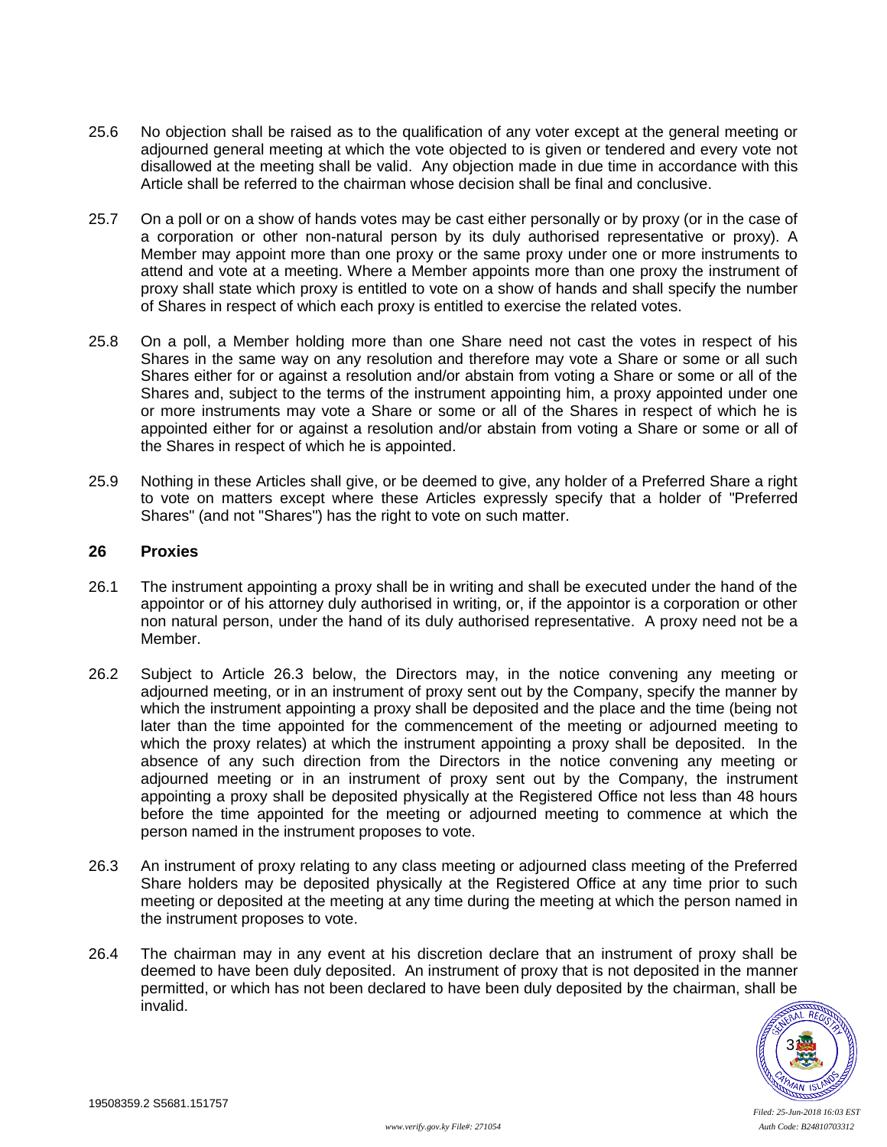- 25.6 No objection shall be raised as to the qualification of any voter except at the general meeting or adjourned general meeting at which the vote objected to is given or tendered and every vote not disallowed at the meeting shall be valid. Any objection made in due time in accordance with this Article shall be referred to the chairman whose decision shall be final and conclusive.
- 25.7 On a poll or on a show of hands votes may be cast either personally or by proxy (or in the case of a corporation or other non-natural person by its duly authorised representative or proxy). A Member may appoint more than one proxy or the same proxy under one or more instruments to attend and vote at a meeting. Where a Member appoints more than one proxy the instrument of proxy shall state which proxy is entitled to vote on a show of hands and shall specify the number of Shares in respect of which each proxy is entitled to exercise the related votes.
- 25.8 On a poll, a Member holding more than one Share need not cast the votes in respect of his Shares in the same way on any resolution and therefore may vote a Share or some or all such Shares either for or against a resolution and/or abstain from voting a Share or some or all of the Shares and, subject to the terms of the instrument appointing him, a proxy appointed under one or more instruments may vote a Share or some or all of the Shares in respect of which he is appointed either for or against a resolution and/or abstain from voting a Share or some or all of the Shares in respect of which he is appointed.
- 25.9 Nothing in these Articles shall give, or be deemed to give, any holder of a Preferred Share a right to vote on matters except where these Articles expressly specify that a holder of "Preferred Shares" (and not "Shares") has the right to vote on such matter.

### **26 Proxies**

- 26.1 The instrument appointing a proxy shall be in writing and shall be executed under the hand of the appointor or of his attorney duly authorised in writing, or, if the appointor is a corporation or other non natural person, under the hand of its duly authorised representative. A proxy need not be a Member.
- 26.2 Subject to Article [26.3](#page-35-0) below, the Directors may, in the notice convening any meeting or adjourned meeting, or in an instrument of proxy sent out by the Company, specify the manner by which the instrument appointing a proxy shall be deposited and the place and the time (being not later than the time appointed for the commencement of the meeting or adjourned meeting to which the proxy relates) at which the instrument appointing a proxy shall be deposited. In the absence of any such direction from the Directors in the notice convening any meeting or adjourned meeting or in an instrument of proxy sent out by the Company, the instrument appointing a proxy shall be deposited physically at the Registered Office not less than 48 hours before the time appointed for the meeting or adjourned meeting to commence at which the person named in the instrument proposes to vote.
- <span id="page-35-0"></span>26.3 An instrument of proxy relating to any class meeting or adjourned class meeting of the Preferred Share holders may be deposited physically at the Registered Office at any time prior to such meeting or deposited at the meeting at any time during the meeting at which the person named in the instrument proposes to vote.
- 26.4 The chairman may in any event at his discretion declare that an instrument of proxy shall be deemed to have been duly deposited. An instrument of proxy that is not deposited in the manner permitted, or which has not been declared to have been duly deposited by the chairman, shall be invalid.

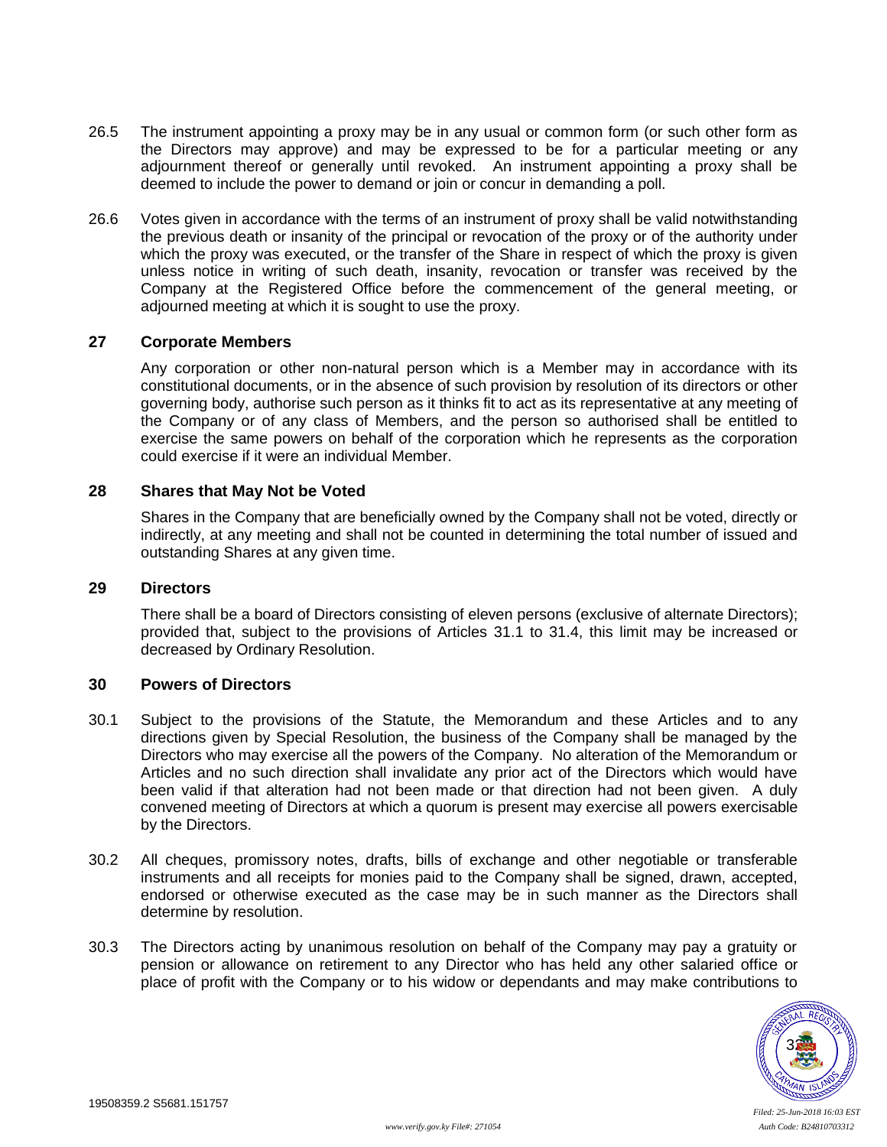- 26.5 The instrument appointing a proxy may be in any usual or common form (or such other form as the Directors may approve) and may be expressed to be for a particular meeting or any adjournment thereof or generally until revoked. An instrument appointing a proxy shall be deemed to include the power to demand or join or concur in demanding a poll.
- 26.6 Votes given in accordance with the terms of an instrument of proxy shall be valid notwithstanding the previous death or insanity of the principal or revocation of the proxy or of the authority under which the proxy was executed, or the transfer of the Share in respect of which the proxy is given unless notice in writing of such death, insanity, revocation or transfer was received by the Company at the Registered Office before the commencement of the general meeting, or adjourned meeting at which it is sought to use the proxy.

#### **27 Corporate Members**

Any corporation or other non-natural person which is a Member may in accordance with its constitutional documents, or in the absence of such provision by resolution of its directors or other governing body, authorise such person as it thinks fit to act as its representative at any meeting of the Company or of any class of Members, and the person so authorised shall be entitled to exercise the same powers on behalf of the corporation which he represents as the corporation could exercise if it were an individual Member.

#### **28 Shares that May Not be Voted**

Shares in the Company that are beneficially owned by the Company shall not be voted, directly or indirectly, at any meeting and shall not be counted in determining the total number of issued and outstanding Shares at any given time.

#### <span id="page-36-0"></span>**29 Directors**

There shall be a board of Directors consisting of eleven persons (exclusive of alternate Directors); provided that, subject to the provisions of Articles [31.1](#page-37-1) to [31.4,](#page-37-2) this limit may be increased or decreased by Ordinary Resolution.

### **30 Powers of Directors**

- 30.1 Subject to the provisions of the Statute, the Memorandum and these Articles and to any directions given by Special Resolution, the business of the Company shall be managed by the Directors who may exercise all the powers of the Company. No alteration of the Memorandum or Articles and no such direction shall invalidate any prior act of the Directors which would have been valid if that alteration had not been made or that direction had not been given. A duly convened meeting of Directors at which a quorum is present may exercise all powers exercisable by the Directors.
- 30.2 All cheques, promissory notes, drafts, bills of exchange and other negotiable or transferable instruments and all receipts for monies paid to the Company shall be signed, drawn, accepted, endorsed or otherwise executed as the case may be in such manner as the Directors shall determine by resolution.
- 30.3 The Directors acting by unanimous resolution on behalf of the Company may pay a gratuity or pension or allowance on retirement to any Director who has held any other salaried office or place of profit with the Company or to his widow or dependants and may make contributions to

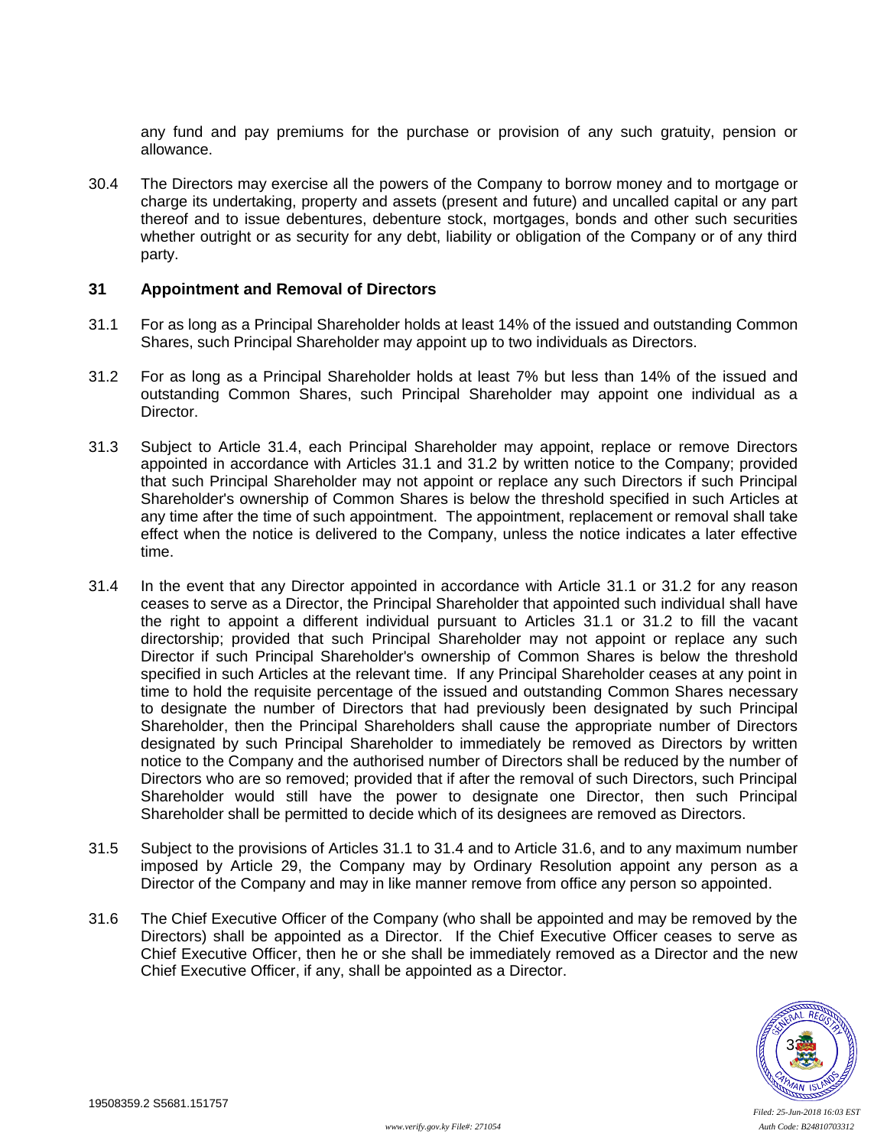any fund and pay premiums for the purchase or provision of any such gratuity, pension or allowance.

30.4 The Directors may exercise all the powers of the Company to borrow money and to mortgage or charge its undertaking, property and assets (present and future) and uncalled capital or any part thereof and to issue debentures, debenture stock, mortgages, bonds and other such securities whether outright or as security for any debt, liability or obligation of the Company or of any third party.

#### <span id="page-37-0"></span>**31 Appointment and Removal of Directors**

- <span id="page-37-1"></span>31.1 For as long as a Principal Shareholder holds at least 14% of the issued and outstanding Common Shares, such Principal Shareholder may appoint up to two individuals as Directors.
- <span id="page-37-3"></span>31.2 For as long as a Principal Shareholder holds at least 7% but less than 14% of the issued and outstanding Common Shares, such Principal Shareholder may appoint one individual as a Director.
- 31.3 Subject to Article [31.4,](#page-37-2) each Principal Shareholder may appoint, replace or remove Directors appointed in accordance with Articles [31.1](#page-37-1) and [31.2](#page-37-3) by written notice to the Company; provided that such Principal Shareholder may not appoint or replace any such Directors if such Principal Shareholder's ownership of Common Shares is below the threshold specified in such Articles at any time after the time of such appointment. The appointment, replacement or removal shall take effect when the notice is delivered to the Company, unless the notice indicates a later effective time.
- <span id="page-37-2"></span>31.4 In the event that any Director appointed in accordance with Article [31.1](#page-37-1) or [31.2](#page-37-3) for any reason ceases to serve as a Director, the Principal Shareholder that appointed such individual shall have the right to appoint a different individual pursuant to Articles [31.1](#page-37-1) or [31.2](#page-37-3) to fill the vacant directorship; provided that such Principal Shareholder may not appoint or replace any such Director if such Principal Shareholder's ownership of Common Shares is below the threshold specified in such Articles at the relevant time. If any Principal Shareholder ceases at any point in time to hold the requisite percentage of the issued and outstanding Common Shares necessary to designate the number of Directors that had previously been designated by such Principal Shareholder, then the Principal Shareholders shall cause the appropriate number of Directors designated by such Principal Shareholder to immediately be removed as Directors by written notice to the Company and the authorised number of Directors shall be reduced by the number of Directors who are so removed; provided that if after the removal of such Directors, such Principal Shareholder would still have the power to designate one Director, then such Principal Shareholder shall be permitted to decide which of its designees are removed as Directors.
- 31.5 Subject to the provisions of Articles [31.1](#page-37-1) to [31.4](#page-37-2) and to Article [31.6,](#page-37-4) and to any maximum number imposed by Article [29,](#page-36-0) the Company may by Ordinary Resolution appoint any person as a Director of the Company and may in like manner remove from office any person so appointed.
- <span id="page-37-4"></span>31.6 The Chief Executive Officer of the Company (who shall be appointed and may be removed by the Directors) shall be appointed as a Director. If the Chief Executive Officer ceases to serve as Chief Executive Officer, then he or she shall be immediately removed as a Director and the new Chief Executive Officer, if any, shall be appointed as a Director.

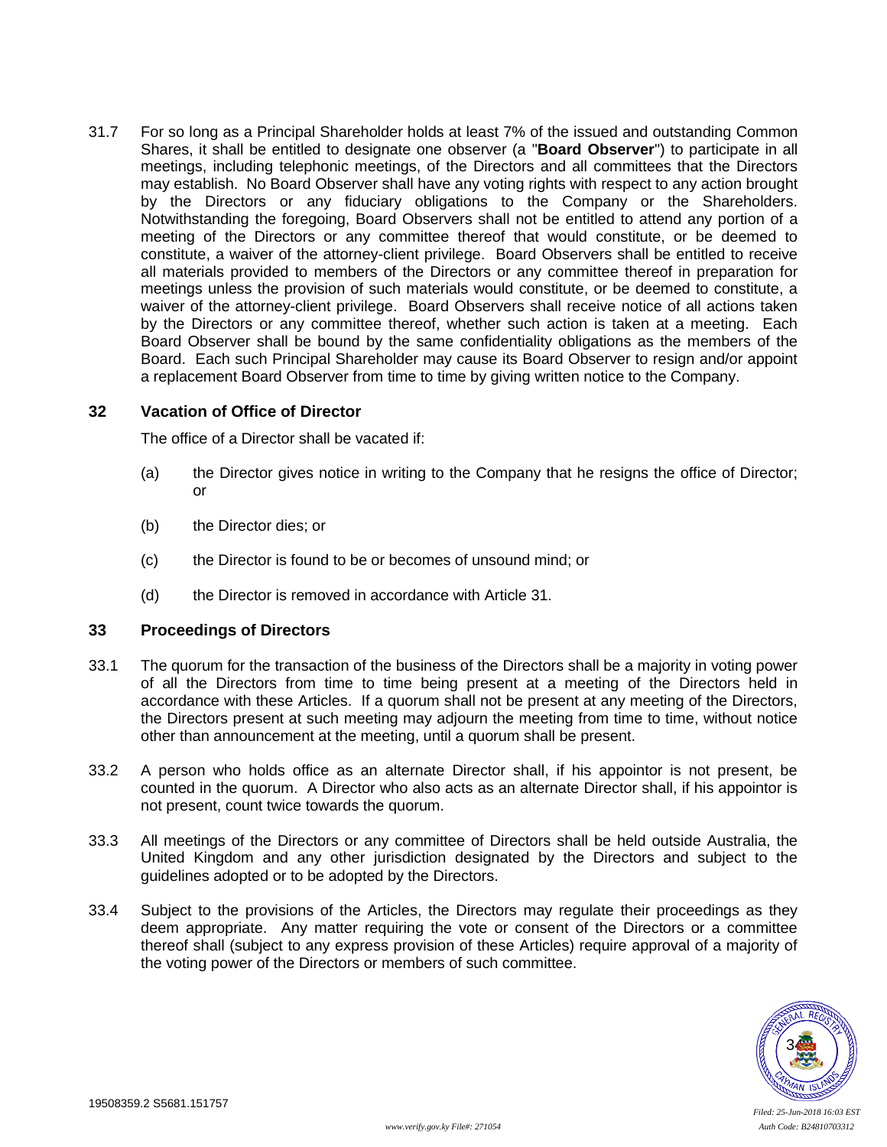31.7 For so long as a Principal Shareholder holds at least 7% of the issued and outstanding Common Shares, it shall be entitled to designate one observer (a "**Board Observer**") to participate in all meetings, including telephonic meetings, of the Directors and all committees that the Directors may establish. No Board Observer shall have any voting rights with respect to any action brought by the Directors or any fiduciary obligations to the Company or the Shareholders. Notwithstanding the foregoing, Board Observers shall not be entitled to attend any portion of a meeting of the Directors or any committee thereof that would constitute, or be deemed to constitute, a waiver of the attorney-client privilege. Board Observers shall be entitled to receive all materials provided to members of the Directors or any committee thereof in preparation for meetings unless the provision of such materials would constitute, or be deemed to constitute, a waiver of the attorney-client privilege. Board Observers shall receive notice of all actions taken by the Directors or any committee thereof, whether such action is taken at a meeting. Each Board Observer shall be bound by the same confidentiality obligations as the members of the Board. Each such Principal Shareholder may cause its Board Observer to resign and/or appoint a replacement Board Observer from time to time by giving written notice to the Company.

### **32 Vacation of Office of Director**

The office of a Director shall be vacated if:

- (a) the Director gives notice in writing to the Company that he resigns the office of Director; or
- (b) the Director dies; or
- (c) the Director is found to be or becomes of unsound mind; or
- (d) the Director is removed in accordance with Article [31.](#page-37-0)

### **33 Proceedings of Directors**

- 33.1 The quorum for the transaction of the business of the Directors shall be a majority in voting power of all the Directors from time to time being present at a meeting of the Directors held in accordance with these Articles. If a quorum shall not be present at any meeting of the Directors, the Directors present at such meeting may adjourn the meeting from time to time, without notice other than announcement at the meeting, until a quorum shall be present.
- 33.2 A person who holds office as an alternate Director shall, if his appointor is not present, be counted in the quorum. A Director who also acts as an alternate Director shall, if his appointor is not present, count twice towards the quorum.
- 33.3 All meetings of the Directors or any committee of Directors shall be held outside Australia, the United Kingdom and any other jurisdiction designated by the Directors and subject to the guidelines adopted or to be adopted by the Directors.
- 33.4 Subject to the provisions of the Articles, the Directors may regulate their proceedings as they deem appropriate. Any matter requiring the vote or consent of the Directors or a committee thereof shall (subject to any express provision of these Articles) require approval of a majority of the voting power of the Directors or members of such committee.

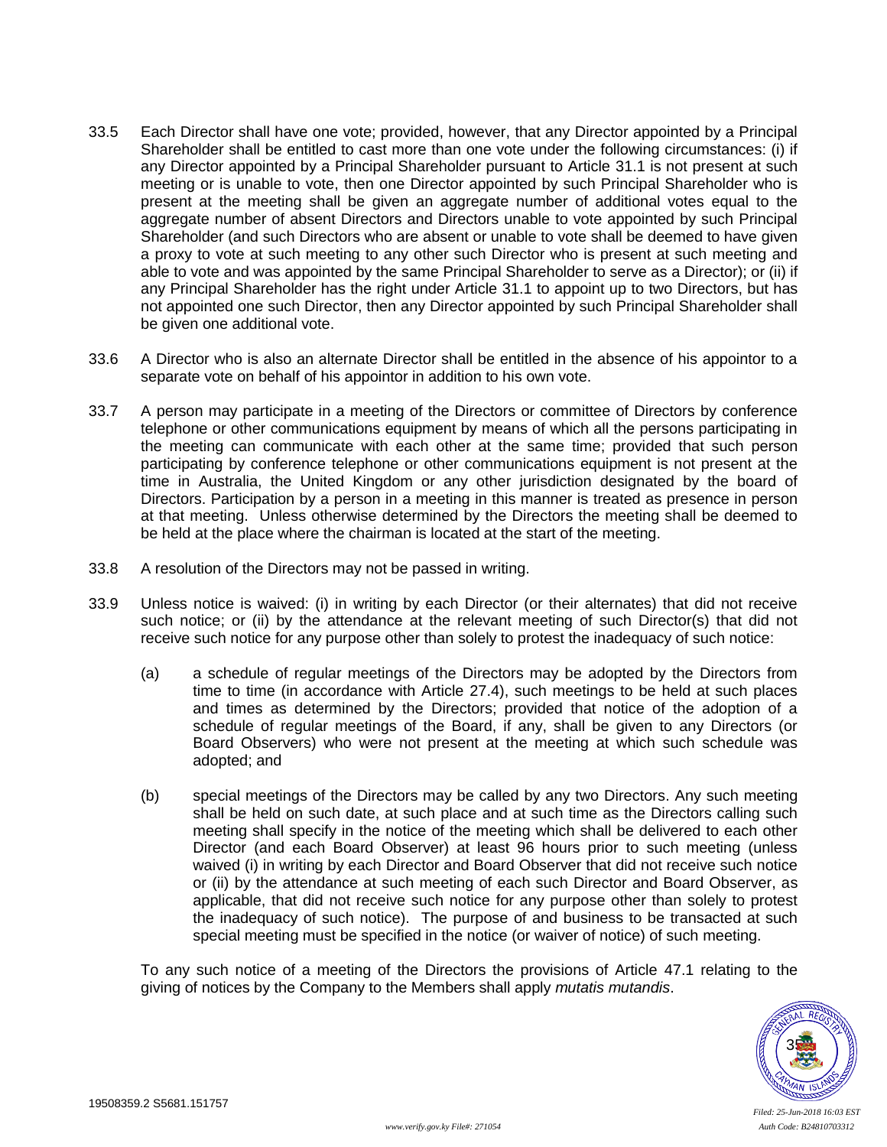- 33.5 Each Director shall have one vote; provided, however, that any Director appointed by a Principal Shareholder shall be entitled to cast more than one vote under the following circumstances: (i) if any Director appointed by a Principal Shareholder pursuant to Article [31.1](#page-37-1) is not present at such meeting or is unable to vote, then one Director appointed by such Principal Shareholder who is present at the meeting shall be given an aggregate number of additional votes equal to the aggregate number of absent Directors and Directors unable to vote appointed by such Principal Shareholder (and such Directors who are absent or unable to vote shall be deemed to have given a proxy to vote at such meeting to any other such Director who is present at such meeting and able to vote and was appointed by the same Principal Shareholder to serve as a Director); or (ii) if any Principal Shareholder has the right under Article [31.1](#page-37-1) to appoint up to two Directors, but has not appointed one such Director, then any Director appointed by such Principal Shareholder shall be given one additional vote.
- 33.6 A Director who is also an alternate Director shall be entitled in the absence of his appointor to a separate vote on behalf of his appointor in addition to his own vote.
- 33.7 A person may participate in a meeting of the Directors or committee of Directors by conference telephone or other communications equipment by means of which all the persons participating in the meeting can communicate with each other at the same time; provided that such person participating by conference telephone or other communications equipment is not present at the time in Australia, the United Kingdom or any other jurisdiction designated by the board of Directors. Participation by a person in a meeting in this manner is treated as presence in person at that meeting. Unless otherwise determined by the Directors the meeting shall be deemed to be held at the place where the chairman is located at the start of the meeting.
- 33.8 A resolution of the Directors may not be passed in writing.
- 33.9 Unless notice is waived: (i) in writing by each Director (or their alternates) that did not receive such notice; or (ii) by the attendance at the relevant meeting of such Director(s) that did not receive such notice for any purpose other than solely to protest the inadequacy of such notice:
	- (a) a schedule of regular meetings of the Directors may be adopted by the Directors from time to time (in accordance with Article 27.4), such meetings to be held at such places and times as determined by the Directors; provided that notice of the adoption of a schedule of regular meetings of the Board, if any, shall be given to any Directors (or Board Observers) who were not present at the meeting at which such schedule was adopted; and
	- (b) special meetings of the Directors may be called by any two Directors. Any such meeting shall be held on such date, at such place and at such time as the Directors calling such meeting shall specify in the notice of the meeting which shall be delivered to each other Director (and each Board Observer) at least 96 hours prior to such meeting (unless waived (i) in writing by each Director and Board Observer that did not receive such notice or (ii) by the attendance at such meeting of each such Director and Board Observer, as applicable, that did not receive such notice for any purpose other than solely to protest the inadequacy of such notice). The purpose of and business to be transacted at such special meeting must be specified in the notice (or waiver of notice) of such meeting.

To any such notice of a meeting of the Directors the provisions of Article [47.1](#page-46-1) relating to the giving of notices by the Company to the Members shall apply *mutatis mutandis*.

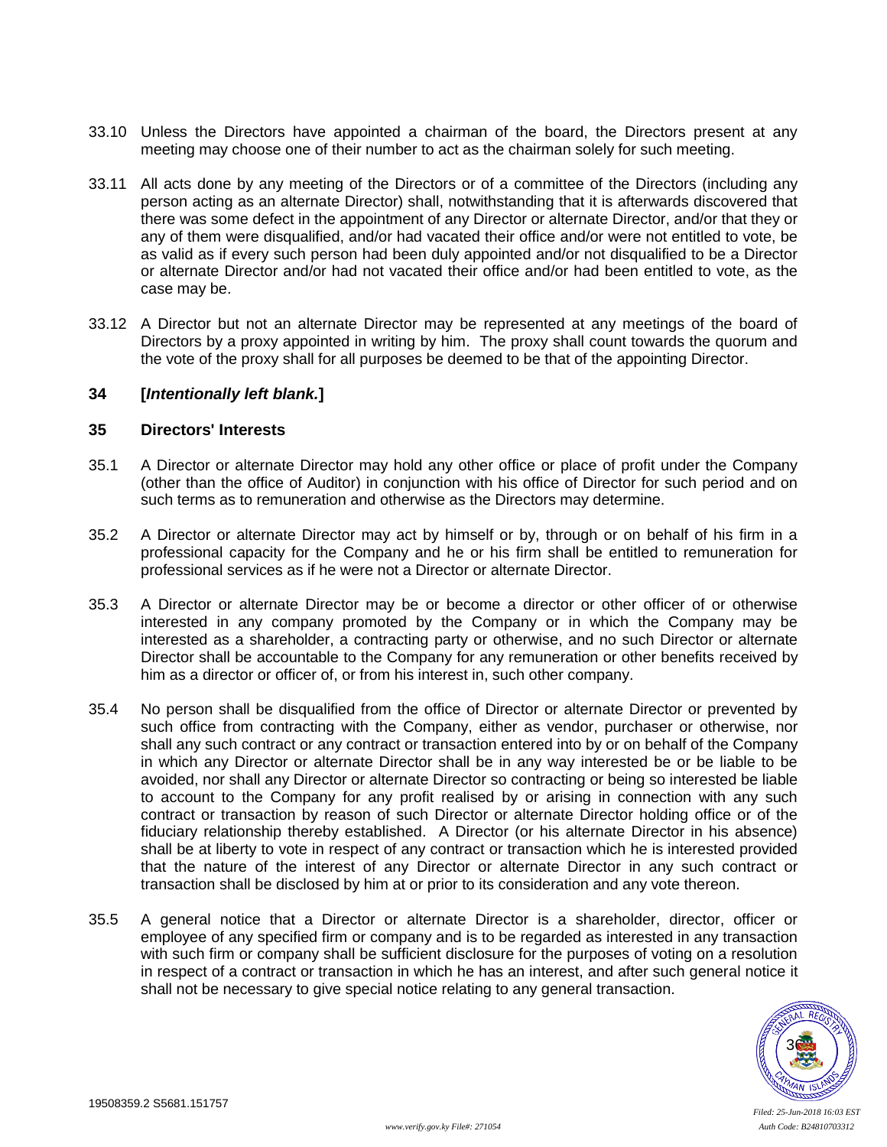- 33.10 Unless the Directors have appointed a chairman of the board, the Directors present at any meeting may choose one of their number to act as the chairman solely for such meeting.
- 33.11 All acts done by any meeting of the Directors or of a committee of the Directors (including any person acting as an alternate Director) shall, notwithstanding that it is afterwards discovered that there was some defect in the appointment of any Director or alternate Director, and/or that they or any of them were disqualified, and/or had vacated their office and/or were not entitled to vote, be as valid as if every such person had been duly appointed and/or not disqualified to be a Director or alternate Director and/or had not vacated their office and/or had been entitled to vote, as the case may be.
- 33.12 A Director but not an alternate Director may be represented at any meetings of the board of Directors by a proxy appointed in writing by him. The proxy shall count towards the quorum and the vote of the proxy shall for all purposes be deemed to be that of the appointing Director.

#### **34 [***Intentionally left blank.***]**

## **35 Directors' Interests**

- 35.1 A Director or alternate Director may hold any other office or place of profit under the Company (other than the office of Auditor) in conjunction with his office of Director for such period and on such terms as to remuneration and otherwise as the Directors may determine.
- 35.2 A Director or alternate Director may act by himself or by, through or on behalf of his firm in a professional capacity for the Company and he or his firm shall be entitled to remuneration for professional services as if he were not a Director or alternate Director.
- 35.3 A Director or alternate Director may be or become a director or other officer of or otherwise interested in any company promoted by the Company or in which the Company may be interested as a shareholder, a contracting party or otherwise, and no such Director or alternate Director shall be accountable to the Company for any remuneration or other benefits received by him as a director or officer of, or from his interest in, such other company.
- 35.4 No person shall be disqualified from the office of Director or alternate Director or prevented by such office from contracting with the Company, either as vendor, purchaser or otherwise, nor shall any such contract or any contract or transaction entered into by or on behalf of the Company in which any Director or alternate Director shall be in any way interested be or be liable to be avoided, nor shall any Director or alternate Director so contracting or being so interested be liable to account to the Company for any profit realised by or arising in connection with any such contract or transaction by reason of such Director or alternate Director holding office or of the fiduciary relationship thereby established. A Director (or his alternate Director in his absence) shall be at liberty to vote in respect of any contract or transaction which he is interested provided that the nature of the interest of any Director or alternate Director in any such contract or transaction shall be disclosed by him at or prior to its consideration and any vote thereon.
- 35.5 A general notice that a Director or alternate Director is a shareholder, director, officer or employee of any specified firm or company and is to be regarded as interested in any transaction with such firm or company shall be sufficient disclosure for the purposes of voting on a resolution in respect of a contract or transaction in which he has an interest, and after such general notice it shall not be necessary to give special notice relating to any general transaction.

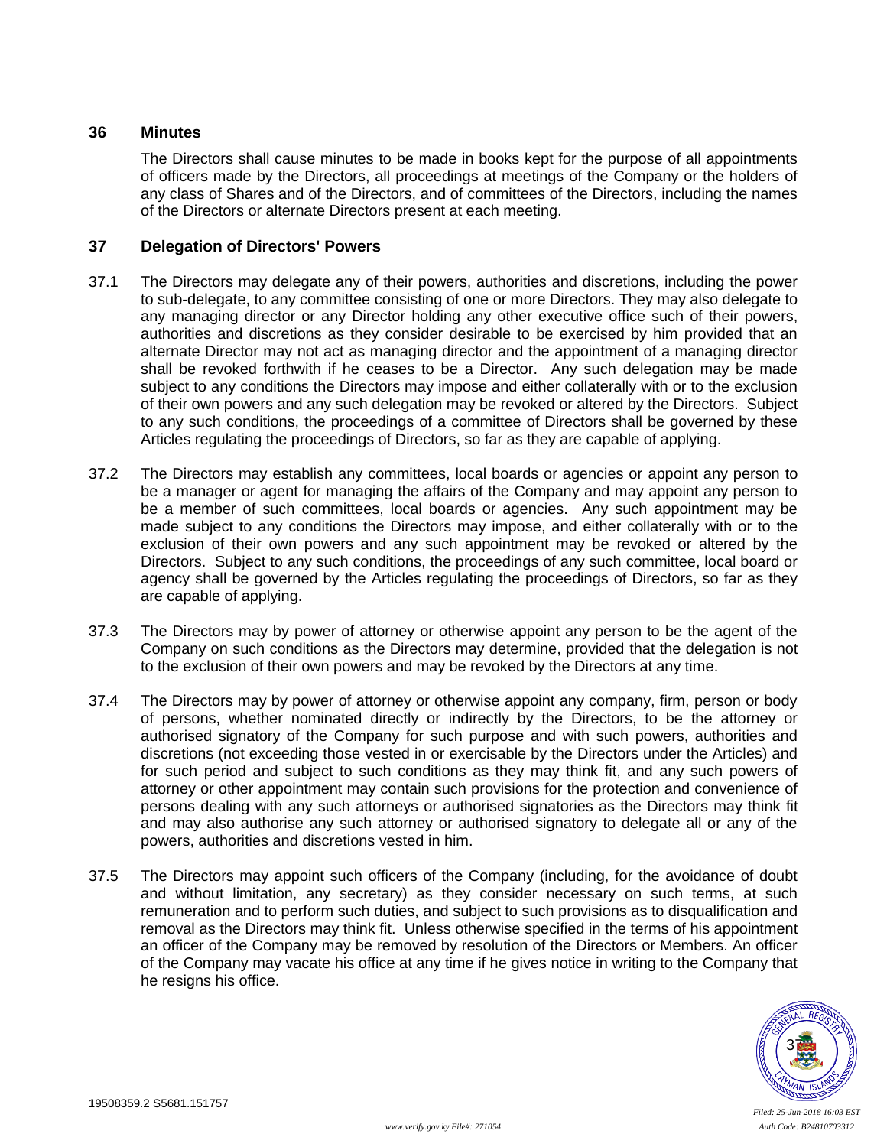## **36 Minutes**

The Directors shall cause minutes to be made in books kept for the purpose of all appointments of officers made by the Directors, all proceedings at meetings of the Company or the holders of any class of Shares and of the Directors, and of committees of the Directors, including the names of the Directors or alternate Directors present at each meeting.

## **37 Delegation of Directors' Powers**

- 37.1 The Directors may delegate any of their powers, authorities and discretions, including the power to sub-delegate, to any committee consisting of one or more Directors. They may also delegate to any managing director or any Director holding any other executive office such of their powers, authorities and discretions as they consider desirable to be exercised by him provided that an alternate Director may not act as managing director and the appointment of a managing director shall be revoked forthwith if he ceases to be a Director. Any such delegation may be made subject to any conditions the Directors may impose and either collaterally with or to the exclusion of their own powers and any such delegation may be revoked or altered by the Directors. Subject to any such conditions, the proceedings of a committee of Directors shall be governed by these Articles regulating the proceedings of Directors, so far as they are capable of applying.
- 37.2 The Directors may establish any committees, local boards or agencies or appoint any person to be a manager or agent for managing the affairs of the Company and may appoint any person to be a member of such committees, local boards or agencies. Any such appointment may be made subject to any conditions the Directors may impose, and either collaterally with or to the exclusion of their own powers and any such appointment may be revoked or altered by the Directors. Subject to any such conditions, the proceedings of any such committee, local board or agency shall be governed by the Articles regulating the proceedings of Directors, so far as they are capable of applying.
- 37.3 The Directors may by power of attorney or otherwise appoint any person to be the agent of the Company on such conditions as the Directors may determine, provided that the delegation is not to the exclusion of their own powers and may be revoked by the Directors at any time.
- 37.4 The Directors may by power of attorney or otherwise appoint any company, firm, person or body of persons, whether nominated directly or indirectly by the Directors, to be the attorney or authorised signatory of the Company for such purpose and with such powers, authorities and discretions (not exceeding those vested in or exercisable by the Directors under the Articles) and for such period and subject to such conditions as they may think fit, and any such powers of attorney or other appointment may contain such provisions for the protection and convenience of persons dealing with any such attorneys or authorised signatories as the Directors may think fit and may also authorise any such attorney or authorised signatory to delegate all or any of the powers, authorities and discretions vested in him.
- 37.5 The Directors may appoint such officers of the Company (including, for the avoidance of doubt and without limitation, any secretary) as they consider necessary on such terms, at such remuneration and to perform such duties, and subject to such provisions as to disqualification and removal as the Directors may think fit. Unless otherwise specified in the terms of his appointment an officer of the Company may be removed by resolution of the Directors or Members. An officer of the Company may vacate his office at any time if he gives notice in writing to the Company that he resigns his office.

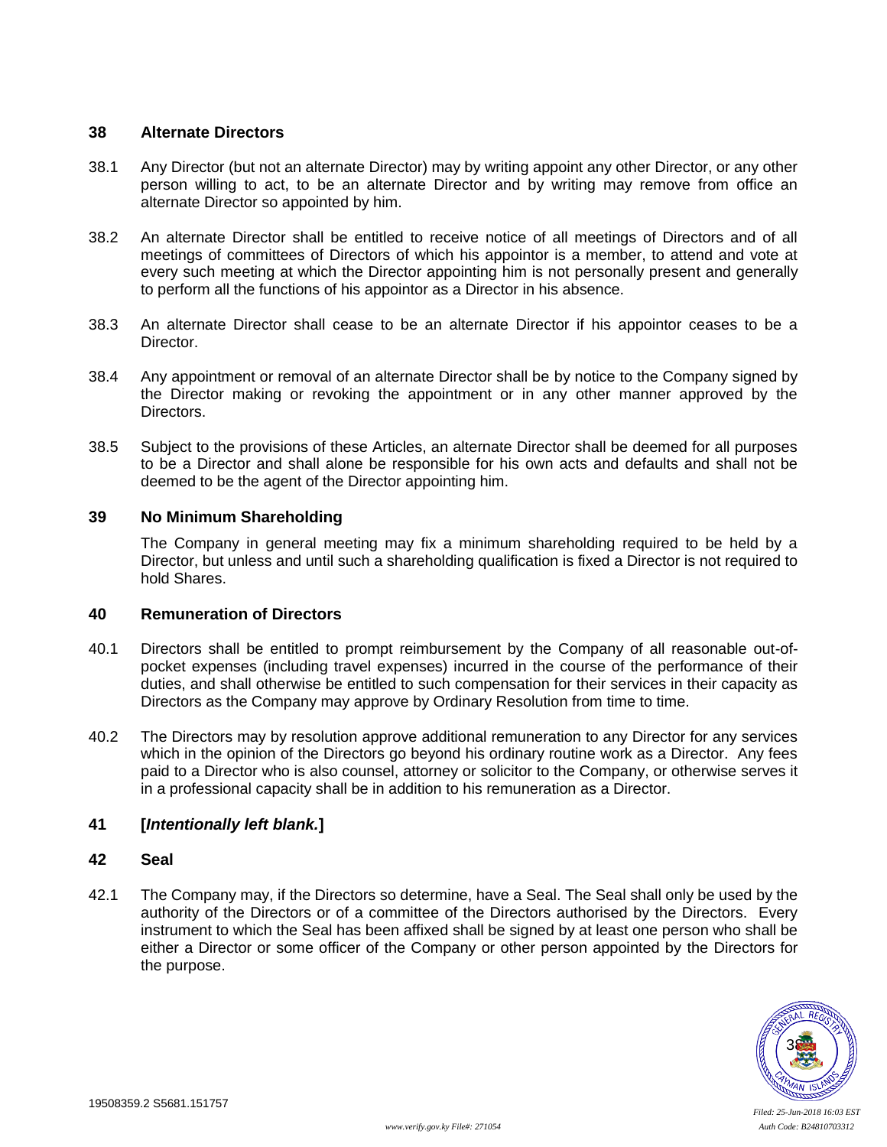## **38 Alternate Directors**

- 38.1 Any Director (but not an alternate Director) may by writing appoint any other Director, or any other person willing to act, to be an alternate Director and by writing may remove from office an alternate Director so appointed by him.
- 38.2 An alternate Director shall be entitled to receive notice of all meetings of Directors and of all meetings of committees of Directors of which his appointor is a member, to attend and vote at every such meeting at which the Director appointing him is not personally present and generally to perform all the functions of his appointor as a Director in his absence.
- 38.3 An alternate Director shall cease to be an alternate Director if his appointor ceases to be a Director.
- 38.4 Any appointment or removal of an alternate Director shall be by notice to the Company signed by the Director making or revoking the appointment or in any other manner approved by the Directors.
- 38.5 Subject to the provisions of these Articles, an alternate Director shall be deemed for all purposes to be a Director and shall alone be responsible for his own acts and defaults and shall not be deemed to be the agent of the Director appointing him.

## **39 No Minimum Shareholding**

The Company in general meeting may fix a minimum shareholding required to be held by a Director, but unless and until such a shareholding qualification is fixed a Director is not required to hold Shares.

## **40 Remuneration of Directors**

- 40.1 Directors shall be entitled to prompt reimbursement by the Company of all reasonable out-ofpocket expenses (including travel expenses) incurred in the course of the performance of their duties, and shall otherwise be entitled to such compensation for their services in their capacity as Directors as the Company may approve by Ordinary Resolution from time to time.
- 40.2 The Directors may by resolution approve additional remuneration to any Director for any services which in the opinion of the Directors go beyond his ordinary routine work as a Director. Any fees paid to a Director who is also counsel, attorney or solicitor to the Company, or otherwise serves it in a professional capacity shall be in addition to his remuneration as a Director.

# **41 [***Intentionally left blank.***]**

### **42 Seal**

42.1 The Company may, if the Directors so determine, have a Seal. The Seal shall only be used by the authority of the Directors or of a committee of the Directors authorised by the Directors. Every instrument to which the Seal has been affixed shall be signed by at least one person who shall be either a Director or some officer of the Company or other person appointed by the Directors for the purpose.

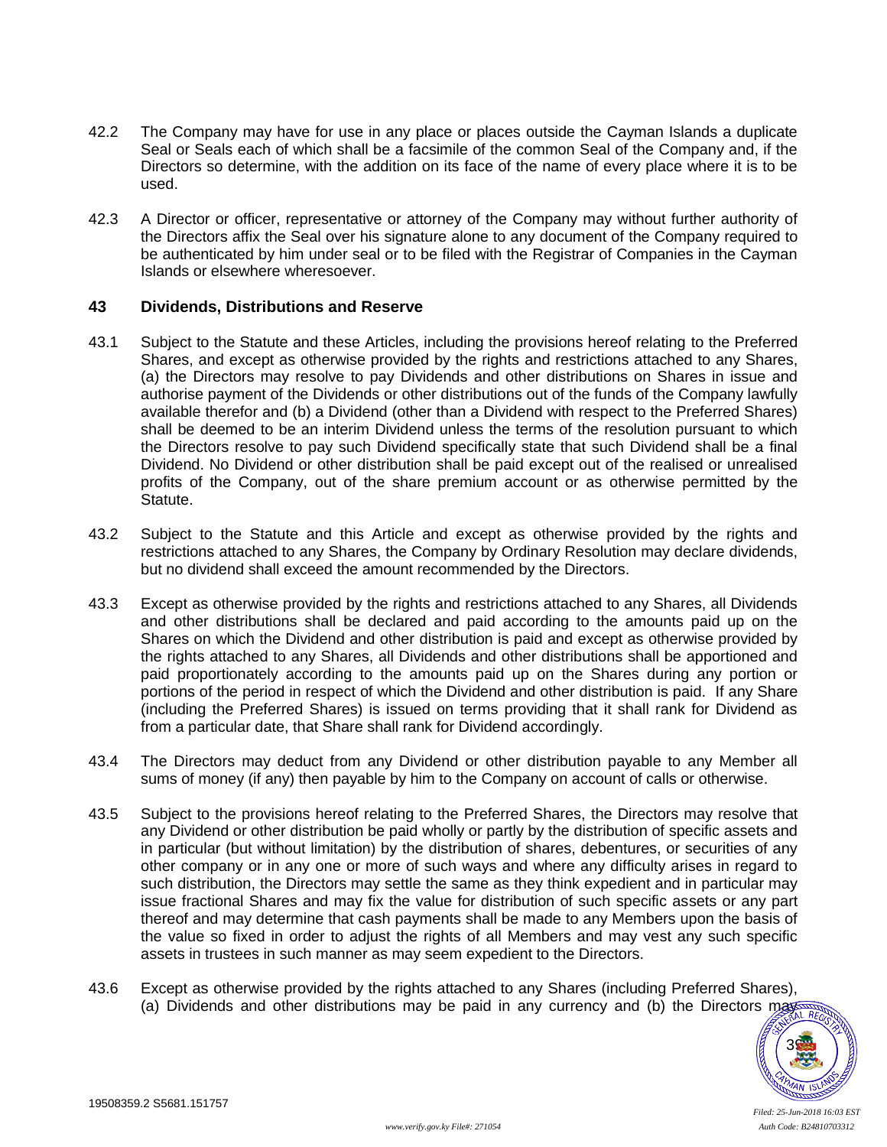- 42.2 The Company may have for use in any place or places outside the Cayman Islands a duplicate Seal or Seals each of which shall be a facsimile of the common Seal of the Company and, if the Directors so determine, with the addition on its face of the name of every place where it is to be used.
- 42.3 A Director or officer, representative or attorney of the Company may without further authority of the Directors affix the Seal over his signature alone to any document of the Company required to be authenticated by him under seal or to be filed with the Registrar of Companies in the Cayman Islands or elsewhere wheresoever.

### <span id="page-43-0"></span>**43 Dividends, Distributions and Reserve**

- 43.1 Subject to the Statute and these Articles, including the provisions hereof relating to the Preferred Shares, and except as otherwise provided by the rights and restrictions attached to any Shares, (a) the Directors may resolve to pay Dividends and other distributions on Shares in issue and authorise payment of the Dividends or other distributions out of the funds of the Company lawfully available therefor and (b) a Dividend (other than a Dividend with respect to the Preferred Shares) shall be deemed to be an interim Dividend unless the terms of the resolution pursuant to which the Directors resolve to pay such Dividend specifically state that such Dividend shall be a final Dividend. No Dividend or other distribution shall be paid except out of the realised or unrealised profits of the Company, out of the share premium account or as otherwise permitted by the Statute.
- 43.2 Subject to the Statute and this Article and except as otherwise provided by the rights and restrictions attached to any Shares, the Company by Ordinary Resolution may declare dividends, but no dividend shall exceed the amount recommended by the Directors.
- 43.3 Except as otherwise provided by the rights and restrictions attached to any Shares, all Dividends and other distributions shall be declared and paid according to the amounts paid up on the Shares on which the Dividend and other distribution is paid and except as otherwise provided by the rights attached to any Shares, all Dividends and other distributions shall be apportioned and paid proportionately according to the amounts paid up on the Shares during any portion or portions of the period in respect of which the Dividend and other distribution is paid. If any Share (including the Preferred Shares) is issued on terms providing that it shall rank for Dividend as from a particular date, that Share shall rank for Dividend accordingly.
- 43.4 The Directors may deduct from any Dividend or other distribution payable to any Member all sums of money (if any) then payable by him to the Company on account of calls or otherwise.
- 43.5 Subject to the provisions hereof relating to the Preferred Shares, the Directors may resolve that any Dividend or other distribution be paid wholly or partly by the distribution of specific assets and in particular (but without limitation) by the distribution of shares, debentures, or securities of any other company or in any one or more of such ways and where any difficulty arises in regard to such distribution, the Directors may settle the same as they think expedient and in particular may issue fractional Shares and may fix the value for distribution of such specific assets or any part thereof and may determine that cash payments shall be made to any Members upon the basis of the value so fixed in order to adjust the rights of all Members and may vest any such specific assets in trustees in such manner as may seem expedient to the Directors.
- 43.6 Except as otherwise provided by the rights attached to any Shares (including Preferred Shares), (a) Dividends and other distributions may be paid in any currency and (b) the Directors may be

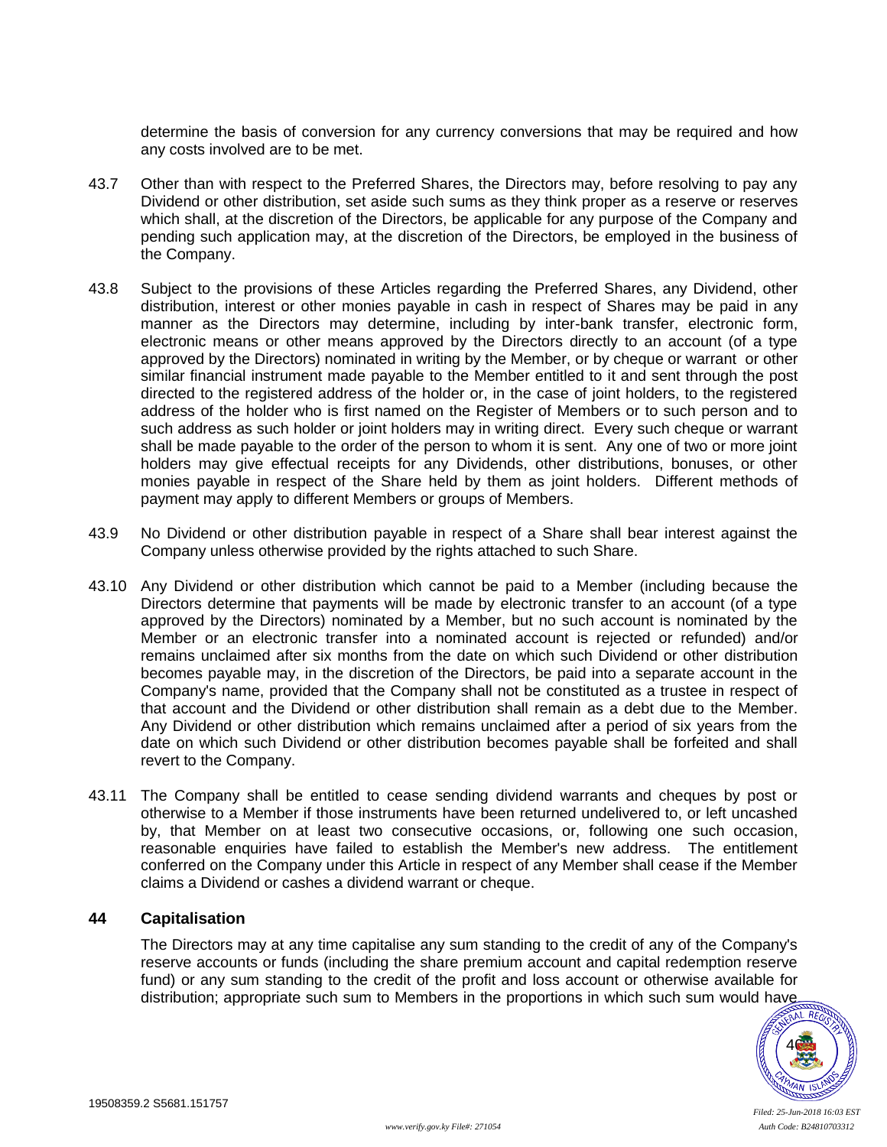determine the basis of conversion for any currency conversions that may be required and how any costs involved are to be met.

- 43.7 Other than with respect to the Preferred Shares, the Directors may, before resolving to pay any Dividend or other distribution, set aside such sums as they think proper as a reserve or reserves which shall, at the discretion of the Directors, be applicable for any purpose of the Company and pending such application may, at the discretion of the Directors, be employed in the business of the Company.
- 43.8 Subject to the provisions of these Articles regarding the Preferred Shares, any Dividend, other distribution, interest or other monies payable in cash in respect of Shares may be paid in any manner as the Directors may determine, including by inter-bank transfer, electronic form, electronic means or other means approved by the Directors directly to an account (of a type approved by the Directors) nominated in writing by the Member, or by cheque or warrant or other similar financial instrument made payable to the Member entitled to it and sent through the post directed to the registered address of the holder or, in the case of joint holders, to the registered address of the holder who is first named on the Register of Members or to such person and to such address as such holder or joint holders may in writing direct. Every such cheque or warrant shall be made payable to the order of the person to whom it is sent. Any one of two or more joint holders may give effectual receipts for any Dividends, other distributions, bonuses, or other monies payable in respect of the Share held by them as joint holders. Different methods of payment may apply to different Members or groups of Members.
- 43.9 No Dividend or other distribution payable in respect of a Share shall bear interest against the Company unless otherwise provided by the rights attached to such Share.
- 43.10 Any Dividend or other distribution which cannot be paid to a Member (including because the Directors determine that payments will be made by electronic transfer to an account (of a type approved by the Directors) nominated by a Member, but no such account is nominated by the Member or an electronic transfer into a nominated account is rejected or refunded) and/or remains unclaimed after six months from the date on which such Dividend or other distribution becomes payable may, in the discretion of the Directors, be paid into a separate account in the Company's name, provided that the Company shall not be constituted as a trustee in respect of that account and the Dividend or other distribution shall remain as a debt due to the Member. Any Dividend or other distribution which remains unclaimed after a period of six years from the date on which such Dividend or other distribution becomes payable shall be forfeited and shall revert to the Company.
- 43.11 The Company shall be entitled to cease sending dividend warrants and cheques by post or otherwise to a Member if those instruments have been returned undelivered to, or left uncashed by, that Member on at least two consecutive occasions, or, following one such occasion, reasonable enquiries have failed to establish the Member's new address. The entitlement conferred on the Company under this Article in respect of any Member shall cease if the Member claims a Dividend or cashes a dividend warrant or cheque.

### **44 Capitalisation**

The Directors may at any time capitalise any sum standing to the credit of any of the Company's reserve accounts or funds (including the share premium account and capital redemption reserve fund) or any sum standing to the credit of the profit and loss account or otherwise available for distribution; appropriate such sum to Members in the proportions in which such sum would have

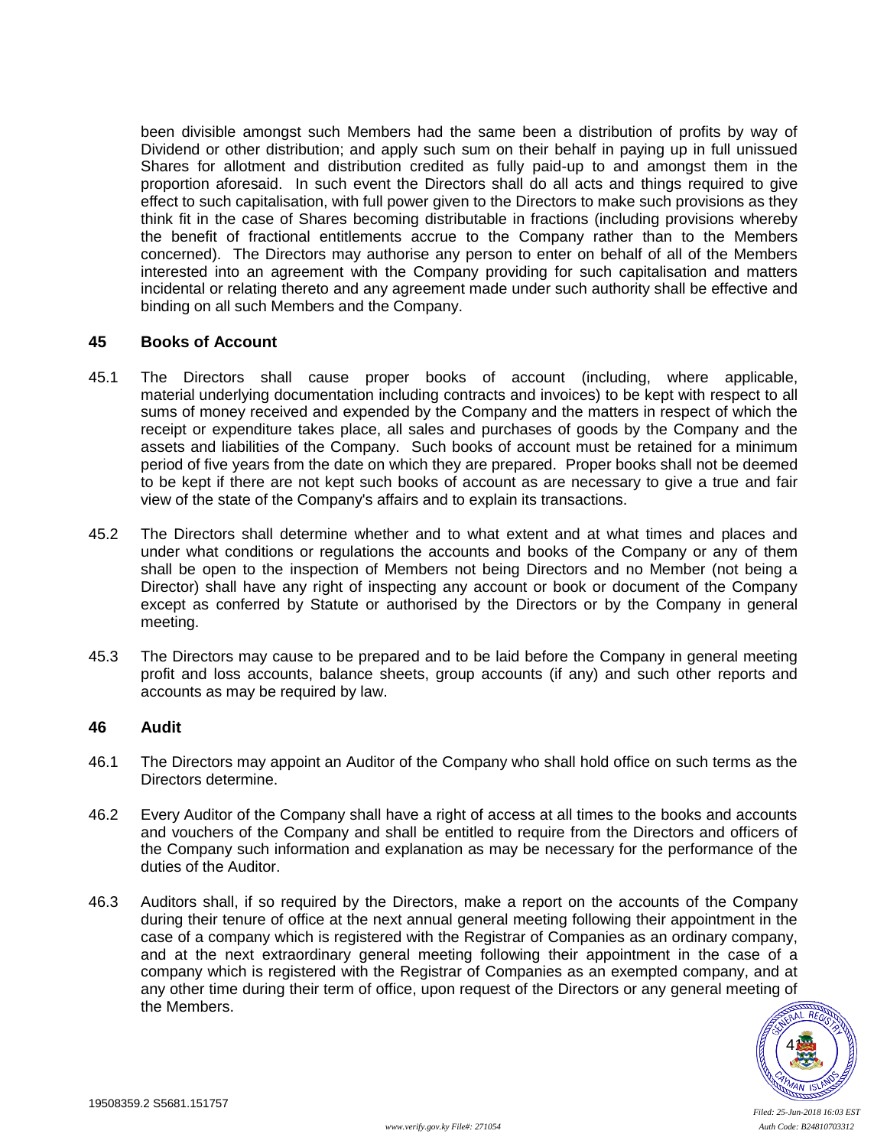been divisible amongst such Members had the same been a distribution of profits by way of Dividend or other distribution; and apply such sum on their behalf in paying up in full unissued Shares for allotment and distribution credited as fully paid-up to and amongst them in the proportion aforesaid. In such event the Directors shall do all acts and things required to give effect to such capitalisation, with full power given to the Directors to make such provisions as they think fit in the case of Shares becoming distributable in fractions (including provisions whereby the benefit of fractional entitlements accrue to the Company rather than to the Members concerned). The Directors may authorise any person to enter on behalf of all of the Members interested into an agreement with the Company providing for such capitalisation and matters incidental or relating thereto and any agreement made under such authority shall be effective and binding on all such Members and the Company.

#### **45 Books of Account**

- 45.1 The Directors shall cause proper books of account (including, where applicable, material underlying documentation including contracts and invoices) to be kept with respect to all sums of money received and expended by the Company and the matters in respect of which the receipt or expenditure takes place, all sales and purchases of goods by the Company and the assets and liabilities of the Company. Such books of account must be retained for a minimum period of five years from the date on which they are prepared. Proper books shall not be deemed to be kept if there are not kept such books of account as are necessary to give a true and fair view of the state of the Company's affairs and to explain its transactions.
- 45.2 The Directors shall determine whether and to what extent and at what times and places and under what conditions or regulations the accounts and books of the Company or any of them shall be open to the inspection of Members not being Directors and no Member (not being a Director) shall have any right of inspecting any account or book or document of the Company except as conferred by Statute or authorised by the Directors or by the Company in general meeting.
- 45.3 The Directors may cause to be prepared and to be laid before the Company in general meeting profit and loss accounts, balance sheets, group accounts (if any) and such other reports and accounts as may be required by law.

#### **46 Audit**

- 46.1 The Directors may appoint an Auditor of the Company who shall hold office on such terms as the Directors determine.
- 46.2 Every Auditor of the Company shall have a right of access at all times to the books and accounts and vouchers of the Company and shall be entitled to require from the Directors and officers of the Company such information and explanation as may be necessary for the performance of the duties of the Auditor.
- 46.3 Auditors shall, if so required by the Directors, make a report on the accounts of the Company during their tenure of office at the next annual general meeting following their appointment in the case of a company which is registered with the Registrar of Companies as an ordinary company, and at the next extraordinary general meeting following their appointment in the case of a company which is registered with the Registrar of Companies as an exempted company, and at any other time during their term of office, upon request of the Directors or any general meeting of the Members.

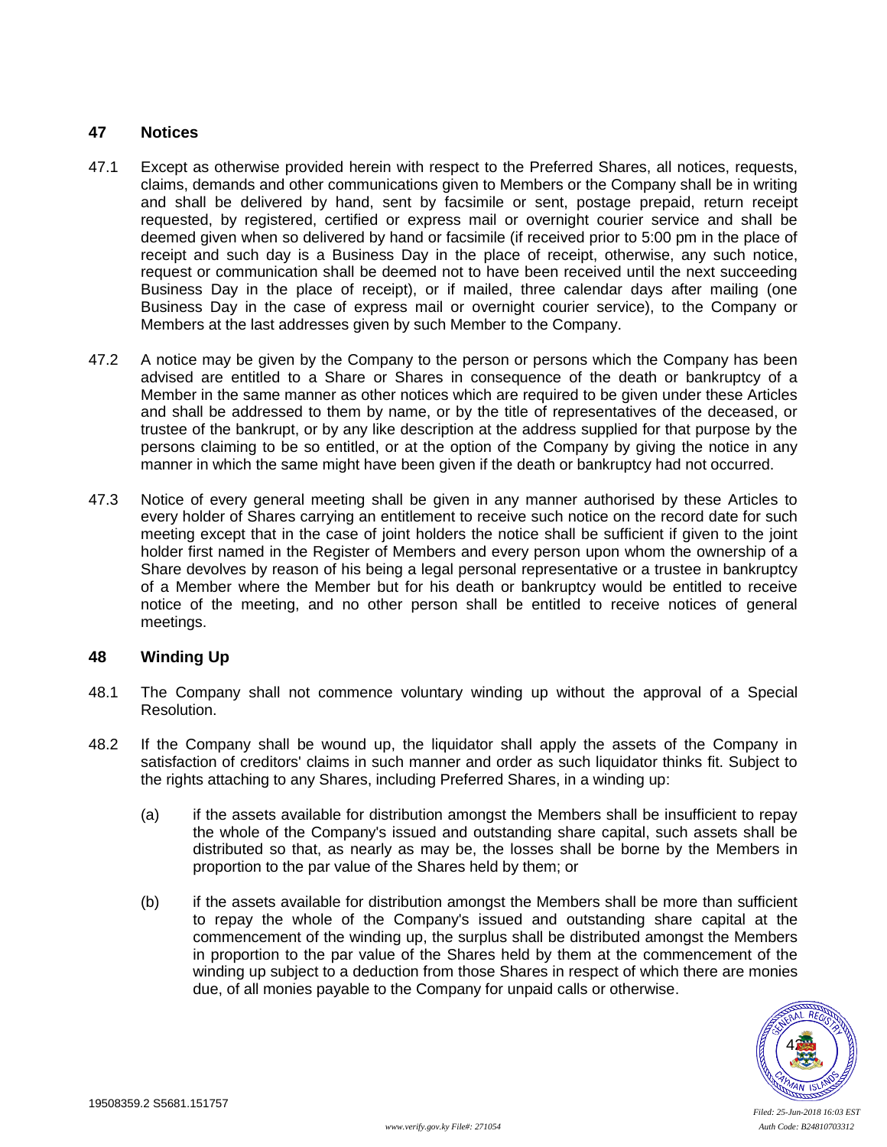## **47 Notices**

- <span id="page-46-1"></span>47.1 Except as otherwise provided herein with respect to the Preferred Shares, all notices, requests, claims, demands and other communications given to Members or the Company shall be in writing and shall be delivered by hand, sent by facsimile or sent, postage prepaid, return receipt requested, by registered, certified or express mail or overnight courier service and shall be deemed given when so delivered by hand or facsimile (if received prior to 5:00 pm in the place of receipt and such day is a Business Day in the place of receipt, otherwise, any such notice, request or communication shall be deemed not to have been received until the next succeeding Business Day in the place of receipt), or if mailed, three calendar days after mailing (one Business Day in the case of express mail or overnight courier service), to the Company or Members at the last addresses given by such Member to the Company.
- 47.2 A notice may be given by the Company to the person or persons which the Company has been advised are entitled to a Share or Shares in consequence of the death or bankruptcy of a Member in the same manner as other notices which are required to be given under these Articles and shall be addressed to them by name, or by the title of representatives of the deceased, or trustee of the bankrupt, or by any like description at the address supplied for that purpose by the persons claiming to be so entitled, or at the option of the Company by giving the notice in any manner in which the same might have been given if the death or bankruptcy had not occurred.
- 47.3 Notice of every general meeting shall be given in any manner authorised by these Articles to every holder of Shares carrying an entitlement to receive such notice on the record date for such meeting except that in the case of joint holders the notice shall be sufficient if given to the joint holder first named in the Register of Members and every person upon whom the ownership of a Share devolves by reason of his being a legal personal representative or a trustee in bankruptcy of a Member where the Member but for his death or bankruptcy would be entitled to receive notice of the meeting, and no other person shall be entitled to receive notices of general meetings.

### <span id="page-46-0"></span>**48 Winding Up**

- <span id="page-46-2"></span>48.1 The Company shall not commence voluntary winding up without the approval of a Special Resolution.
- 48.2 If the Company shall be wound up, the liquidator shall apply the assets of the Company in satisfaction of creditors' claims in such manner and order as such liquidator thinks fit. Subject to the rights attaching to any Shares, including Preferred Shares, in a winding up:
	- (a) if the assets available for distribution amongst the Members shall be insufficient to repay the whole of the Company's issued and outstanding share capital, such assets shall be distributed so that, as nearly as may be, the losses shall be borne by the Members in proportion to the par value of the Shares held by them; or
	- (b) if the assets available for distribution amongst the Members shall be more than sufficient to repay the whole of the Company's issued and outstanding share capital at the commencement of the winding up, the surplus shall be distributed amongst the Members in proportion to the par value of the Shares held by them at the commencement of the winding up subject to a deduction from those Shares in respect of which there are monies due, of all monies payable to the Company for unpaid calls or otherwise.

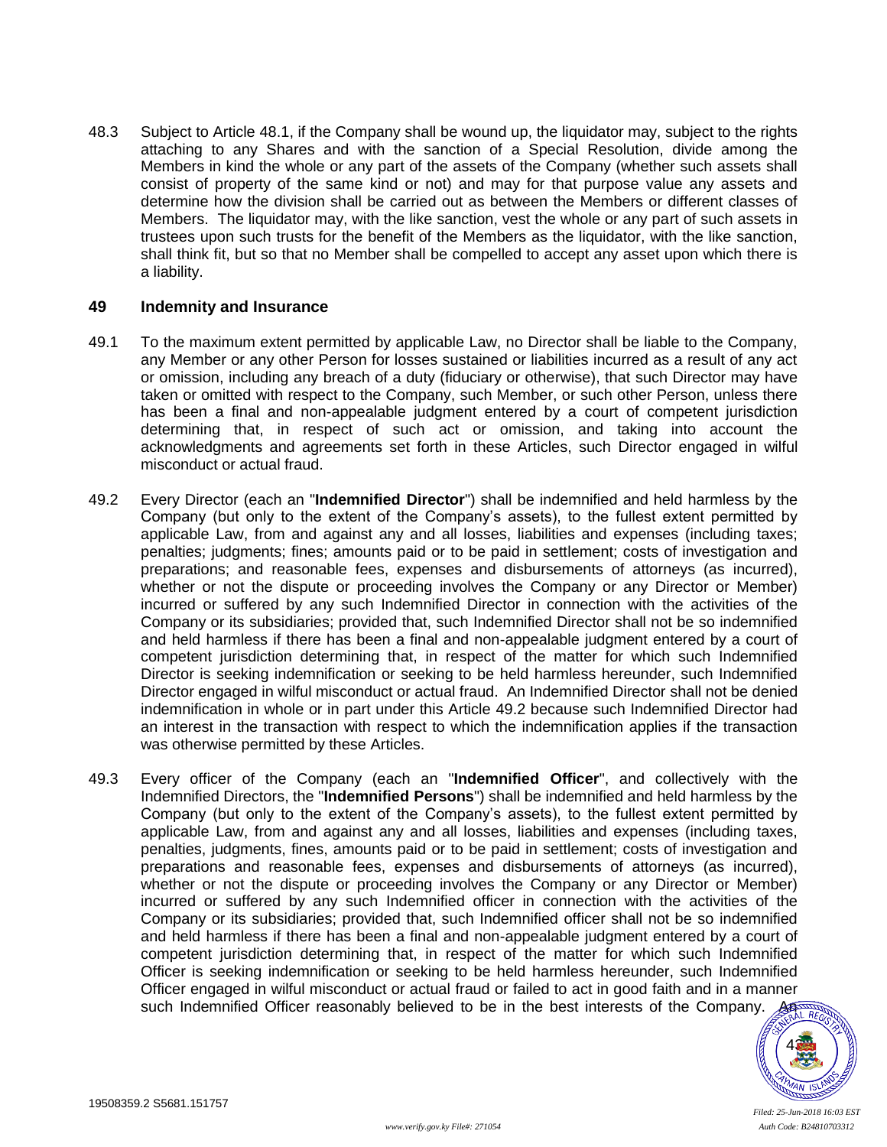48.3 Subject to Article [48.1,](#page-46-2) if the Company shall be wound up, the liquidator may, subject to the rights attaching to any Shares and with the sanction of a Special Resolution, divide among the Members in kind the whole or any part of the assets of the Company (whether such assets shall consist of property of the same kind or not) and may for that purpose value any assets and determine how the division shall be carried out as between the Members or different classes of Members. The liquidator may, with the like sanction, vest the whole or any part of such assets in trustees upon such trusts for the benefit of the Members as the liquidator, with the like sanction, shall think fit, but so that no Member shall be compelled to accept any asset upon which there is a liability.

### <span id="page-47-2"></span>**49 Indemnity and Insurance**

- 49.1 To the maximum extent permitted by applicable Law, no Director shall be liable to the Company, any Member or any other Person for losses sustained or liabilities incurred as a result of any act or omission, including any breach of a duty (fiduciary or otherwise), that such Director may have taken or omitted with respect to the Company, such Member, or such other Person, unless there has been a final and non-appealable judgment entered by a court of competent jurisdiction determining that, in respect of such act or omission, and taking into account the acknowledgments and agreements set forth in these Articles, such Director engaged in wilful misconduct or actual fraud.
- <span id="page-47-0"></span>49.2 Every Director (each an "**Indemnified Director**") shall be indemnified and held harmless by the Company (but only to the extent of the Company's assets), to the fullest extent permitted by applicable Law, from and against any and all losses, liabilities and expenses (including taxes; penalties; judgments; fines; amounts paid or to be paid in settlement; costs of investigation and preparations; and reasonable fees, expenses and disbursements of attorneys (as incurred), whether or not the dispute or proceeding involves the Company or any Director or Member) incurred or suffered by any such Indemnified Director in connection with the activities of the Company or its subsidiaries; provided that, such Indemnified Director shall not be so indemnified and held harmless if there has been a final and non-appealable judgment entered by a court of competent jurisdiction determining that, in respect of the matter for which such Indemnified Director is seeking indemnification or seeking to be held harmless hereunder, such Indemnified Director engaged in wilful misconduct or actual fraud. An Indemnified Director shall not be denied indemnification in whole or in part under this Article [49.2](#page-47-0) because such Indemnified Director had an interest in the transaction with respect to which the indemnification applies if the transaction was otherwise permitted by these Articles.
- <span id="page-47-1"></span>49.3 Every officer of the Company (each an "**Indemnified Officer**", and collectively with the Indemnified Directors, the "**Indemnified Persons**") shall be indemnified and held harmless by the Company (but only to the extent of the Company's assets), to the fullest extent permitted by applicable Law, from and against any and all losses, liabilities and expenses (including taxes, penalties, judgments, fines, amounts paid or to be paid in settlement; costs of investigation and preparations and reasonable fees, expenses and disbursements of attorneys (as incurred), whether or not the dispute or proceeding involves the Company or any Director or Member) incurred or suffered by any such Indemnified officer in connection with the activities of the Company or its subsidiaries; provided that, such Indemnified officer shall not be so indemnified and held harmless if there has been a final and non-appealable judgment entered by a court of competent jurisdiction determining that, in respect of the matter for which such Indemnified Officer is seeking indemnification or seeking to be held harmless hereunder, such Indemnified Officer engaged in wilful misconduct or actual fraud or failed to act in good faith and in a manner such Indemnified Officer reasonably believed to be in the best interests of the Company.

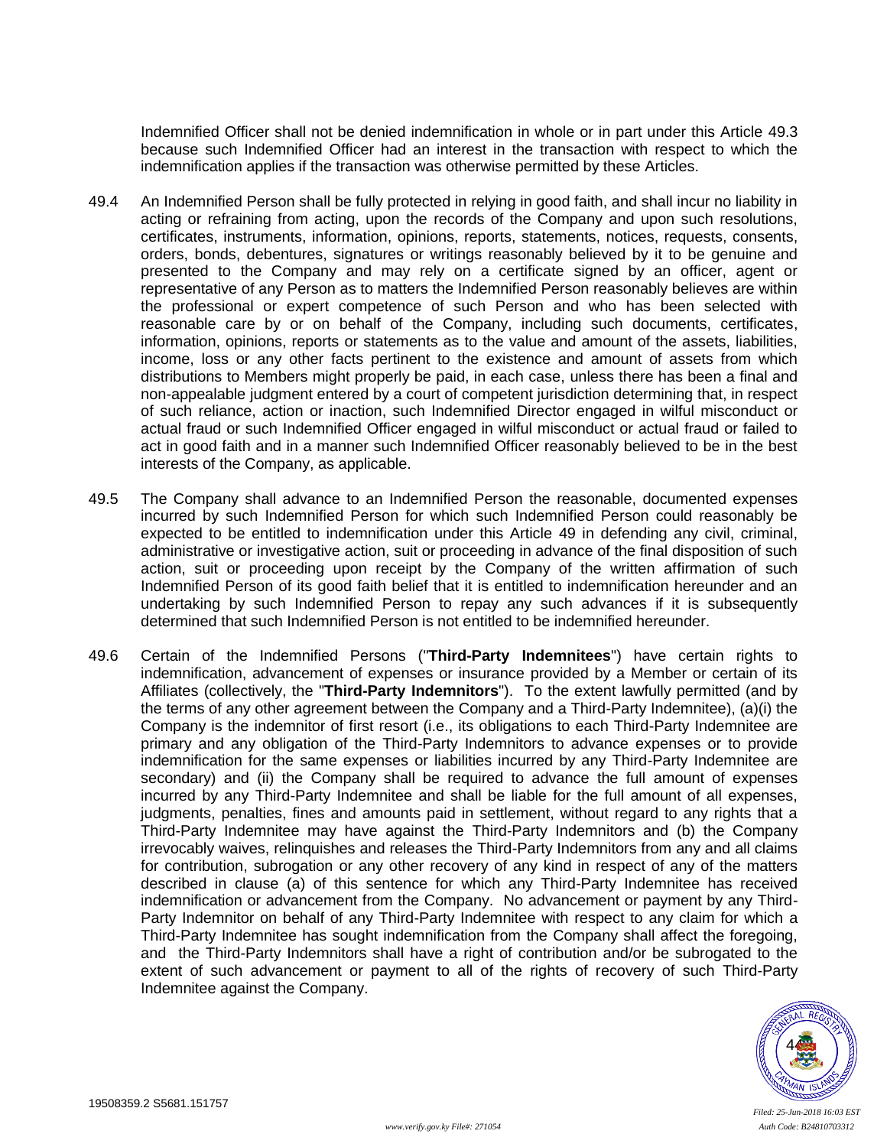Indemnified Officer shall not be denied indemnification in whole or in part under this Article [49.3](#page-47-1) because such Indemnified Officer had an interest in the transaction with respect to which the indemnification applies if the transaction was otherwise permitted by these Articles.

- 49.4 An Indemnified Person shall be fully protected in relying in good faith, and shall incur no liability in acting or refraining from acting, upon the records of the Company and upon such resolutions, certificates, instruments, information, opinions, reports, statements, notices, requests, consents, orders, bonds, debentures, signatures or writings reasonably believed by it to be genuine and presented to the Company and may rely on a certificate signed by an officer, agent or representative of any Person as to matters the Indemnified Person reasonably believes are within the professional or expert competence of such Person and who has been selected with reasonable care by or on behalf of the Company, including such documents, certificates, information, opinions, reports or statements as to the value and amount of the assets, liabilities, income, loss or any other facts pertinent to the existence and amount of assets from which distributions to Members might properly be paid, in each case, unless there has been a final and non-appealable judgment entered by a court of competent jurisdiction determining that, in respect of such reliance, action or inaction, such Indemnified Director engaged in wilful misconduct or actual fraud or such Indemnified Officer engaged in wilful misconduct or actual fraud or failed to act in good faith and in a manner such Indemnified Officer reasonably believed to be in the best interests of the Company, as applicable.
- 49.5 The Company shall advance to an Indemnified Person the reasonable, documented expenses incurred by such Indemnified Person for which such Indemnified Person could reasonably be expected to be entitled to indemnification under this Article [49](#page-47-2) in defending any civil, criminal, administrative or investigative action, suit or proceeding in advance of the final disposition of such action, suit or proceeding upon receipt by the Company of the written affirmation of such Indemnified Person of its good faith belief that it is entitled to indemnification hereunder and an undertaking by such Indemnified Person to repay any such advances if it is subsequently determined that such Indemnified Person is not entitled to be indemnified hereunder.
- 49.6 Certain of the Indemnified Persons ("**Third-Party Indemnitees**") have certain rights to indemnification, advancement of expenses or insurance provided by a Member or certain of its Affiliates (collectively, the "**Third-Party Indemnitors**"). To the extent lawfully permitted (and by the terms of any other agreement between the Company and a Third-Party Indemnitee), (a)(i) the Company is the indemnitor of first resort (i.e., its obligations to each Third-Party Indemnitee are primary and any obligation of the Third-Party Indemnitors to advance expenses or to provide indemnification for the same expenses or liabilities incurred by any Third-Party Indemnitee are secondary) and (ii) the Company shall be required to advance the full amount of expenses incurred by any Third-Party Indemnitee and shall be liable for the full amount of all expenses, judgments, penalties, fines and amounts paid in settlement, without regard to any rights that a Third-Party Indemnitee may have against the Third-Party Indemnitors and (b) the Company irrevocably waives, relinquishes and releases the Third-Party Indemnitors from any and all claims for contribution, subrogation or any other recovery of any kind in respect of any of the matters described in clause (a) of this sentence for which any Third-Party Indemnitee has received indemnification or advancement from the Company. No advancement or payment by any Third-Party Indemnitor on behalf of any Third-Party Indemnitee with respect to any claim for which a Third-Party Indemnitee has sought indemnification from the Company shall affect the foregoing, and the Third-Party Indemnitors shall have a right of contribution and/or be subrogated to the extent of such advancement or payment to all of the rights of recovery of such Third-Party Indemnitee against the Company.

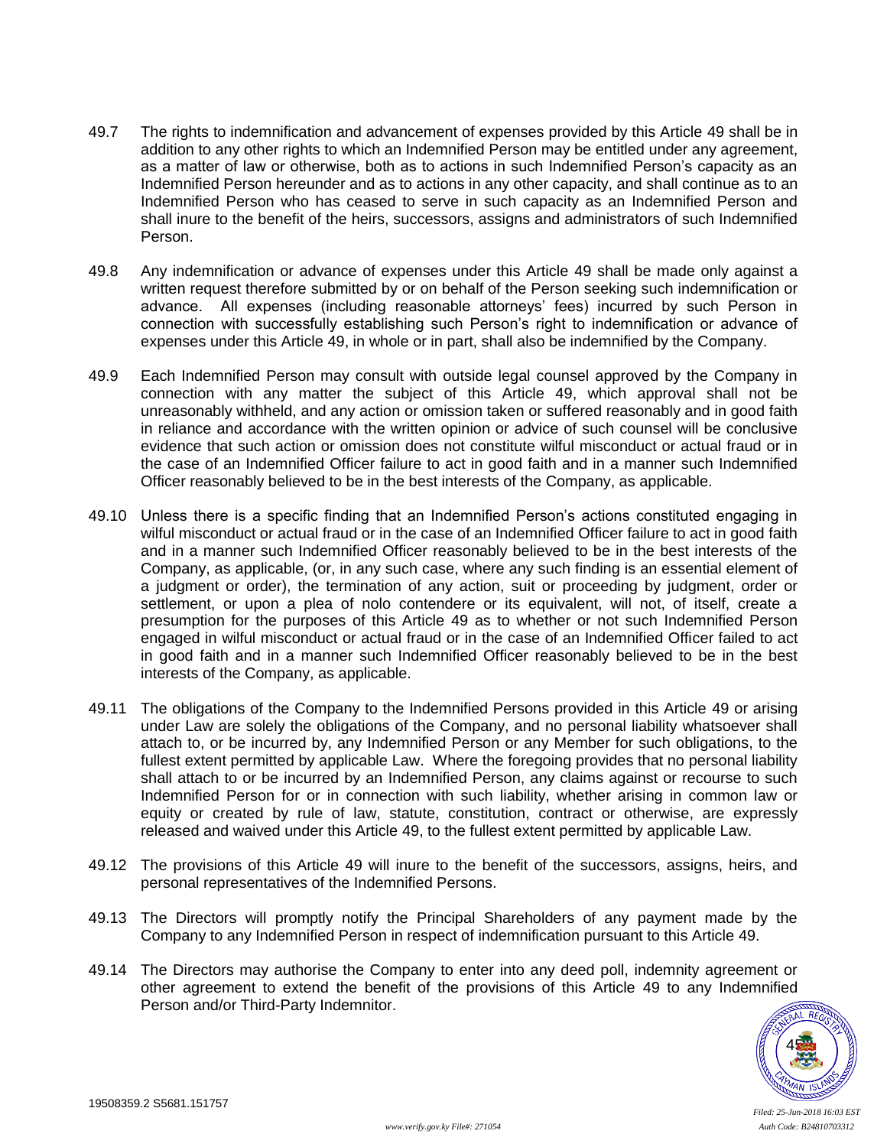- 49.7 The rights to indemnification and advancement of expenses provided by this Article [49](#page-47-2) shall be in addition to any other rights to which an Indemnified Person may be entitled under any agreement, as a matter of law or otherwise, both as to actions in such Indemnified Person's capacity as an Indemnified Person hereunder and as to actions in any other capacity, and shall continue as to an Indemnified Person who has ceased to serve in such capacity as an Indemnified Person and shall inure to the benefit of the heirs, successors, assigns and administrators of such Indemnified Person.
- 49.8 Any indemnification or advance of expenses under this Article [49](#page-47-2) shall be made only against a written request therefore submitted by or on behalf of the Person seeking such indemnification or advance. All expenses (including reasonable attorneys' fees) incurred by such Person in connection with successfully establishing such Person's right to indemnification or advance of expenses under this Article [49,](#page-47-2) in whole or in part, shall also be indemnified by the Company.
- 49.9 Each Indemnified Person may consult with outside legal counsel approved by the Company in connection with any matter the subject of this Article [49,](#page-47-2) which approval shall not be unreasonably withheld, and any action or omission taken or suffered reasonably and in good faith in reliance and accordance with the written opinion or advice of such counsel will be conclusive evidence that such action or omission does not constitute wilful misconduct or actual fraud or in the case of an Indemnified Officer failure to act in good faith and in a manner such Indemnified Officer reasonably believed to be in the best interests of the Company, as applicable.
- 49.10 Unless there is a specific finding that an Indemnified Person's actions constituted engaging in wilful misconduct or actual fraud or in the case of an Indemnified Officer failure to act in good faith and in a manner such Indemnified Officer reasonably believed to be in the best interests of the Company, as applicable, (or, in any such case, where any such finding is an essential element of a judgment or order), the termination of any action, suit or proceeding by judgment, order or settlement, or upon a plea of nolo contendere or its equivalent, will not, of itself, create a presumption for the purposes of this Article [49](#page-47-2) as to whether or not such Indemnified Person engaged in wilful misconduct or actual fraud or in the case of an Indemnified Officer failed to act in good faith and in a manner such Indemnified Officer reasonably believed to be in the best interests of the Company, as applicable.
- 49.11 The obligations of the Company to the Indemnified Persons provided in this Article [49](#page-47-2) or arising under Law are solely the obligations of the Company, and no personal liability whatsoever shall attach to, or be incurred by, any Indemnified Person or any Member for such obligations, to the fullest extent permitted by applicable Law. Where the foregoing provides that no personal liability shall attach to or be incurred by an Indemnified Person, any claims against or recourse to such Indemnified Person for or in connection with such liability, whether arising in common law or equity or created by rule of law, statute, constitution, contract or otherwise, are expressly released and waived under this Article [49,](#page-47-2) to the fullest extent permitted by applicable Law.
- 49.12 The provisions of this Article [49](#page-47-2) will inure to the benefit of the successors, assigns, heirs, and personal representatives of the Indemnified Persons.
- 49.13 The Directors will promptly notify the Principal Shareholders of any payment made by the Company to any Indemnified Person in respect of indemnification pursuant to this Article [49.](#page-47-2)
- 49.14 The Directors may authorise the Company to enter into any deed poll, indemnity agreement or other agreement to extend the benefit of the provisions of this Article [49](#page-47-2) to any Indemnified Person and/or Third-Party Indemnitor.